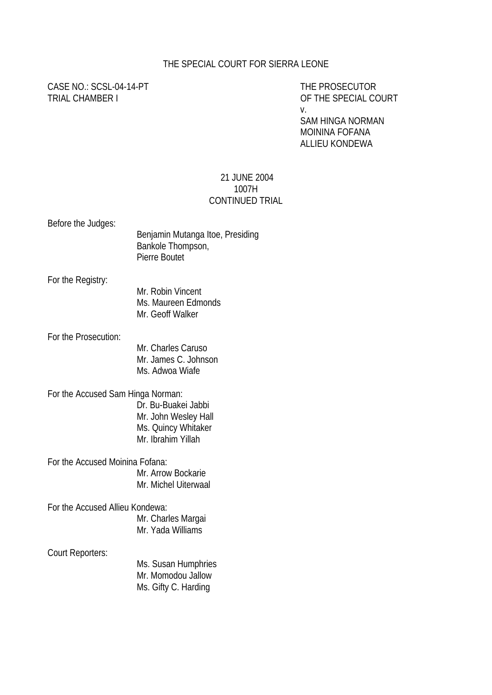### THE SPECIAL COURT FOR SIERRA LEONE

# CASE NO.: SCSL-04-14-PT THE PROSECUTOR

TRIAL CHAMBER I CHAMBER I CHAMBER I CHAMBER I CHAMBER I CHAMBER I COURT v.

> SAM HINGA NORMAN MOININA FOFANA ALLIEU KONDEWA

### 21 JUNE 2004 1007H CONTINUED TRIAL

| Before the Judges:                | Benjamin Mutanga Itoe, Presiding<br>Bankole Thompson,<br>Pierre Boutet                   |
|-----------------------------------|------------------------------------------------------------------------------------------|
| For the Registry:                 | Mr. Robin Vincent<br>Ms. Maureen Edmonds<br>Mr. Geoff Walker                             |
| For the Prosecution:              | Mr. Charles Caruso<br>Mr. James C. Johnson<br>Ms. Adwoa Wiafe                            |
| For the Accused Sam Hinga Norman: | Dr. Bu-Buakei Jabbi<br>Mr. John Wesley Hall<br>Ms. Quincy Whitaker<br>Mr. Ibrahim Yillah |
| For the Accused Moinina Fofana:   | Mr. Arrow Bockarie<br>Mr. Michel Uiterwaal                                               |
| For the Accused Allieu Kondewa:   | Mr. Charles Margai<br>Mr. Yada Williams                                                  |
| Court Reporters:                  | Ms. Susan Humphries<br>Mr. Momodou Jallow                                                |

Ms. Gifty C. Harding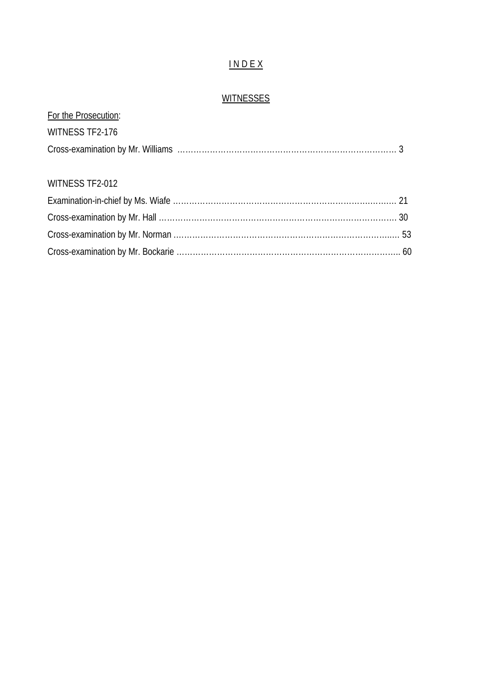# I N D E X

## **WITNESSES**

| For the Prosecution: |  |
|----------------------|--|
| WITNESS TF2-176      |  |
|                      |  |
|                      |  |
| WITNESS TF2-012      |  |
|                      |  |
|                      |  |
|                      |  |
|                      |  |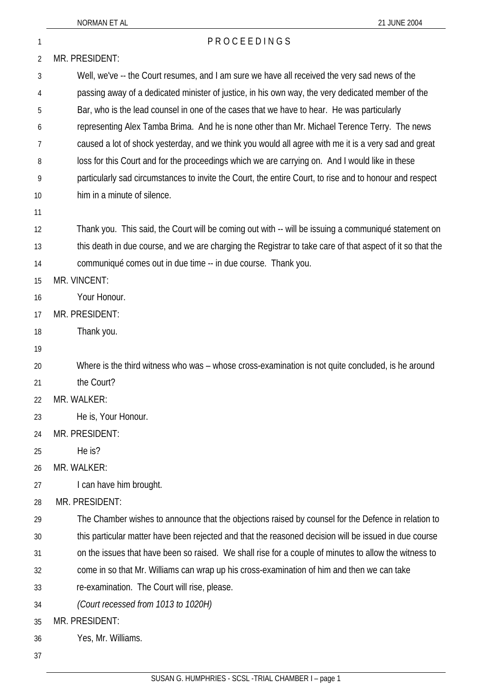#### NORMAN ET AL 2004 1 PROCEEDINGS 2 3 4 5 6 7 8 9 10 11 12 13 14 15 16 17 18 19 20 21 22 23 24 25  $26$ 27 28 29 30 31 32 33 34 35 36 MR. PRESIDENT: Well, we've -- the Court resumes, and I am sure we have all received the very sad news of the passing away of a dedicated minister of justice, in his own way, the very dedicated member of the Bar, who is the lead counsel in one of the cases that we have to hear. He was particularly representing Alex Tamba Brima. And he is none other than Mr. Michael Terence Terry. The news caused a lot of shock yesterday, and we think you would all agree with me it is a very sad and great loss for this Court and for the proceedings which we are carrying on. And I would like in these particularly sad circumstances to invite the Court, the entire Court, to rise and to honour and respect him in a minute of silence. Thank you. This said, the Court will be coming out with -- will be issuing a communiqué statement on this death in due course, and we are charging the Registrar to take care of that aspect of it so that the communiqué comes out in due time -- in due course. Thank you. MR. VINCENT: Your Honour. MR. PRESIDENT: Thank you. Where is the third witness who was – whose cross-examination is not quite concluded, is he around the Court? MR. WALKER: He is, Your Honour. MR. PRESIDENT: He is? MR. WALKER: I can have him brought. MR. PRESIDENT: The Chamber wishes to announce that the objections raised by counsel for the Defence in relation to this particular matter have been rejected and that the reasoned decision will be issued in due course on the issues that have been so raised. We shall rise for a couple of minutes to allow the witness to come in so that Mr. Williams can wrap up his cross-examination of him and then we can take re-examination. The Court will rise, please. *(Court recessed from 1013 to 1020H)* MR. PRESIDENT: Yes, Mr. Williams.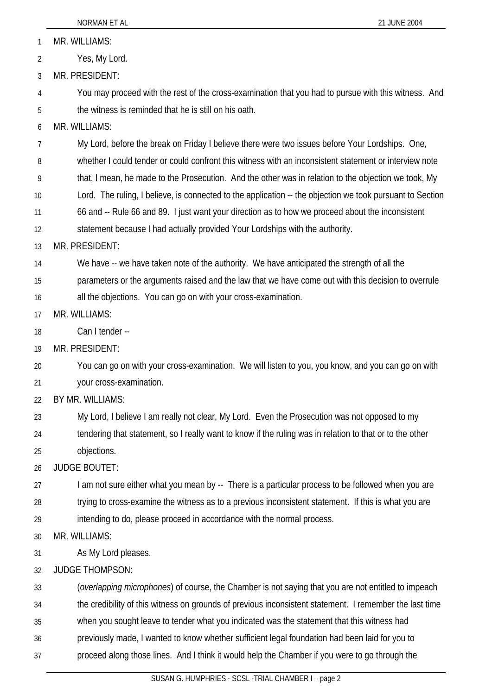|    | NORMAN ET AL<br>21 JUNE 2004                                                                              |
|----|-----------------------------------------------------------------------------------------------------------|
| 1  | MR. WILLIAMS:                                                                                             |
| 2  | Yes, My Lord.                                                                                             |
| 3  | MR. PRESIDENT:                                                                                            |
| 4  | You may proceed with the rest of the cross-examination that you had to pursue with this witness. And      |
| 5  | the witness is reminded that he is still on his oath.                                                     |
| 6  | MR. WILLIAMS:                                                                                             |
| 7  | My Lord, before the break on Friday I believe there were two issues before Your Lordships. One,           |
| 8  | whether I could tender or could confront this witness with an inconsistent statement or interview note    |
| 9  | that, I mean, he made to the Prosecution. And the other was in relation to the objection we took, My      |
| 10 | Lord. The ruling, I believe, is connected to the application -- the objection we took pursuant to Section |
| 11 | 66 and -- Rule 66 and 89. I just want your direction as to how we proceed about the inconsistent          |
| 12 | statement because I had actually provided Your Lordships with the authority.                              |
| 13 | MR. PRESIDENT:                                                                                            |
| 14 | We have -- we have taken note of the authority. We have anticipated the strength of all the               |
| 15 | parameters or the arguments raised and the law that we have come out with this decision to overrule       |
| 16 | all the objections. You can go on with your cross-examination.                                            |
| 17 | MR. WILLIAMS:                                                                                             |
| 18 | Can I tender --                                                                                           |
| 19 | MR. PRESIDENT:                                                                                            |
| 20 | You can go on with your cross-examination. We will listen to you, you know, and you can go on with        |
| 21 | your cross-examination.                                                                                   |
| 22 | BY MR. WILLIAMS:                                                                                          |
| 23 | My Lord, I believe I am really not clear, My Lord. Even the Prosecution was not opposed to my             |
| 24 | tendering that statement, so I really want to know if the ruling was in relation to that or to the other  |
| 25 | objections.                                                                                               |
| 26 | <b>JUDGE BOUTET:</b>                                                                                      |
| 27 | I am not sure either what you mean by -- There is a particular process to be followed when you are        |
| 28 | trying to cross-examine the witness as to a previous inconsistent statement. If this is what you are      |
| 29 | intending to do, please proceed in accordance with the normal process.                                    |
| 30 | MR. WILLIAMS:                                                                                             |
| 31 | As My Lord pleases.                                                                                       |
| 32 | <b>JUDGE THOMPSON:</b>                                                                                    |
| 33 | (overlapping microphones) of course, the Chamber is not saying that you are not entitled to impeach       |
| 34 | the credibility of this witness on grounds of previous inconsistent statement. I remember the last time   |
| 35 | when you sought leave to tender what you indicated was the statement that this witness had                |
| 36 | previously made, I wanted to know whether sufficient legal foundation had been laid for you to            |
| 37 | proceed along those lines. And I think it would help the Chamber if you were to go through the            |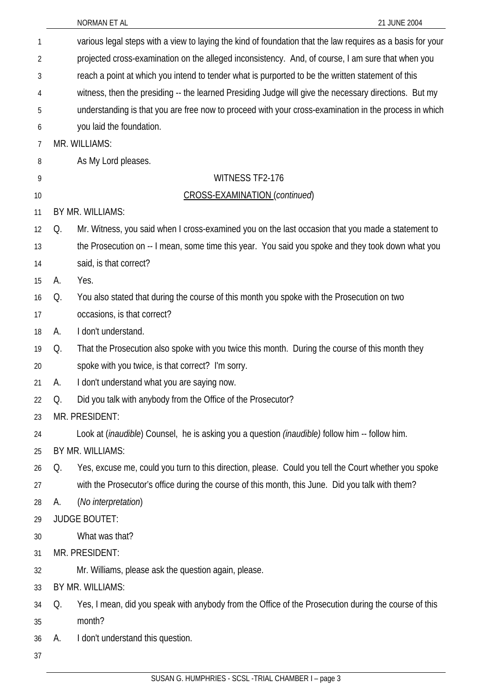|    |                                                                                                       | NORMAN ET AL<br>21 JUNE 2004                                                                               |  |
|----|-------------------------------------------------------------------------------------------------------|------------------------------------------------------------------------------------------------------------|--|
| 1  |                                                                                                       | various legal steps with a view to laying the kind of foundation that the law requires as a basis for your |  |
| 2  | projected cross-examination on the alleged inconsistency. And, of course, I am sure that when you     |                                                                                                            |  |
| 3  |                                                                                                       | reach a point at which you intend to tender what is purported to be the written statement of this          |  |
| 4  | witness, then the presiding -- the learned Presiding Judge will give the necessary directions. But my |                                                                                                            |  |
| 5  |                                                                                                       | understanding is that you are free now to proceed with your cross-examination in the process in which      |  |
| 6  |                                                                                                       | you laid the foundation.                                                                                   |  |
| 7  |                                                                                                       | MR. WILLIAMS:                                                                                              |  |
| 8  |                                                                                                       | As My Lord pleases.                                                                                        |  |
| 9  |                                                                                                       | WITNESS TF2-176                                                                                            |  |
| 10 |                                                                                                       | <b>CROSS-EXAMINATION (continued)</b>                                                                       |  |
| 11 |                                                                                                       | BY MR. WILLIAMS:                                                                                           |  |
| 12 | Q.                                                                                                    | Mr. Witness, you said when I cross-examined you on the last occasion that you made a statement to          |  |
| 13 |                                                                                                       | the Prosecution on -- I mean, some time this year. You said you spoke and they took down what you          |  |
| 14 |                                                                                                       | said, is that correct?                                                                                     |  |
| 15 | А.                                                                                                    | Yes.                                                                                                       |  |
| 16 | Q.                                                                                                    | You also stated that during the course of this month you spoke with the Prosecution on two                 |  |
| 17 |                                                                                                       | occasions, is that correct?                                                                                |  |
| 18 | А.                                                                                                    | I don't understand.                                                                                        |  |
| 19 | Q.                                                                                                    | That the Prosecution also spoke with you twice this month. During the course of this month they            |  |
| 20 |                                                                                                       | spoke with you twice, is that correct? I'm sorry.                                                          |  |
| 21 | A.                                                                                                    | I don't understand what you are saying now.                                                                |  |
| 22 | Q.                                                                                                    | Did you talk with anybody from the Office of the Prosecutor?                                               |  |
| 23 |                                                                                                       | MR. PRESIDENT:                                                                                             |  |
| 24 |                                                                                                       | Look at (inaudible) Counsel, he is asking you a question (inaudible) follow him -- follow him.             |  |
| 25 |                                                                                                       | BY MR. WILLIAMS:                                                                                           |  |
| 26 | Q.                                                                                                    | Yes, excuse me, could you turn to this direction, please. Could you tell the Court whether you spoke       |  |
| 27 |                                                                                                       | with the Prosecutor's office during the course of this month, this June. Did you talk with them?           |  |
| 28 | А.                                                                                                    | (No interpretation)                                                                                        |  |
| 29 |                                                                                                       | <b>JUDGE BOUTET:</b>                                                                                       |  |
| 30 |                                                                                                       | What was that?                                                                                             |  |
| 31 |                                                                                                       | MR. PRESIDENT:                                                                                             |  |
| 32 |                                                                                                       | Mr. Williams, please ask the question again, please.                                                       |  |
| 33 |                                                                                                       | BY MR. WILLIAMS:                                                                                           |  |
| 34 | Q.                                                                                                    | Yes, I mean, did you speak with anybody from the Office of the Prosecution during the course of this       |  |
| 35 |                                                                                                       | month?                                                                                                     |  |
| 36 | А.                                                                                                    | I don't understand this question.                                                                          |  |
| 37 |                                                                                                       |                                                                                                            |  |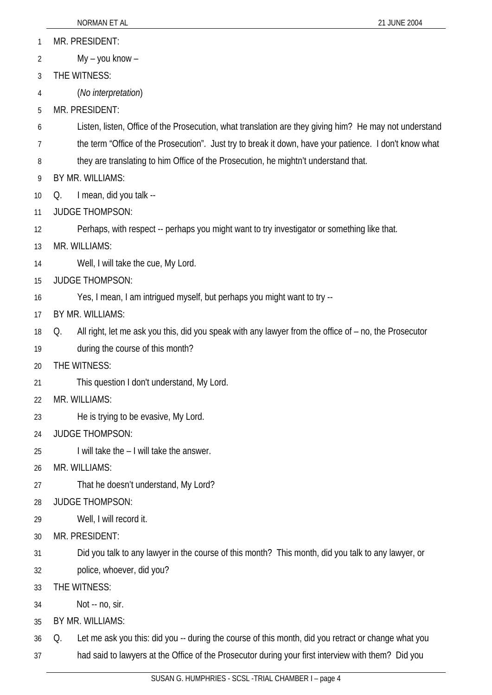- MR. PRESIDENT: 1
- My you know 2
- 3 THE WITNESS:
- 4 (*No interpretation*)
- 5 MR. PRESIDENT:
- 6 Listen, listen, Office of the Prosecution, what translation are they giving him? He may not understand
- 7 the term "Office of the Prosecution". Just try to break it down, have your patience. I don't know what
- 8 they are translating to him Office of the Prosecution, he mightn't understand that.
- 9 BY MR. WILLIAMS:
- 10 Q. I mean, did you talk --
- 11 JUDGE THOMPSON:
- 12 Perhaps, with respect -- perhaps you might want to try investigator or something like that.
- 13 MR. WILLIAMS:
- 14 Well, I will take the cue, My Lord.
- 15 JUDGE THOMPSON:
- 16 Yes, I mean, I am intrigued myself, but perhaps you might want to try --
- 17 BY MR. WILLIAMS:
- 18 Q. All right, let me ask you this, did you speak with any lawyer from the office of – no, the Prosecutor
- 19 during the course of this month?
- 20 THE WITNESS:
- 21 This question I don't understand, My Lord.
- 22 MR. WILLIAMS:
- 23 He is trying to be evasive, My Lord.
- 24 JUDGE THOMPSON:
- 25 I will take the – I will take the answer.
- 26 MR. WILLIAMS:
- 27 That he doesn't understand, My Lord?
- 28 JUDGE THOMPSON:
- 29 Well, I will record it.
- 30 MR. PRESIDENT:
- 31 Did you talk to any lawyer in the course of this month? This month, did you talk to any lawyer, or
- 32 police, whoever, did you?
- 33 THE WITNESS:
- 34 Not -- no, sir.
- 35 BY MR. WILLIAMS:
- 36 37 Q. Let me ask you this: did you -- during the course of this month, did you retract or change what you had said to lawyers at the Office of the Prosecutor during your first interview with them? Did you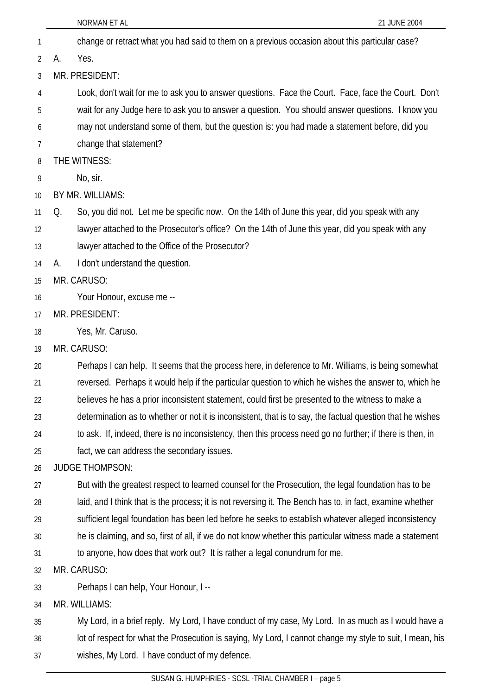- NORMAN ET AL 21 JUNE 2004 1 change or retract what you had said to them on a previous occasion about this particular case? 2 3 4 5 6 7 8 9 10 11 12 13 14 15 16 17 18 19 20 21 22 23 24 25 26 27 28 29 30 31 32 33 34 35 36 A. Yes. MR. PRESIDENT: Look, don't wait for me to ask you to answer questions. Face the Court. Face, face the Court. Don't wait for any Judge here to ask you to answer a question. You should answer questions. I know you may not understand some of them, but the question is: you had made a statement before, did you change that statement? THE WITNESS: No, sir. BY MR. WILLIAMS: Q. So, you did not. Let me be specific now. On the 14th of June this year, did you speak with any lawyer attached to the Prosecutor's office? On the 14th of June this year, did you speak with any lawyer attached to the Office of the Prosecutor? A. I don't understand the question. MR. CARUSO: Your Honour, excuse me -- MR. PRESIDENT: Yes, Mr. Caruso. MR. CARUSO: Perhaps I can help. It seems that the process here, in deference to Mr. Williams, is being somewhat reversed. Perhaps it would help if the particular question to which he wishes the answer to, which he believes he has a prior inconsistent statement, could first be presented to the witness to make a determination as to whether or not it is inconsistent, that is to say, the factual question that he wishes to ask. If, indeed, there is no inconsistency, then this process need go no further; if there is then, in fact, we can address the secondary issues. JUDGE THOMPSON: But with the greatest respect to learned counsel for the Prosecution, the legal foundation has to be laid, and I think that is the process; it is not reversing it. The Bench has to, in fact, examine whether sufficient legal foundation has been led before he seeks to establish whatever alleged inconsistency he is claiming, and so, first of all, if we do not know whether this particular witness made a statement to anyone, how does that work out? It is rather a legal conundrum for me. MR. CARUSO: Perhaps I can help, Your Honour, I -- MR. WILLIAMS: My Lord, in a brief reply. My Lord, I have conduct of my case, My Lord. In as much as I would have a lot of respect for what the Prosecution is saying, My Lord, I cannot change my style to suit, I mean, his
- 37 wishes, My Lord. I have conduct of my defence.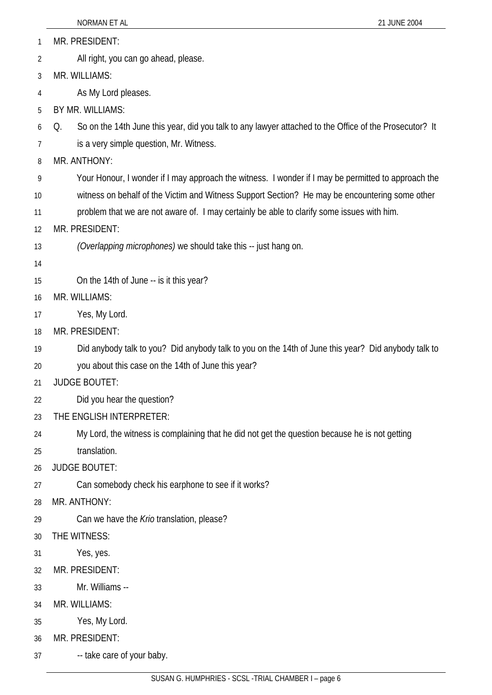- NORMAN ET AL 2004 MR. PRESIDENT: All right, you can go ahead, please. 1 2 3 4 5 6 7 8 9 10 11 12 13 14 15 16 17 18 19 20 21 22 MR. WILLIAMS: As My Lord pleases. BY MR. WILLIAMS: Q. So on the 14th June this year, did you talk to any lawyer attached to the Office of the Prosecutor? It is a very simple question, Mr. Witness. MR. ANTHONY: Your Honour, I wonder if I may approach the witness. I wonder if I may be permitted to approach the witness on behalf of the Victim and Witness Support Section? He may be encountering some other problem that we are not aware of. I may certainly be able to clarify some issues with him. MR. PRESIDENT: *(Overlapping microphones)* we should take this -- just hang on. On the 14th of June -- is it this year? MR. WILLIAMS: Yes, My Lord. MR. PRESIDENT: Did anybody talk to you? Did anybody talk to you on the 14th of June this year? Did anybody talk to you about this case on the 14th of June this year? JUDGE BOUTET: Did you hear the question?
- 23 THE ENGLISH INTERPRETER:
- 24 My Lord, the witness is complaining that he did not get the question because he is not getting
- 25 translation.
- 26 JUDGE BOUTET:
- 27 Can somebody check his earphone to see if it works?
- 28 MR. ANTHONY:
- 29 Can we have the *Krio* translation, please?
- 30 THE WITNESS:
- 31 Yes, yes.
- 32 MR. PRESIDENT:
- 33 Mr. Williams --
- 34 MR. WILLIAMS:
- 35 Yes, My Lord.
- 36 MR. PRESIDENT:
- 37 -- take care of your baby.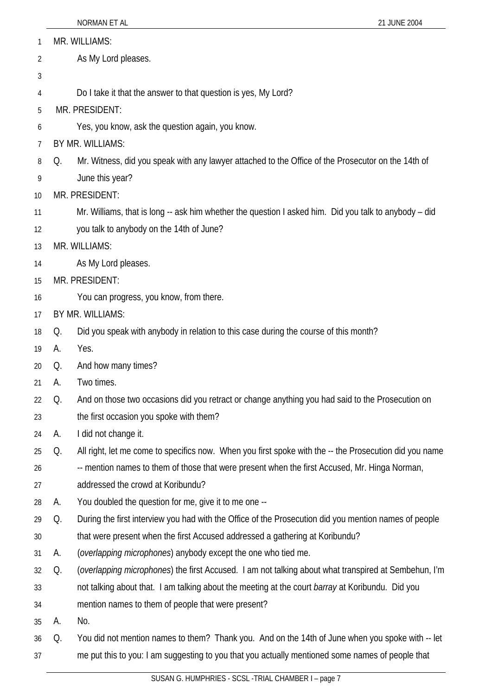| 1  | MR. WILLIAMS:       |                                                                                                        |  |  |
|----|---------------------|--------------------------------------------------------------------------------------------------------|--|--|
| 2  | As My Lord pleases. |                                                                                                        |  |  |
| 3  |                     |                                                                                                        |  |  |
| 4  |                     | Do I take it that the answer to that question is yes, My Lord?                                         |  |  |
| 5  |                     | MR. PRESIDENT:                                                                                         |  |  |
| 6  |                     | Yes, you know, ask the question again, you know.                                                       |  |  |
| 7  |                     | BY MR. WILLIAMS:                                                                                       |  |  |
| 8  | Q.                  | Mr. Witness, did you speak with any lawyer attached to the Office of the Prosecutor on the 14th of     |  |  |
| 9  |                     | June this year?                                                                                        |  |  |
| 10 |                     | MR. PRESIDENT:                                                                                         |  |  |
| 11 |                     | Mr. Williams, that is long -- ask him whether the question I asked him. Did you talk to anybody - did  |  |  |
| 12 |                     | you talk to anybody on the 14th of June?                                                               |  |  |
| 13 |                     | MR. WILLIAMS:                                                                                          |  |  |
| 14 |                     | As My Lord pleases.                                                                                    |  |  |
| 15 |                     | MR. PRESIDENT:                                                                                         |  |  |
| 16 |                     | You can progress, you know, from there.                                                                |  |  |
| 17 |                     | BY MR. WILLIAMS:                                                                                       |  |  |
| 18 | Q.                  | Did you speak with anybody in relation to this case during the course of this month?                   |  |  |
| 19 | А.                  | Yes.                                                                                                   |  |  |
| 20 | Q.                  | And how many times?                                                                                    |  |  |
| 21 | А.                  | Two times.                                                                                             |  |  |
| 22 | Q.                  | And on those two occasions did you retract or change anything you had said to the Prosecution on       |  |  |
| 23 |                     | the first occasion you spoke with them?                                                                |  |  |
| 24 | А.                  | I did not change it.                                                                                   |  |  |
| 25 | Q.                  | All right, let me come to specifics now. When you first spoke with the -- the Prosecution did you name |  |  |
| 26 |                     | -- mention names to them of those that were present when the first Accused, Mr. Hinga Norman,          |  |  |
| 27 |                     | addressed the crowd at Koribundu?                                                                      |  |  |
| 28 | А.                  | You doubled the question for me, give it to me one --                                                  |  |  |
| 29 | Q.                  | During the first interview you had with the Office of the Prosecution did you mention names of people  |  |  |
| 30 |                     | that were present when the first Accused addressed a gathering at Koribundu?                           |  |  |
| 31 | А.                  | (overlapping microphones) anybody except the one who tied me.                                          |  |  |
| 32 | Q.                  | (overlapping microphones) the first Accused. I am not talking about what transpired at Sembehun, I'm   |  |  |
| 33 |                     | not talking about that. I am talking about the meeting at the court barray at Koribundu. Did you       |  |  |
| 34 |                     | mention names to them of people that were present?                                                     |  |  |
| 35 | А.                  | No.                                                                                                    |  |  |
| 36 | Q.                  | You did not mention names to them? Thank you. And on the 14th of June when you spoke with -- let       |  |  |
| 37 |                     | me put this to you: I am suggesting to you that you actually mentioned some names of people that       |  |  |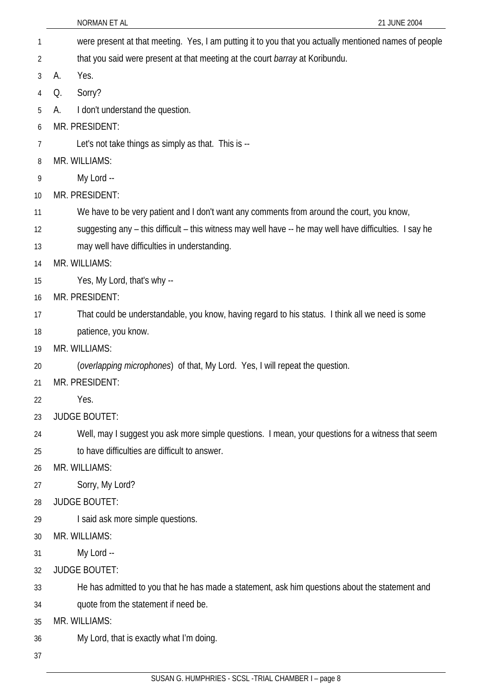|    | 21 JUNE 2004<br>NORMAN ET AL                                                                            |
|----|---------------------------------------------------------------------------------------------------------|
| 1  | were present at that meeting. Yes, I am putting it to you that you actually mentioned names of people   |
| 2  | that you said were present at that meeting at the court barray at Koribundu.                            |
| 3  | Yes.<br>А.                                                                                              |
| 4  | Sorry?<br>Q.                                                                                            |
| 5  | I don't understand the question.<br>А.                                                                  |
| 6  | MR. PRESIDENT:                                                                                          |
| 7  | Let's not take things as simply as that. This is --                                                     |
| 8  | MR. WILLIAMS:                                                                                           |
| 9  | My Lord --                                                                                              |
| 10 | MR. PRESIDENT:                                                                                          |
| 11 | We have to be very patient and I don't want any comments from around the court, you know,               |
| 12 | suggesting any – this difficult – this witness may well have -- he may well have difficulties. I say he |
| 13 | may well have difficulties in understanding.                                                            |
| 14 | MR. WILLIAMS:                                                                                           |
| 15 | Yes, My Lord, that's why --                                                                             |
| 16 | MR. PRESIDENT:                                                                                          |
| 17 | That could be understandable, you know, having regard to his status. I think all we need is some        |
| 18 | patience, you know.                                                                                     |
| 19 | MR. WILLIAMS:                                                                                           |
| 20 | (overlapping microphones) of that, My Lord. Yes, I will repeat the question.                            |
| 21 | MR. PRESIDENT:                                                                                          |
| 22 | Yes.                                                                                                    |
| 23 | <b>JUDGE BOUTET:</b>                                                                                    |
| 24 | Well, may I suggest you ask more simple questions. I mean, your questions for a witness that seem       |
| 25 | to have difficulties are difficult to answer.                                                           |
| 26 | MR. WILLIAMS:                                                                                           |
| 27 | Sorry, My Lord?                                                                                         |
| 28 | <b>JUDGE BOUTET:</b>                                                                                    |
| 29 | I said ask more simple questions.                                                                       |
| 30 | MR. WILLIAMS:                                                                                           |
| 31 | My Lord --                                                                                              |
| 32 | <b>JUDGE BOUTET:</b>                                                                                    |
| 33 | He has admitted to you that he has made a statement, ask him questions about the statement and          |
| 34 | quote from the statement if need be.                                                                    |
| 35 | MR. WILLIAMS:                                                                                           |
| 36 | My Lord, that is exactly what I'm doing.                                                                |
| 37 |                                                                                                         |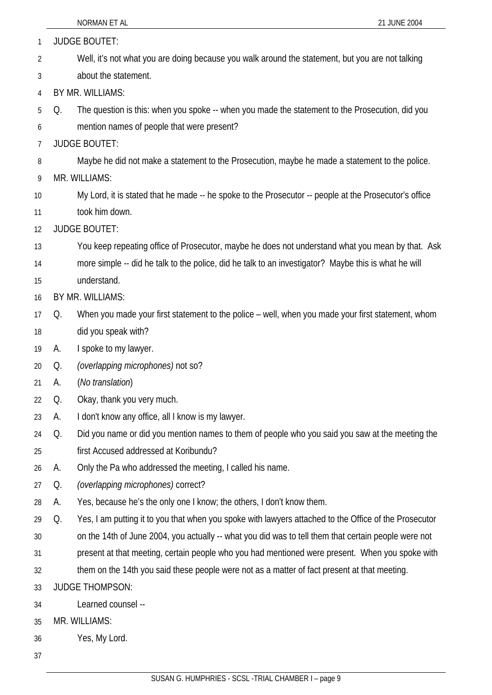| 1  | <b>JUDGE BOUTET:</b> |                                                                                                       |  |
|----|----------------------|-------------------------------------------------------------------------------------------------------|--|
| 2  |                      | Well, it's not what you are doing because you walk around the statement, but you are not talking      |  |
| 3  |                      | about the statement.                                                                                  |  |
| 4  |                      | BY MR. WILLIAMS:                                                                                      |  |
| 5  | Q.                   | The question is this: when you spoke -- when you made the statement to the Prosecution, did you       |  |
| 6  |                      | mention names of people that were present?                                                            |  |
| 7  |                      | <b>JUDGE BOUTET:</b>                                                                                  |  |
| 8  |                      | Maybe he did not make a statement to the Prosecution, maybe he made a statement to the police.        |  |
| 9  |                      | MR. WILLIAMS:                                                                                         |  |
| 10 |                      | My Lord, it is stated that he made -- he spoke to the Prosecutor -- people at the Prosecutor's office |  |
| 11 |                      | took him down.                                                                                        |  |
| 12 |                      | <b>JUDGE BOUTET:</b>                                                                                  |  |
| 13 |                      | You keep repeating office of Prosecutor, maybe he does not understand what you mean by that. Ask      |  |
| 14 |                      | more simple -- did he talk to the police, did he talk to an investigator? Maybe this is what he will  |  |
| 15 |                      | understand.                                                                                           |  |
| 16 |                      | BY MR. WILLIAMS:                                                                                      |  |
| 17 | Q.                   | When you made your first statement to the police - well, when you made your first statement, whom     |  |
| 18 |                      | did you speak with?                                                                                   |  |
| 19 | А.                   | I spoke to my lawyer.                                                                                 |  |
| 20 | Q.                   | (overlapping microphones) not so?                                                                     |  |
| 21 | А.                   | (No translation)                                                                                      |  |
| 22 | Q.                   | Okay, thank you very much.                                                                            |  |
| 23 | А.                   | I don't know any office, all I know is my lawyer.                                                     |  |
| 24 | Q.                   | Did you name or did you mention names to them of people who you said you saw at the meeting the       |  |
| 25 |                      | first Accused addressed at Koribundu?                                                                 |  |
| 26 | А.                   | Only the Pa who addressed the meeting, I called his name.                                             |  |
| 27 | Q.                   | (overlapping microphones) correct?                                                                    |  |
| 28 | А.                   | Yes, because he's the only one I know; the others, I don't know them.                                 |  |
| 29 | Q.                   | Yes, I am putting it to you that when you spoke with lawyers attached to the Office of the Prosecutor |  |
| 30 |                      | on the 14th of June 2004, you actually -- what you did was to tell them that certain people were not  |  |
| 31 |                      | present at that meeting, certain people who you had mentioned were present. When you spoke with       |  |
| 32 |                      | them on the 14th you said these people were not as a matter of fact present at that meeting.          |  |
| 33 |                      | <b>JUDGE THOMPSON:</b>                                                                                |  |
| 34 |                      | Learned counsel --                                                                                    |  |
| 35 |                      | MR. WILLIAMS:                                                                                         |  |
| 36 |                      | Yes, My Lord.                                                                                         |  |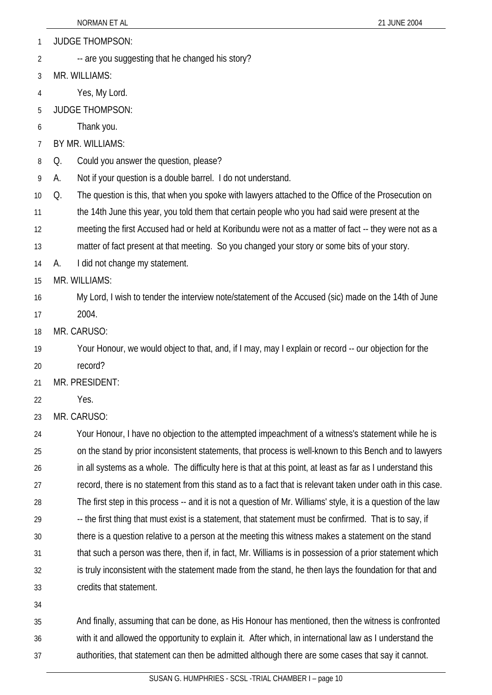JUDGE THOMPSON: 1

-- are you suggesting that he changed his story? 2

3 MR. WILLIAMS:

4 Yes, My Lord.

- 5 JUDGE THOMPSON:
- 6 Thank you.
- 7 BY MR. WILLIAMS:
- 8 Q. Could you answer the question, please?
- 9 A. Not if your question is a double barrel. I do not understand.

10 Q. The question is this, that when you spoke with lawyers attached to the Office of the Prosecution on

- 11 the 14th June this year, you told them that certain people who you had said were present at the
- 12 meeting the first Accused had or held at Koribundu were not as a matter of fact -- they were not as a

13 matter of fact present at that meeting. So you changed your story or some bits of your story.

14 A. I did not change my statement.

15 MR. WILLIAMS:

- 16 My Lord, I wish to tender the interview note/statement of the Accused (sic) made on the 14th of June
- 17 2004.
- 18 MR. CARUSO:

19 Your Honour, we would object to that, and, if I may, may I explain or record -- our objection for the record?

- 20
- 21 MR. PRESIDENT:
- 22 Yes.
- 23 MR. CARUSO:

24 25 26 27 28 29 30 31 32 33 Your Honour, I have no objection to the attempted impeachment of a witness's statement while he is on the stand by prior inconsistent statements, that process is well-known to this Bench and to lawyers in all systems as a whole. The difficulty here is that at this point, at least as far as I understand this record, there is no statement from this stand as to a fact that is relevant taken under oath in this case. The first step in this process -- and it is not a question of Mr. Williams' style, it is a question of the law -- the first thing that must exist is a statement, that statement must be confirmed. That is to say, if there is a question relative to a person at the meeting this witness makes a statement on the stand that such a person was there, then if, in fact, Mr. Williams is in possession of a prior statement which is truly inconsistent with the statement made from the stand, he then lays the foundation for that and credits that statement.

34

35 36 37 And finally, assuming that can be done, as His Honour has mentioned, then the witness is confronted with it and allowed the opportunity to explain it. After which, in international law as I understand the authorities, that statement can then be admitted although there are some cases that say it cannot.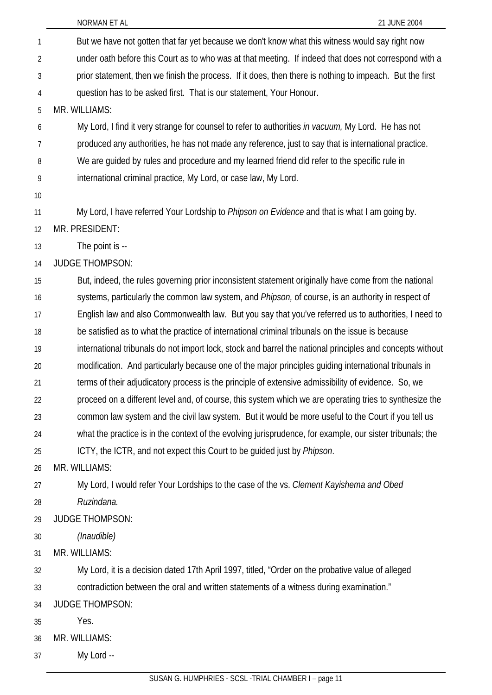| 1              | But we have not gotten that far yet because we don't know what this witness would say right now           |
|----------------|-----------------------------------------------------------------------------------------------------------|
| $\overline{2}$ | under oath before this Court as to who was at that meeting. If indeed that does not correspond with a     |
| 3              | prior statement, then we finish the process. If it does, then there is nothing to impeach. But the first  |
| 4              | question has to be asked first. That is our statement, Your Honour.                                       |
| 5              | MR. WILLIAMS:                                                                                             |
| 6              | My Lord, I find it very strange for counsel to refer to authorities in vacuum, My Lord. He has not        |
| 7              | produced any authorities, he has not made any reference, just to say that is international practice.      |
| 8              | We are guided by rules and procedure and my learned friend did refer to the specific rule in              |
| 9              | international criminal practice, My Lord, or case law, My Lord.                                           |
| 10             |                                                                                                           |
| 11             | My Lord, I have referred Your Lordship to Phipson on Evidence and that is what I am going by.             |
| 12             | MR. PRESIDENT:                                                                                            |
| 13             | The point is --                                                                                           |
| 14             | <b>JUDGE THOMPSON:</b>                                                                                    |
| 15             | But, indeed, the rules governing prior inconsistent statement originally have come from the national      |
| 16             | systems, particularly the common law system, and Phipson, of course, is an authority in respect of        |
| 17             | English law and also Commonwealth law. But you say that you've referred us to authorities, I need to      |
| 18             | be satisfied as to what the practice of international criminal tribunals on the issue is because          |
| 19             | international tribunals do not import lock, stock and barrel the national principles and concepts without |
| 20             | modification. And particularly because one of the major principles guiding international tribunals in     |
| 21             | terms of their adjudicatory process is the principle of extensive admissibility of evidence. So, we       |
| 22             | proceed on a different level and, of course, this system which we are operating tries to synthesize the   |
| 23             | common law system and the civil law system. But it would be more useful to the Court if you tell us       |
| 24             | what the practice is in the context of the evolving jurisprudence, for example, our sister tribunals; the |
| 25             | ICTY, the ICTR, and not expect this Court to be guided just by Phipson.                                   |
| 26             | MR. WILLIAMS:                                                                                             |
| 27             | My Lord, I would refer Your Lordships to the case of the vs. Clement Kayishema and Obed                   |
| 28             | Ruzindana.                                                                                                |
| 29             | <b>JUDGE THOMPSON:</b>                                                                                    |
| 30             | (Inaudible)                                                                                               |
| 31             | MR. WILLIAMS:                                                                                             |
| 32             | My Lord, it is a decision dated 17th April 1997, titled, "Order on the probative value of alleged         |
| 33             | contradiction between the oral and written statements of a witness during examination."                   |
| 34             | <b>JUDGE THOMPSON:</b>                                                                                    |
| 35             | Yes.                                                                                                      |
| 36             | MR. WILLIAMS:                                                                                             |
| 37             | My Lord --                                                                                                |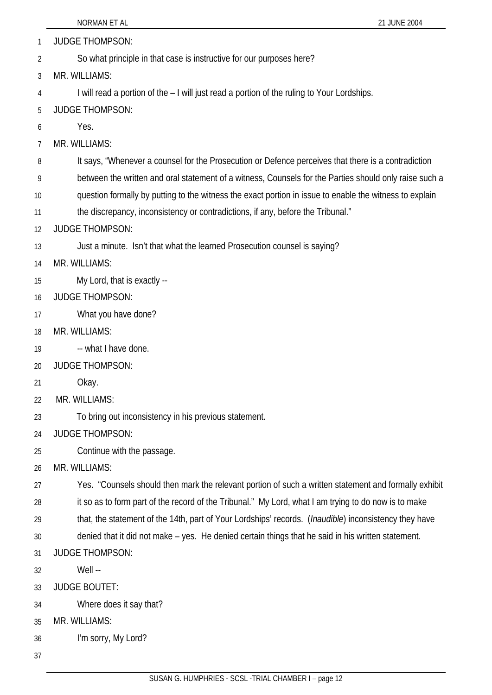|    | NORMAN ET AL<br>21 JUNE 2004                                                                                   |
|----|----------------------------------------------------------------------------------------------------------------|
| 1  | <b>JUDGE THOMPSON:</b>                                                                                         |
| 2  | So what principle in that case is instructive for our purposes here?                                           |
| 3  | MR. WILLIAMS:                                                                                                  |
| 4  | I will read a portion of the - I will just read a portion of the ruling to Your Lordships.                     |
| 5  | <b>JUDGE THOMPSON:</b>                                                                                         |
| 6  | Yes.                                                                                                           |
| 7  | MR. WILLIAMS:                                                                                                  |
| 8  | It says, "Whenever a counsel for the Prosecution or Defence perceives that there is a contradiction            |
| 9  | between the written and oral statement of a witness, Counsels for the Parties should only raise such a         |
| 10 | question formally by putting to the witness the exact portion in issue to enable the witness to explain        |
| 11 | the discrepancy, inconsistency or contradictions, if any, before the Tribunal."                                |
| 12 | <b>JUDGE THOMPSON:</b>                                                                                         |
| 13 | Just a minute. Isn't that what the learned Prosecution counsel is saying?                                      |
| 14 | MR. WILLIAMS:                                                                                                  |
| 15 | My Lord, that is exactly --                                                                                    |
| 16 | <b>JUDGE THOMPSON:</b>                                                                                         |
| 17 | What you have done?                                                                                            |
| 18 | MR. WILLIAMS:                                                                                                  |
| 19 | -- what I have done.                                                                                           |
| 20 | <b>JUDGE THOMPSON:</b>                                                                                         |
| 21 | Okay.                                                                                                          |
| 22 | MR. WILLIAMS:                                                                                                  |
| 23 | To bring out inconsistency in his previous statement.                                                          |
| 24 | <b>JUDGE THOMPSON:</b>                                                                                         |
| 25 | Continue with the passage.                                                                                     |
| 26 | MR. WILLIAMS:                                                                                                  |
| 27 | Yes. "Counsels should then mark the relevant portion of such a written statement and formally exhibit          |
| 28 | it so as to form part of the record of the Tribunal." My Lord, what I am trying to do now is to make           |
| 29 | that, the statement of the 14th, part of Your Lordships' records. ( <i>Inaudible</i> ) inconsistency they have |
| 30 | denied that it did not make - yes. He denied certain things that he said in his written statement.             |
| 31 | <b>JUDGE THOMPSON:</b>                                                                                         |
| 32 | Well --                                                                                                        |
| 33 | <b>JUDGE BOUTET:</b>                                                                                           |
| 34 | Where does it say that?                                                                                        |
| 35 | MR. WILLIAMS:                                                                                                  |
| 36 | I'm sorry, My Lord?                                                                                            |
| 37 |                                                                                                                |

L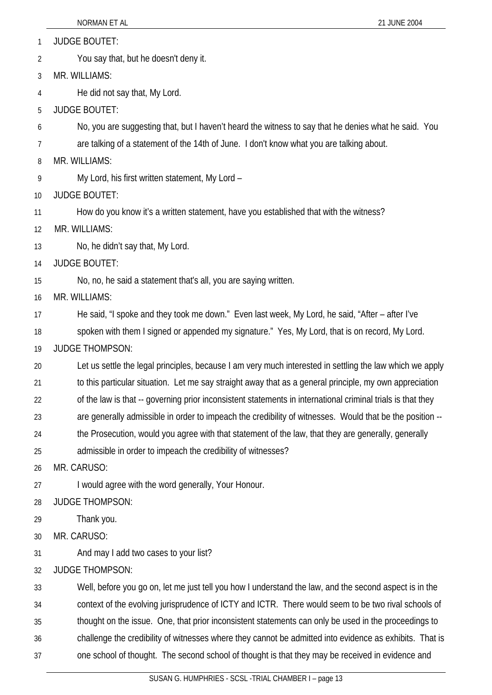JUDGE BOUTET: 1

You say that, but he doesn't deny it. 2

3 MR. WILLIAMS:

4 He did not say that, My Lord.

5 JUDGE BOUTET:

6 No, you are suggesting that, but I haven't heard the witness to say that he denies what he said. You

7 are talking of a statement of the 14th of June. I don't know what you are talking about.

8 MR. WILLIAMS:

9 My Lord, his first written statement, My Lord –

10 JUDGE BOUTET:

11 How do you know it's a written statement, have you established that with the witness?

12 MR. WILLIAMS:

13 No, he didn't say that, My Lord.

14 JUDGE BOUTET:

15 No, no, he said a statement that's all, you are saying written.

16 MR. WILLIAMS:

17 He said, "I spoke and they took me down." Even last week, My Lord, he said, "After – after I've

18 spoken with them I signed or appended my signature." Yes, My Lord, that is on record, My Lord.

19 JUDGE THOMPSON:

20 Let us settle the legal principles, because I am very much interested in settling the law which we apply

21 to this particular situation. Let me say straight away that as a general principle, my own appreciation

22 of the law is that -- governing prior inconsistent statements in international criminal trials is that they

23 are generally admissible in order to impeach the credibility of witnesses. Would that be the position --

24 the Prosecution, would you agree with that statement of the law, that they are generally, generally

25 admissible in order to impeach the credibility of witnesses?

26 MR. CARUSO:

27 I would agree with the word generally, Your Honour.

28 JUDGE THOMPSON:

29 Thank you.

30 MR. CARUSO:

31 And may I add two cases to your list?

32 JUDGE THOMPSON:

33 Well, before you go on, let me just tell you how I understand the law, and the second aspect is in the

34 context of the evolving jurisprudence of ICTY and ICTR. There would seem to be two rival schools of

35 thought on the issue. One, that prior inconsistent statements can only be used in the proceedings to

36 challenge the credibility of witnesses where they cannot be admitted into evidence as exhibits. That is

37 one school of thought. The second school of thought is that they may be received in evidence and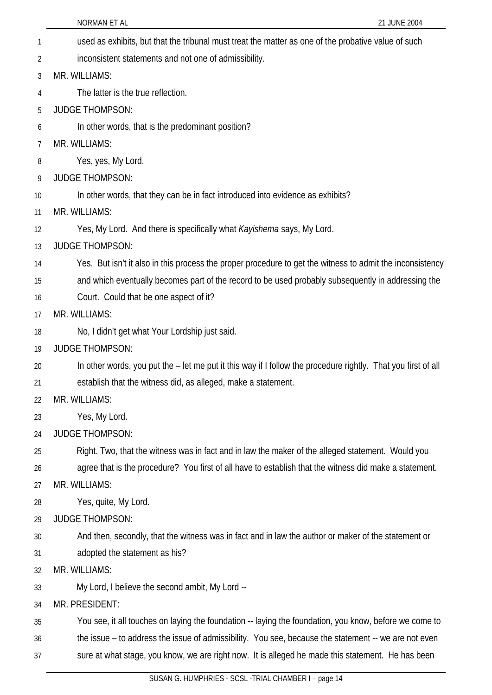NORMAN ET AL 2004 used as exhibits, but that the tribunal must treat the matter as one of the probative value of such inconsistent statements and not one of admissibility. 1 2 3 4 5 6 7 8 9 10 11 12 13 14 15 16 17 18 19 20 21 22 23 24 25 26 27 28 29 30 31 32 33 34 35 36 37 MR. WILLIAMS: The latter is the true reflection. JUDGE THOMPSON: In other words, that is the predominant position? MR. WILLIAMS: Yes, yes, My Lord. JUDGE THOMPSON: In other words, that they can be in fact introduced into evidence as exhibits? MR. WILLIAMS: Yes, My Lord. And there is specifically what *Kayishema* says, My Lord. JUDGE THOMPSON: Yes. But isn't it also in this process the proper procedure to get the witness to admit the inconsistency and which eventually becomes part of the record to be used probably subsequently in addressing the Court. Could that be one aspect of it? MR. WILLIAMS: No, I didn't get what Your Lordship just said. JUDGE THOMPSON: In other words, you put the – let me put it this way if I follow the procedure rightly. That you first of all establish that the witness did, as alleged, make a statement. MR. WILLIAMS: Yes, My Lord. JUDGE THOMPSON: Right. Two, that the witness was in fact and in law the maker of the alleged statement. Would you agree that is the procedure? You first of all have to establish that the witness did make a statement. MR. WILLIAMS: Yes, quite, My Lord. JUDGE THOMPSON: And then, secondly, that the witness was in fact and in law the author or maker of the statement or adopted the statement as his? MR. WILLIAMS: My Lord, I believe the second ambit, My Lord -- MR. PRESIDENT: You see, it all touches on laying the foundation -- laying the foundation, you know, before we come to the issue – to address the issue of admissibility. You see, because the statement -- we are not even sure at what stage, you know, we are right now. It is alleged he made this statement. He has been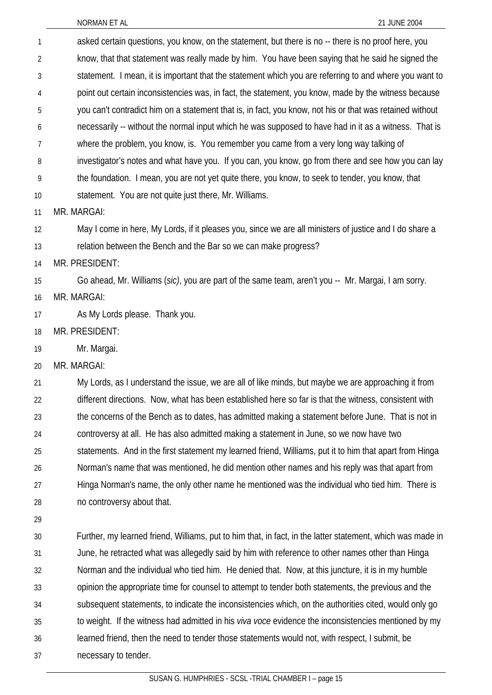asked certain questions, you know, on the statement, but there is no -- there is no proof here, you know, that that statement was really made by him. You have been saying that he said he signed the statement. I mean, it is important that the statement which you are referring to and where you want to point out certain inconsistencies was, in fact, the statement, you know, made by the witness because you can't contradict him on a statement that is, in fact, you know, not his or that was retained without necessarily -- without the normal input which he was supposed to have had in it as a witness. That is where the problem, you know, is. You remember you came from a very long way talking of investigator's notes and what have you. If you can, you know, go from there and see how you can lay the foundation. I mean, you are not yet quite there, you know, to seek to tender, you know, that statement. You are not quite just there, Mr. Williams. 1 2 3 4 5 6 7 8 9 10 11 12 13 14 15 16 17 18 19 20 21 22 23 24 25 26 27 28 29 30 31 32 33 34 35 36 MR. MARGAI: May I come in here, My Lords, if it pleases you, since we are all ministers of justice and I do share a relation between the Bench and the Bar so we can make progress? MR. PRESIDENT: Go ahead, Mr. Williams (*sic)*, you are part of the same team, aren't you -- Mr. Margai, I am sorry. MR. MARGAI: As My Lords please. Thank you. MR. PRESIDENT: Mr. Margai. MR. MARGAI: My Lords, as I understand the issue, we are all of like minds, but maybe we are approaching it from different directions. Now, what has been established here so far is that the witness, consistent with the concerns of the Bench as to dates, has admitted making a statement before June. That is not in controversy at all. He has also admitted making a statement in June, so we now have two statements. And in the first statement my learned friend, Williams, put it to him that apart from Hinga Norman's name that was mentioned, he did mention other names and his reply was that apart from Hinga Norman's name, the only other name he mentioned was the individual who tied him. There is no controversy about that. Further, my learned friend, Williams, put to him that, in fact, in the latter statement, which was made in June, he retracted what was allegedly said by him with reference to other names other than Hinga Norman and the individual who tied him. He denied that. Now, at this juncture, it is in my humble opinion the appropriate time for counsel to attempt to tender both statements, the previous and the subsequent statements, to indicate the inconsistencies which, on the authorities cited, would only go to weight. If the witness had admitted in his *viva voce* evidence the inconsistencies mentioned by my learned friend, then the need to tender those statements would not, with respect, I submit, be

37 necessary to tender.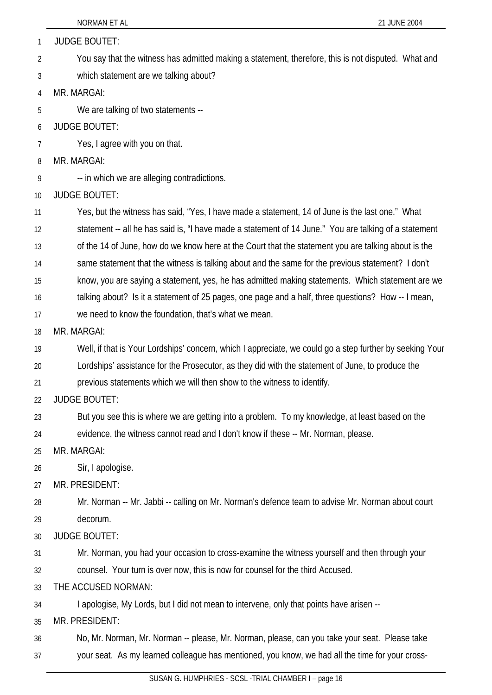|                 | 21 JUNE 2004<br>NORMAN ET AL                                                                             |
|-----------------|----------------------------------------------------------------------------------------------------------|
| $\mathbf{1}$    | <b>JUDGE BOUTET:</b>                                                                                     |
| 2               | You say that the witness has admitted making a statement, therefore, this is not disputed. What and      |
| 3               | which statement are we talking about?                                                                    |
| $\overline{4}$  | MR. MARGAI:                                                                                              |
| 5               | We are talking of two statements --                                                                      |
| 6               | <b>JUDGE BOUTET:</b>                                                                                     |
| 7               | Yes, I agree with you on that.                                                                           |
| 8               | MR. MARGAI:                                                                                              |
| 9               | -- in which we are alleging contradictions.                                                              |
| 10 <sup>1</sup> | <b>JUDGE BOUTET:</b>                                                                                     |
| 11              | Yes, but the witness has said, "Yes, I have made a statement, 14 of June is the last one." What          |
| 12              | statement -- all he has said is, "I have made a statement of 14 June." You are talking of a statement    |
| 13              | of the 14 of June, how do we know here at the Court that the statement you are talking about is the      |
| 14              | same statement that the witness is talking about and the same for the previous statement? I don't        |
| 15              | know, you are saying a statement, yes, he has admitted making statements. Which statement are we         |
| 16              | talking about? Is it a statement of 25 pages, one page and a half, three questions? How -- I mean,       |
| 17              | we need to know the foundation, that's what we mean.                                                     |
| 18              | MR. MARGAI:                                                                                              |
| 19              | Well, if that is Your Lordships' concern, which I appreciate, we could go a step further by seeking Your |
| 20              | Lordships' assistance for the Prosecutor, as they did with the statement of June, to produce the         |
| 21              | previous statements which we will then show to the witness to identify.                                  |
| 22              | <b>JUDGE BOUTET:</b>                                                                                     |
| 23              | But you see this is where we are getting into a problem. To my knowledge, at least based on the          |
| 24              | evidence, the witness cannot read and I don't know if these -- Mr. Norman, please.                       |
| 25              | MR. MARGAI:                                                                                              |
| 26              | Sir, I apologise.                                                                                        |
| 27              | MR. PRESIDENT:                                                                                           |
| 28              | Mr. Norman -- Mr. Jabbi -- calling on Mr. Norman's defence team to advise Mr. Norman about court         |
| 29              | decorum.                                                                                                 |
| 30              | <b>JUDGE BOUTET:</b>                                                                                     |
| 31              | Mr. Norman, you had your occasion to cross-examine the witness yourself and then through your            |
| 32              | counsel. Your turn is over now, this is now for counsel for the third Accused.                           |
| 33              | THE ACCUSED NORMAN:                                                                                      |
| 34              | I apologise, My Lords, but I did not mean to intervene, only that points have arisen --                  |
| 35              | MR. PRESIDENT:                                                                                           |
| 36              | No, Mr. Norman, Mr. Norman -- please, Mr. Norman, please, can you take your seat. Please take            |
| 37              | your seat. As my learned colleague has mentioned, you know, we had all the time for your cross-          |
|                 |                                                                                                          |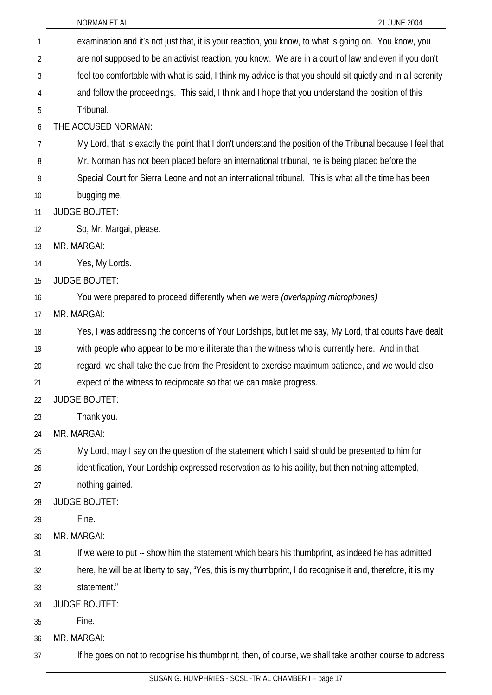37

| 1  | examination and it's not just that, it is your reaction, you know, to what is going on. You know, you        |
|----|--------------------------------------------------------------------------------------------------------------|
| 2  | are not supposed to be an activist reaction, you know. We are in a court of law and even if you don't        |
| 3  | feel too comfortable with what is said, I think my advice is that you should sit quietly and in all serenity |
| 4  | and follow the proceedings. This said, I think and I hope that you understand the position of this           |
| 5  | Tribunal.                                                                                                    |
| 6  | THE ACCUSED NORMAN:                                                                                          |
| 7  | My Lord, that is exactly the point that I don't understand the position of the Tribunal because I feel that  |
| 8  | Mr. Norman has not been placed before an international tribunal, he is being placed before the               |
| 9  | Special Court for Sierra Leone and not an international tribunal. This is what all the time has been         |
| 10 | bugging me.                                                                                                  |
| 11 | <b>JUDGE BOUTET:</b>                                                                                         |
| 12 | So, Mr. Margai, please.                                                                                      |
| 13 | MR. MARGAI:                                                                                                  |
| 14 | Yes, My Lords.                                                                                               |
| 15 | <b>JUDGE BOUTET:</b>                                                                                         |
| 16 | You were prepared to proceed differently when we were (overlapping microphones)                              |
| 17 | MR. MARGAI:                                                                                                  |
| 18 | Yes, I was addressing the concerns of Your Lordships, but let me say, My Lord, that courts have dealt        |
| 19 | with people who appear to be more illiterate than the witness who is currently here. And in that             |
| 20 | regard, we shall take the cue from the President to exercise maximum patience, and we would also             |
| 21 | expect of the witness to reciprocate so that we can make progress.                                           |
| 22 | <b>JUDGE BOUTET:</b>                                                                                         |
| 23 | Thank you.                                                                                                   |
| 24 | MR. MARGAI:                                                                                                  |
| 25 | My Lord, may I say on the question of the statement which I said should be presented to him for              |
| 26 | identification, Your Lordship expressed reservation as to his ability, but then nothing attempted,           |
| 27 | nothing gained.                                                                                              |
| 28 | <b>JUDGE BOUTET:</b>                                                                                         |
| 29 | Fine.                                                                                                        |
| 30 | MR. MARGAI:                                                                                                  |
| 31 | If we were to put -- show him the statement which bears his thumbprint, as indeed he has admitted            |
| 32 | here, he will be at liberty to say, "Yes, this is my thumbprint, I do recognise it and, therefore, it is my  |
| 33 | statement."                                                                                                  |
| 34 | <b>JUDGE BOUTET:</b>                                                                                         |
| 35 | Fine.                                                                                                        |
| 36 | MR. MARGAI:                                                                                                  |

SUSAN G. HUMPHRIES - SCSL -TRIAL CHAMBER I – page 17

If he goes on not to recognise his thumbprint, then, of course, we shall take another course to address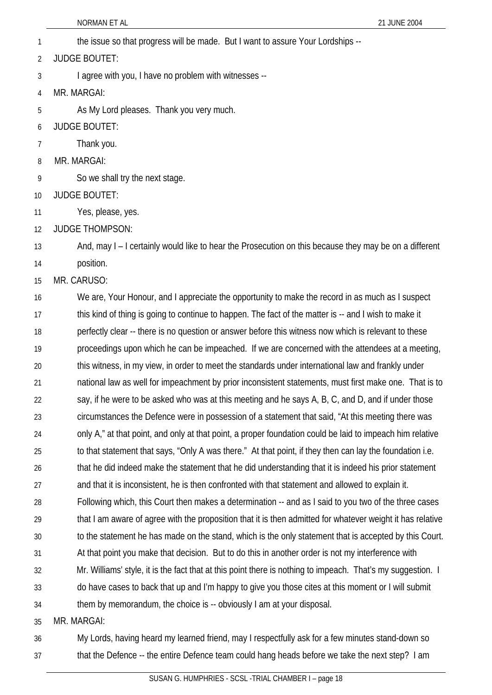NORMAN ET AL 2004 1 the issue so that progress will be made. But I want to assure Your Lordships -- 2 3 4 5 6 7 8 9 10 11 12 13 14 15 16 17 18 19 20 JUDGE BOUTET: I agree with you, I have no problem with witnesses -- MR. MARGAI: As My Lord pleases. Thank you very much. JUDGE BOUTET: Thank you. MR. MARGAI: So we shall try the next stage. JUDGE BOUTET: Yes, please, yes. JUDGE THOMPSON: And, may I – I certainly would like to hear the Prosecution on this because they may be on a different position. MR. CARUSO: We are, Your Honour, and I appreciate the opportunity to make the record in as much as I suspect this kind of thing is going to continue to happen. The fact of the matter is -- and I wish to make it perfectly clear -- there is no question or answer before this witness now which is relevant to these proceedings upon which he can be impeached. If we are concerned with the attendees at a meeting, this witness, in my view, in order to meet the standards under international law and frankly under

21 national law as well for impeachment by prior inconsistent statements, must first make one. That is to

22 23 say, if he were to be asked who was at this meeting and he says A, B, C, and D, and if under those circumstances the Defence were in possession of a statement that said, "At this meeting there was

24 only A," at that point, and only at that point, a proper foundation could be laid to impeach him relative

25 to that statement that says, "Only A was there." At that point, if they then can lay the foundation i.e.

26 that he did indeed make the statement that he did understanding that it is indeed his prior statement

27 and that it is inconsistent, he is then confronted with that statement and allowed to explain it.

28 29 Following which, this Court then makes a determination -- and as I said to you two of the three cases that I am aware of agree with the proposition that it is then admitted for whatever weight it has relative

30 to the statement he has made on the stand, which is the only statement that is accepted by this Court.

31 At that point you make that decision. But to do this in another order is not my interference with

32 Mr. Williams' style, it is the fact that at this point there is nothing to impeach. That's my suggestion. I

33 do have cases to back that up and I'm happy to give you those cites at this moment or I will submit

34 them by memorandum, the choice is -- obviously I am at your disposal.

35 MR. MARGAI:

#### 36 37 My Lords, having heard my learned friend, may I respectfully ask for a few minutes stand-down so that the Defence -- the entire Defence team could hang heads before we take the next step? I am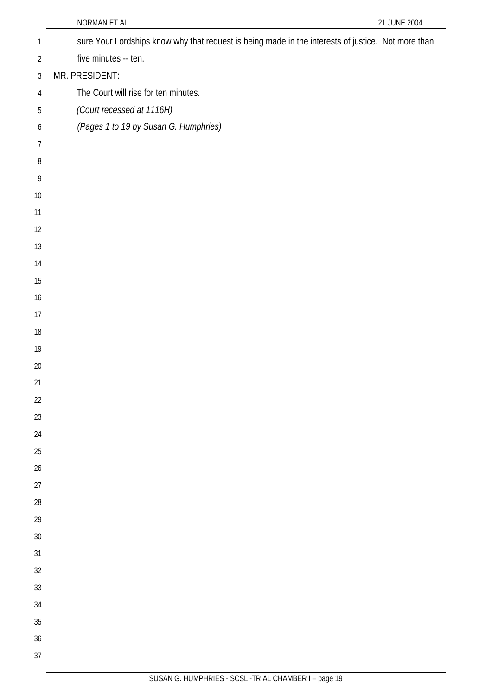|                | NORMAN ET AL                                                                                       | 21 JUNE 2004 |
|----------------|----------------------------------------------------------------------------------------------------|--------------|
| $\mathbf{1}$   | sure Your Lordships know why that request is being made in the interests of justice. Not more than |              |
| $\overline{2}$ | five minutes -- ten.                                                                               |              |
| $\mathfrak{Z}$ | MR. PRESIDENT:                                                                                     |              |
| $\overline{4}$ | The Court will rise for ten minutes.                                                               |              |
| 5              | (Court recessed at 1116H)                                                                          |              |
| 6              | (Pages 1 to 19 by Susan G. Humphries)                                                              |              |
| $\overline{7}$ |                                                                                                    |              |
| $8\,$          |                                                                                                    |              |
| $\,9$          |                                                                                                    |              |
| 10             |                                                                                                    |              |
| 11             |                                                                                                    |              |
| 12             |                                                                                                    |              |
| 13             |                                                                                                    |              |
| 14             |                                                                                                    |              |
| 15             |                                                                                                    |              |
| 16             |                                                                                                    |              |
| 17             |                                                                                                    |              |
| 18             |                                                                                                    |              |
| 19             |                                                                                                    |              |
| 20             |                                                                                                    |              |
| 21             |                                                                                                    |              |
| 22             |                                                                                                    |              |
| 23<br>24       |                                                                                                    |              |
| 25             |                                                                                                    |              |
| 26             |                                                                                                    |              |
| 27             |                                                                                                    |              |
| 28             |                                                                                                    |              |
| 29             |                                                                                                    |              |
| 30             |                                                                                                    |              |
| 31             |                                                                                                    |              |
| 32             |                                                                                                    |              |
| 33             |                                                                                                    |              |
| 34             |                                                                                                    |              |
| 35             |                                                                                                    |              |
| 36             |                                                                                                    |              |
| 37             |                                                                                                    |              |
|                |                                                                                                    |              |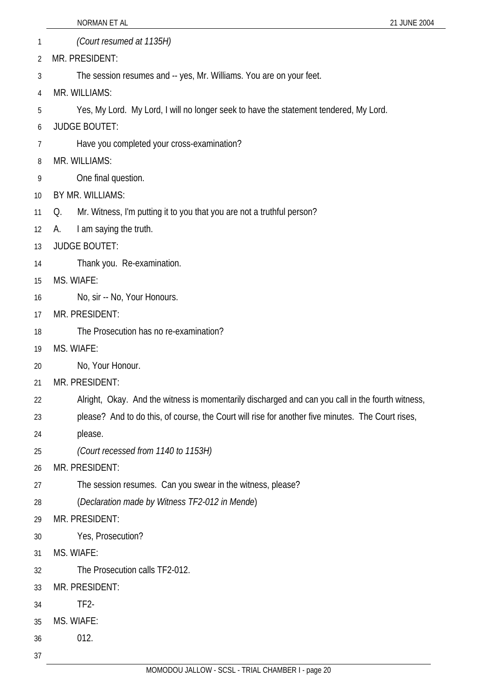- 1 2 *(Court resumed at 1135H)* MR. PRESIDENT:
- 3 The session resumes and -- yes, Mr. Williams. You are on your feet.
- 4 MR. WILLIAMS:
- 5 Yes, My Lord. My Lord, I will no longer seek to have the statement tendered, My Lord.
- 6 JUDGE BOUTET:
- 7 Have you completed your cross-examination?
- 8 MR. WILLIAMS:
- 9 One final question.
- 10 BY MR. WILLIAMS:
- 11 Q. Mr. Witness, I'm putting it to you that you are not a truthful person?
- 12 A. I am saying the truth.
- 13 JUDGE BOUTET:
- 14 Thank you. Re-examination.
- 15 MS. WIAFE:
- 16 No, sir -- No, Your Honours.
- 17 MR. PRESIDENT:
- 18 The Prosecution has no re-examination?
- 19 MS. WIAFE:
- 20 No, Your Honour.
- 21 MR. PRESIDENT:
- 22 Alright, Okay. And the witness is momentarily discharged and can you call in the fourth witness,
- 23 please? And to do this, of course, the Court will rise for another five minutes. The Court rises,
- 24 please.
- 25 *(Court recessed from 1140 to 1153H)*
- 26 MR. PRESIDENT:
- 27 The session resumes. Can you swear in the witness, please?
- 28 (*Declaration made by Witness TF2-012 in Mende*)
- 29 MR. PRESIDENT:
- 30 Yes, Prosecution?
- 31 MS. WIAFE:
- 32 The Prosecution calls TF2-012.
- 33 MR. PRESIDENT:
- 34 TF2-
- 35 MS. WIAFE:
- 36 012.
- 37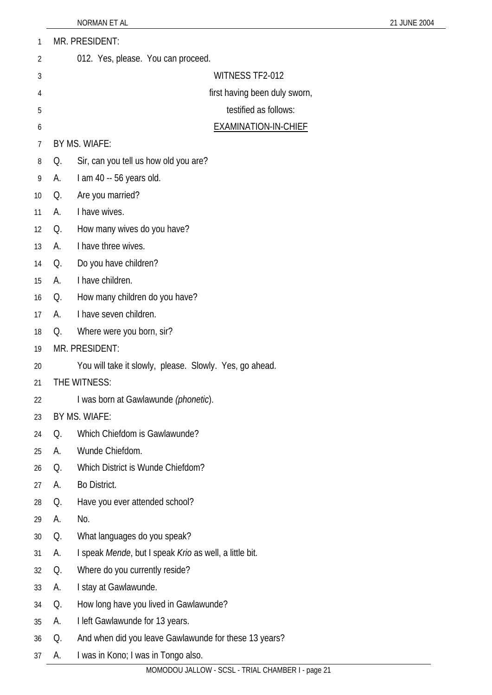| 1  |                | MR. PRESIDENT:                                          |
|----|----------------|---------------------------------------------------------|
| 2  |                | 012. Yes, please. You can proceed.                      |
| 3  |                | WITNESS TF2-012                                         |
| 4  |                | first having been duly sworn,                           |
| 5  |                | testified as follows:                                   |
| 6  |                | <b>EXAMINATION-IN-CHIEF</b>                             |
| 7  |                | BY MS. WIAFE:                                           |
| 8  | Q.             | Sir, can you tell us how old you are?                   |
| 9  | А.             | I am 40 -- 56 years old.                                |
| 10 | Q.             | Are you married?                                        |
| 11 | А.             | I have wives.                                           |
| 12 | Q.             | How many wives do you have?                             |
| 13 | А.             | I have three wives.                                     |
| 14 | Q.             | Do you have children?                                   |
| 15 | А.             | I have children.                                        |
| 16 | Q.             | How many children do you have?                          |
| 17 | А.             | I have seven children.                                  |
| 18 | Q.             | Where were you born, sir?                               |
| 19 | MR. PRESIDENT: |                                                         |
| 20 |                | You will take it slowly, please. Slowly. Yes, go ahead. |
| 21 |                | THE WITNESS:                                            |
| 22 |                | I was born at Gawlawunde (phonetic).                    |
| 23 |                | BY MS. WIAFE:                                           |
| 24 | Q.             | Which Chiefdom is Gawlawunde?                           |
| 25 | А.             | Wunde Chiefdom.                                         |
| 26 | Q.             | Which District is Wunde Chiefdom?                       |
| 27 | А.             | Bo District.                                            |
| 28 | Q.             | Have you ever attended school?                          |
| 29 | А.             | No.                                                     |
| 30 | Q.             | What languages do you speak?                            |
| 31 | А.             | I speak Mende, but I speak Krio as well, a little bit.  |
| 32 | Q.             | Where do you currently reside?                          |
| 33 | А.             | I stay at Gawlawunde.                                   |
| 34 | Q.             | How long have you lived in Gawlawunde?                  |
| 35 | А.             | I left Gawlawunde for 13 years.                         |
| 36 | Q.             | And when did you leave Gawlawunde for these 13 years?   |
| 37 | A.             | I was in Kono; I was in Tongo also.                     |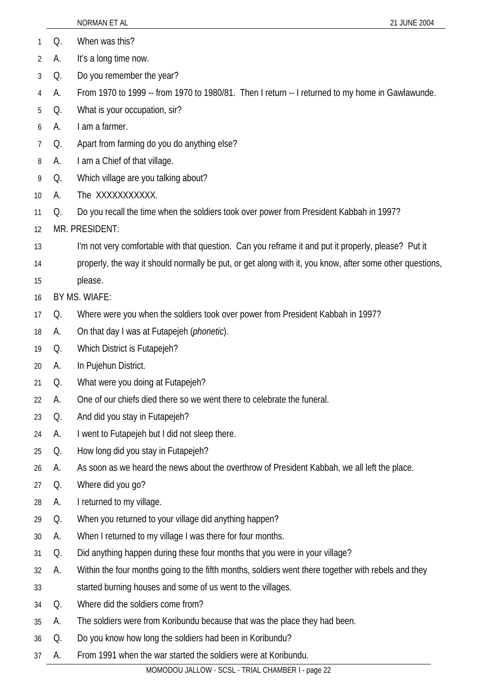|                |    | NORMAN ET AL<br>21 JUNE 2004                                                                             |
|----------------|----|----------------------------------------------------------------------------------------------------------|
| 1              | Q. | When was this?                                                                                           |
| $\overline{2}$ | А. | It's a long time now.                                                                                    |
| 3              | Q. | Do you remember the year?                                                                                |
| 4              | А. | From 1970 to 1999 -- from 1970 to 1980/81. Then I return -- I returned to my home in Gawlawunde.         |
| 5              | Q. | What is your occupation, sir?                                                                            |
| 6              | А. | I am a farmer.                                                                                           |
| 7              | Q. | Apart from farming do you do anything else?                                                              |
| 8              | А. | I am a Chief of that village.                                                                            |
| 9              | Q. | Which village are you talking about?                                                                     |
| 10             | А. | The XXXXXXXXXX.                                                                                          |
| 11             | Q. | Do you recall the time when the soldiers took over power from President Kabbah in 1997?                  |
| 12             |    | MR. PRESIDENT:                                                                                           |
| 13             |    | I'm not very comfortable with that question. Can you reframe it and put it properly, please? Put it      |
| 14             |    | properly, the way it should normally be put, or get along with it, you know, after some other questions, |
| 15             |    | please.                                                                                                  |
| 16             |    | BY MS. WIAFE:                                                                                            |
| 17             | Q. | Where were you when the soldiers took over power from President Kabbah in 1997?                          |
| 18             | A. | On that day I was at Futapejeh ( <i>phonetic</i> ).                                                      |
| 19             | Q. | Which District is Futapejeh?                                                                             |
| 20             | А. | In Pujehun District.                                                                                     |
| 21             | Q. | What were you doing at Futapejeh?                                                                        |
| 22             | А. | One of our chiefs died there so we went there to celebrate the funeral.                                  |
| 23             | Q. | And did you stay in Futapejeh?                                                                           |
| 24             | А. | I went to Futapejeh but I did not sleep there.                                                           |
| 25             | Q. | How long did you stay in Futapejeh?                                                                      |
| 26             | А. | As soon as we heard the news about the overthrow of President Kabbah, we all left the place.             |
| 27             | Q. | Where did you go?                                                                                        |
| 28             | А. | I returned to my village.                                                                                |
| 29             | Q. | When you returned to your village did anything happen?                                                   |
| 30             | А. | When I returned to my village I was there for four months.                                               |
| 31             | Q. | Did anything happen during these four months that you were in your village?                              |
| 32             | А. | Within the four months going to the fifth months, soldiers went there together with rebels and they      |
| 33             |    | started burning houses and some of us went to the villages.                                              |
| 34             | Q. | Where did the soldiers come from?                                                                        |
| 35             | А. | The soldiers were from Koribundu because that was the place they had been.                               |
| 36             | Q. | Do you know how long the soldiers had been in Koribundu?                                                 |
| 37             | A. | From 1991 when the war started the soldiers were at Koribundu.                                           |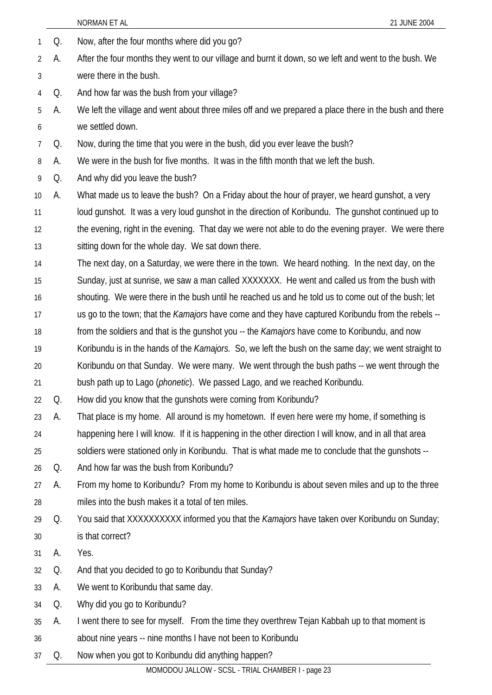|    |    | NORMAN ET AL<br>21 JUNE 2004                                                                                 |
|----|----|--------------------------------------------------------------------------------------------------------------|
| 1  | Q. | Now, after the four months where did you go?                                                                 |
| 2  | А. | After the four months they went to our village and burnt it down, so we left and went to the bush. We        |
| 3  |    | were there in the bush.                                                                                      |
| 4  | Q. | And how far was the bush from your village?                                                                  |
| 5  | А. | We left the village and went about three miles off and we prepared a place there in the bush and there       |
| 6  |    | we settled down.                                                                                             |
| 7  | Q. | Now, during the time that you were in the bush, did you ever leave the bush?                                 |
| 8  | А. | We were in the bush for five months. It was in the fifth month that we left the bush.                        |
| 9  | Q. | And why did you leave the bush?                                                                              |
| 10 | А. | What made us to leave the bush? On a Friday about the hour of prayer, we heard gunshot, a very               |
| 11 |    | loud gunshot. It was a very loud gunshot in the direction of Koribundu. The gunshot continued up to          |
| 12 |    | the evening, right in the evening. That day we were not able to do the evening prayer. We were there         |
| 13 |    | sitting down for the whole day. We sat down there.                                                           |
| 14 |    | The next day, on a Saturday, we were there in the town. We heard nothing. In the next day, on the            |
| 15 |    | Sunday, just at sunrise, we saw a man called XXXXXXX. He went and called us from the bush with               |
| 16 |    | shouting. We were there in the bush until he reached us and he told us to come out of the bush; let          |
| 17 |    | us go to the town; that the Kamajors have come and they have captured Koribundu from the rebels --           |
| 18 |    | from the soldiers and that is the gunshot you -- the <i>Kamajors</i> have come to Koribundu, and now         |
| 19 |    | Koribundu is in the hands of the <i>Kamajors</i> . So, we left the bush on the same day; we went straight to |
| 20 |    | Koribundu on that Sunday. We were many. We went through the bush paths -- we went through the                |
| 21 |    | bush path up to Lago (phonetic). We passed Lago, and we reached Koribundu.                                   |
| 22 | Q. | How did you know that the gunshots were coming from Koribundu?                                               |
| 23 | А. | That place is my home. All around is my hometown. If even here were my home, if something is                 |
| 24 |    | happening here I will know. If it is happening in the other direction I will know, and in all that area      |
| 25 |    | soldiers were stationed only in Koribundu. That is what made me to conclude that the gunshots --             |
| 26 | Q. | And how far was the bush from Koribundu?                                                                     |
| 27 | А. | From my home to Koribundu? From my home to Koribundu is about seven miles and up to the three                |
| 28 |    | miles into the bush makes it a total of ten miles.                                                           |
| 29 | Q. | You said that XXXXXXXXX informed you that the Kamajors have taken over Koribundu on Sunday;                  |
| 30 |    | is that correct?                                                                                             |
| 31 | А. | Yes.                                                                                                         |
| 32 | Q. | And that you decided to go to Koribundu that Sunday?                                                         |
| 33 | А. | We went to Koribundu that same day.                                                                          |
| 34 | Q. | Why did you go to Koribundu?                                                                                 |
| 35 | А. | I went there to see for myself. From the time they overthrew Tejan Kabbah up to that moment is               |
| 36 |    | about nine years -- nine months I have not been to Koribundu                                                 |
| 37 | Q. | Now when you got to Koribundu did anything happen?                                                           |
|    |    | MOMODOU JALLOW - SCSL - TRIAL CHAMBER I - page 23                                                            |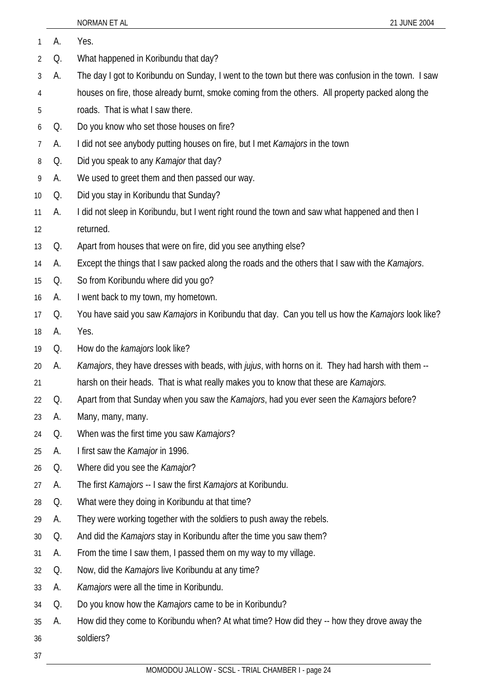| 1              | А. | Yes.                                                                                                |
|----------------|----|-----------------------------------------------------------------------------------------------------|
| $\overline{2}$ | Q. | What happened in Koribundu that day?                                                                |
| 3              | А. | The day I got to Koribundu on Sunday, I went to the town but there was confusion in the town. I saw |
| 4              |    | houses on fire, those already burnt, smoke coming from the others. All property packed along the    |
| 5              |    | roads. That is what I saw there.                                                                    |
| 6              | Q. | Do you know who set those houses on fire?                                                           |
| 7              | А. | I did not see anybody putting houses on fire, but I met Kamajors in the town                        |
| 8              | Q. | Did you speak to any Kamajor that day?                                                              |
| 9              | А. | We used to greet them and then passed our way.                                                      |
| 10             | Q. | Did you stay in Koribundu that Sunday?                                                              |
| 11             | А. | I did not sleep in Koribundu, but I went right round the town and saw what happened and then I      |
| 12             |    | returned.                                                                                           |
| 13             | Q. | Apart from houses that were on fire, did you see anything else?                                     |
| 14             | А. | Except the things that I saw packed along the roads and the others that I saw with the Kamajors.    |
| 15             | Q. | So from Koribundu where did you go?                                                                 |
| 16             | А. | I went back to my town, my hometown.                                                                |
| 17             | Q. | You have said you saw Kamajors in Koribundu that day. Can you tell us how the Kamajors look like?   |
| 18             | А. | Yes.                                                                                                |
| 19             | Q. | How do the kamajors look like?                                                                      |
| 20             | А. | Kamajors, they have dresses with beads, with jujus, with horns on it. They had harsh with them --   |
| 21             |    | harsh on their heads. That is what really makes you to know that these are Kamajors.                |
| 22             | Q. | Apart from that Sunday when you saw the Kamajors, had you ever seen the Kamajors before?            |
| 23             | А. | Many, many, many.                                                                                   |
| 24             | Q. | When was the first time you saw Kamajors?                                                           |
| 25             | А. | I first saw the Kamajor in 1996.                                                                    |
| 26             | Q. | Where did you see the Kamajor?                                                                      |
| 27             | А. | The first Kamajors -- I saw the first Kamajors at Koribundu.                                        |
| 28             | Q. | What were they doing in Koribundu at that time?                                                     |
| 29             | А. | They were working together with the soldiers to push away the rebels.                               |
| 30             | Q. | And did the Kamajors stay in Koribundu after the time you saw them?                                 |
| 31             | А. | From the time I saw them, I passed them on my way to my village.                                    |
| 32             | Q. | Now, did the Kamajors live Koribundu at any time?                                                   |
| 33             | А. | Kamajors were all the time in Koribundu.                                                            |
| 34             | Q. | Do you know how the Kamajors came to be in Koribundu?                                               |
| 35             | А. | How did they come to Koribundu when? At what time? How did they -- how they drove away the          |
| 36             |    | soldiers?                                                                                           |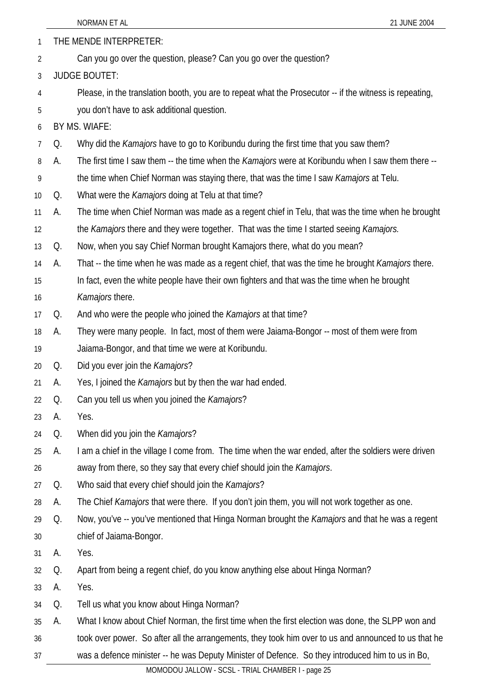|                |    | NORMAN ET AL<br>21 JUNE 2004                                                                              |
|----------------|----|-----------------------------------------------------------------------------------------------------------|
| 1              |    | THE MENDE INTERPRETER:                                                                                    |
| $\overline{2}$ |    | Can you go over the question, please? Can you go over the question?                                       |
| 3              |    | <b>JUDGE BOUTET:</b>                                                                                      |
| 4              |    | Please, in the translation booth, you are to repeat what the Prosecutor -- if the witness is repeating,   |
| 5              |    | you don't have to ask additional question.                                                                |
| 6              |    | BY MS. WIAFE:                                                                                             |
| 7              | Q. | Why did the <i>Kamajors</i> have to go to Koribundu during the first time that you saw them?              |
| 8              | А. | The first time I saw them -- the time when the <i>Kamajors</i> were at Koribundu when I saw them there -- |
| 9              |    | the time when Chief Norman was staying there, that was the time I saw <i>Kamajors</i> at Telu.            |
| 10             | Q. | What were the <i>Kamajors</i> doing at Telu at that time?                                                 |
| 11             | А. | The time when Chief Norman was made as a regent chief in Telu, that was the time when he brought          |
| 12             |    | the Kamajors there and they were together. That was the time I started seeing Kamajors.                   |
| 13             | Q. | Now, when you say Chief Norman brought Kamajors there, what do you mean?                                  |
| 14             | А. | That -- the time when he was made as a regent chief, that was the time he brought <i>Kamajors</i> there.  |
| 15             |    | In fact, even the white people have their own fighters and that was the time when he brought              |
| 16             |    | Kamajors there.                                                                                           |
| 17             | Q. | And who were the people who joined the <i>Kamajors</i> at that time?                                      |
| 18             | А. | They were many people. In fact, most of them were Jaiama-Bongor -- most of them were from                 |
| 19             |    | Jaiama-Bongor, and that time we were at Koribundu.                                                        |
| 20             | Q. | Did you ever join the Kamajors?                                                                           |
| 21             | А. | Yes, I joined the Kamajors but by then the war had ended.                                                 |
| 22             | Q. | Can you tell us when you joined the Kamajors?                                                             |
| 23             | А. | Yes.                                                                                                      |
| 24             | Q. | When did you join the Kamajors?                                                                           |
| 25             | А. | I am a chief in the village I come from. The time when the war ended, after the soldiers were driven      |
| 26             |    | away from there, so they say that every chief should join the Kamajors.                                   |
| 27             | Q. | Who said that every chief should join the Kamajors?                                                       |
| 28             | А. | The Chief Kamajors that were there. If you don't join them, you will not work together as one.            |
| 29             | Q. | Now, you've -- you've mentioned that Hinga Norman brought the Kamajors and that he was a regent           |
| 30             |    | chief of Jaiama-Bongor.                                                                                   |
|                |    |                                                                                                           |

- 31 A. Yes.
- 32 Q. Apart from being a regent chief, do you know anything else about Hinga Norman?
- 33 A. Yes.
- 34 Q. Tell us what you know about Hinga Norman?
- 35 A. What I know about Chief Norman, the first time when the first election was done, the SLPP won and
- 36 took over power. So after all the arrangements, they took him over to us and announced to us that he
- 37 was a defence minister -- he was Deputy Minister of Defence. So they introduced him to us in Bo,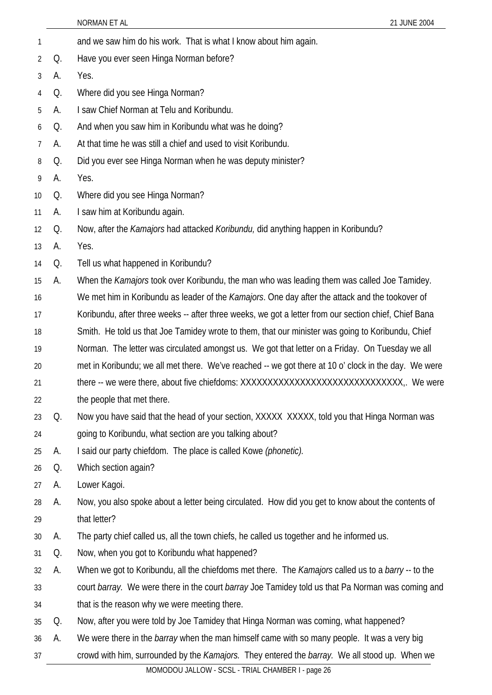|    |    | NORMAN ET AL<br>21 JUNE 2004                                                                            |
|----|----|---------------------------------------------------------------------------------------------------------|
| 1  |    | and we saw him do his work. That is what I know about him again.                                        |
| 2  | Q. | Have you ever seen Hinga Norman before?                                                                 |
| 3  | А. | Yes.                                                                                                    |
| 4  | Q. | Where did you see Hinga Norman?                                                                         |
| 5  | А. | I saw Chief Norman at Telu and Koribundu.                                                               |
| 6  | Q. | And when you saw him in Koribundu what was he doing?                                                    |
| 7  | А. | At that time he was still a chief and used to visit Koribundu.                                          |
| 8  | Q. | Did you ever see Hinga Norman when he was deputy minister?                                              |
| 9  | А. | Yes.                                                                                                    |
| 10 | Q. | Where did you see Hinga Norman?                                                                         |
| 11 | А. | I saw him at Koribundu again.                                                                           |
| 12 | Q. | Now, after the <i>Kamajors</i> had attacked <i>Koribundu</i> , did anything happen in Koribundu?        |
| 13 | А. | Yes.                                                                                                    |
| 14 | Q. | Tell us what happened in Koribundu?                                                                     |
| 15 | А. | When the Kamajors took over Koribundu, the man who was leading them was called Joe Tamidey.             |
| 16 |    | We met him in Koribundu as leader of the <i>Kamajors</i> . One day after the attack and the tookover of |
| 17 |    | Koribundu, after three weeks -- after three weeks, we got a letter from our section chief, Chief Bana   |
| 18 |    | Smith. He told us that Joe Tamidey wrote to them, that our minister was going to Koribundu, Chief       |
| 19 |    | Norman. The letter was circulated amongst us. We got that letter on a Friday. On Tuesday we all         |
| 20 |    | met in Koribundu; we all met there. We've reached -- we got there at 10 o' clock in the day. We were    |
| 21 |    | there -- we were there, about five chiefdoms: XXXXXXXXXXXXXXXXXXXXXXXXXXXXX,. We were                   |
| 22 |    | the people that met there.                                                                              |
| 23 | Q. | Now you have said that the head of your section, XXXXX XXXXX, told you that Hinga Norman was            |
| 24 |    | going to Koribundu, what section are you talking about?                                                 |
| 25 | A. | I said our party chiefdom. The place is called Kowe (phonetic).                                         |
| 26 | Q. | Which section again?                                                                                    |
| 27 | A. | Lower Kagoi.                                                                                            |
| 28 | A. | Now, you also spoke about a letter being circulated. How did you get to know about the contents of      |
| 29 |    | that letter?                                                                                            |
| 30 | А. | The party chief called us, all the town chiefs, he called us together and he informed us.               |
| 31 | Q. | Now, when you got to Koribundu what happened?                                                           |
| 32 | А. | When we got to Koribundu, all the chiefdoms met there. The Kamajors called us to a barry -- to the      |
| 33 |    | court barray. We were there in the court barray Joe Tamidey told us that Pa Norman was coming and       |
| 34 |    | that is the reason why we were meeting there.                                                           |
| 35 | Q. | Now, after you were told by Joe Tamidey that Hinga Norman was coming, what happened?                    |
| 36 | A. | We were there in the <i>barray</i> when the man himself came with so many people. It was a very big     |

crowd with him, surrounded by the *Kamajors.* They entered the *barray.* We all stood up. When we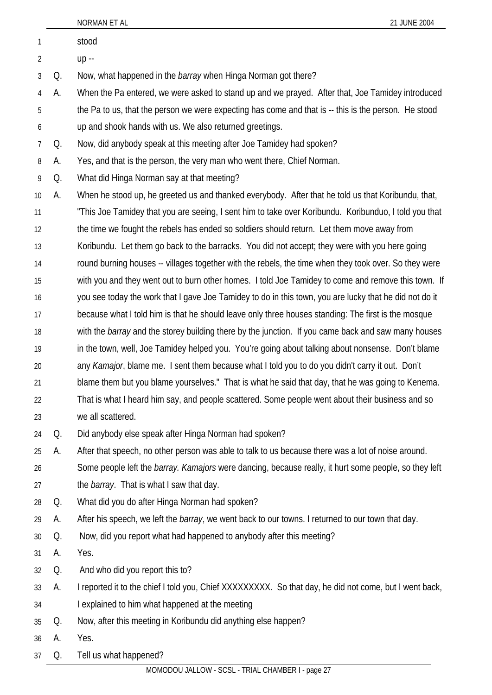| 1              |    | stood                                                                                                        |
|----------------|----|--------------------------------------------------------------------------------------------------------------|
| $\overline{2}$ |    | up --                                                                                                        |
| 3              | Q. | Now, what happened in the <i>barray</i> when Hinga Norman got there?                                         |
| 4              | А. | When the Pa entered, we were asked to stand up and we prayed. After that, Joe Tamidey introduced             |
| 5              |    | the Pa to us, that the person we were expecting has come and that is -- this is the person. He stood         |
| 6              |    | up and shook hands with us. We also returned greetings.                                                      |
| $\overline{7}$ | Q. | Now, did anybody speak at this meeting after Joe Tamidey had spoken?                                         |
| 8              | А. | Yes, and that is the person, the very man who went there, Chief Norman.                                      |
| 9              | Q. | What did Hinga Norman say at that meeting?                                                                   |
| 10             | А. | When he stood up, he greeted us and thanked everybody. After that he told us that Koribundu, that,           |
| 11             |    | "This Joe Tamidey that you are seeing, I sent him to take over Koribundu. Koribunduo, I told you that        |
| 12             |    | the time we fought the rebels has ended so soldiers should return. Let them move away from                   |
| 13             |    | Koribundu. Let them go back to the barracks. You did not accept; they were with you here going               |
| 14             |    | round burning houses -- villages together with the rebels, the time when they took over. So they were        |
| 15             |    | with you and they went out to burn other homes. I told Joe Tamidey to come and remove this town. If          |
| 16             |    | you see today the work that I gave Joe Tamidey to do in this town, you are lucky that he did not do it       |
| 17             |    | because what I told him is that he should leave only three houses standing: The first is the mosque          |
| 18             |    | with the <i>barray</i> and the storey building there by the junction. If you came back and saw many houses   |
| 19             |    | in the town, well, Joe Tamidey helped you. You're going about talking about nonsense. Don't blame            |
| 20             |    | any Kamajor, blame me. I sent them because what I told you to do you didn't carry it out. Don't              |
| 21             |    | blame them but you blame yourselves." That is what he said that day, that he was going to Kenema.            |
| 22             |    | That is what I heard him say, and people scattered. Some people went about their business and so             |
| 23             |    | we all scattered.                                                                                            |
| 24             | Q. | Did anybody else speak after Hinga Norman had spoken?                                                        |
| 25             | А. | After that speech, no other person was able to talk to us because there was a lot of noise around.           |
| 26             |    | Some people left the <i>barray. Kamajors</i> were dancing, because really, it hurt some people, so they left |
| 27             |    | the <i>barray</i> . That is what I saw that day.                                                             |
| 28             | Q. | What did you do after Hinga Norman had spoken?                                                               |
| 29             | A. | After his speech, we left the barray, we went back to our towns. I returned to our town that day.            |
| 30             | Q. | Now, did you report what had happened to anybody after this meeting?                                         |
| 31             | А. | Yes.                                                                                                         |
| 32             | Q. | And who did you report this to?                                                                              |
| 33             | A. | I reported it to the chief I told you, Chief XXXXXXXXX. So that day, he did not come, but I went back,       |
| 34             |    | I explained to him what happened at the meeting                                                              |
| 35             | Q. | Now, after this meeting in Koribundu did anything else happen?                                               |
| 36             | A. | Yes.                                                                                                         |
| 37             | Q. | Tell us what happened?                                                                                       |

NORMAN ET AL 21 JUNE 2004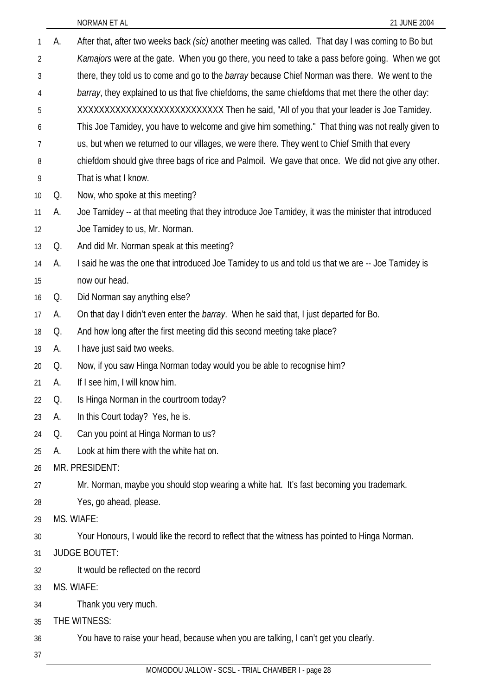| 1              | А. | After that, after two weeks back (sic) another meeting was called. That day I was coming to Bo but     |
|----------------|----|--------------------------------------------------------------------------------------------------------|
| $\overline{2}$ |    | Kamajors were at the gate. When you go there, you need to take a pass before going. When we got        |
| 3              |    | there, they told us to come and go to the <i>barray</i> because Chief Norman was there. We went to the |
| 4              |    | barray, they explained to us that five chiefdoms, the same chiefdoms that met there the other day:     |
| 5              |    | XXXXXXXXXXXXXXXXXXXXXXXXXXXX Then he said, "All of you that your leader is Joe Tamidey.                |
| 6              |    | This Joe Tamidey, you have to welcome and give him something." That thing was not really given to      |
| 7              |    | us, but when we returned to our villages, we were there. They went to Chief Smith that every           |
| 8              |    | chiefdom should give three bags of rice and Palmoil. We gave that once. We did not give any other.     |
| 9              |    | That is what I know.                                                                                   |
| 10             | Q. | Now, who spoke at this meeting?                                                                        |
| 11             | А. | Joe Tamidey -- at that meeting that they introduce Joe Tamidey, it was the minister that introduced    |
| 12             |    | Joe Tamidey to us, Mr. Norman.                                                                         |
| 13             | Q. | And did Mr. Norman speak at this meeting?                                                              |
| 14             | А. | I said he was the one that introduced Joe Tamidey to us and told us that we are -- Joe Tamidey is      |
| 15             |    | now our head.                                                                                          |
| 16             | Q. | Did Norman say anything else?                                                                          |
| 17             | A. | On that day I didn't even enter the <i>barray</i> . When he said that, I just departed for Bo.         |
| 18             | Q. | And how long after the first meeting did this second meeting take place?                               |
| 19             | А. | I have just said two weeks.                                                                            |
| 20             | Q. | Now, if you saw Hinga Norman today would you be able to recognise him?                                 |
| 21             | А. | If I see him, I will know him.                                                                         |
| 22             | Q. | Is Hinga Norman in the courtroom today?                                                                |
| 23             | А. | In this Court today? Yes, he is.                                                                       |
| 24             | Q. | Can you point at Hinga Norman to us?                                                                   |
| 25             | А. | Look at him there with the white hat on.                                                               |
| 26             |    | MR. PRESIDENT:                                                                                         |
| 27             |    | Mr. Norman, maybe you should stop wearing a white hat. It's fast becoming you trademark.               |
| 28             |    | Yes, go ahead, please.                                                                                 |
| 29             |    | MS. WIAFE:                                                                                             |
| 30             |    | Your Honours, I would like the record to reflect that the witness has pointed to Hinga Norman.         |
| 31             |    | <b>JUDGE BOUTET:</b>                                                                                   |
| 32             |    | It would be reflected on the record                                                                    |
| 33             |    | MS. WIAFE:                                                                                             |
| 34             |    | Thank you very much.                                                                                   |
| 35             |    | THE WITNESS:                                                                                           |
| 36             |    | You have to raise your head, because when you are talking, I can't get you clearly.                    |
| 37             |    |                                                                                                        |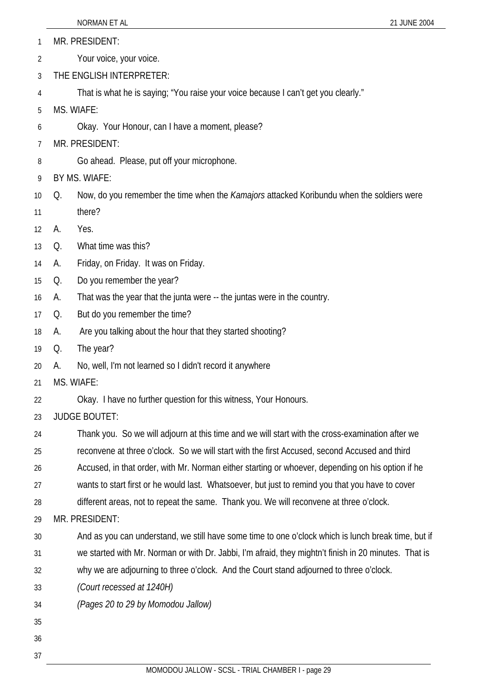- 1 MR. PRESIDENT:
- 2 Your voice, your voice.
- 3 THE ENGLISH INTERPRETER:
- 4 That is what he is saying; "You raise your voice because I can't get you clearly."
- 5 MS. WIAFE:
- 6 Okay. Your Honour, can I have a moment, please?
- 7 MR. PRESIDENT:
- 8 Go ahead. Please, put off your microphone.
- 9 BY MS. WIAFE:
- 10 Q. Now, do you remember the time when the *Kamajors* attacked Koribundu when the soldiers were
- 11 there?
- 12 A. Yes.
- 13 Q. What time was this?
- 14 A. Friday, on Friday. It was on Friday.
- 15 Q. Do you remember the year?
- 16 A. That was the year that the junta were -- the juntas were in the country.
- 17 Q. But do you remember the time?
- 18 A. Are you talking about the hour that they started shooting?
- 19 Q. The year?
- 20 A. No, well, I'm not learned so I didn't record it anywhere
- 21 MS. WIAFE:
- 22 Okay. I have no further question for this witness, Your Honours.
- 23 JUDGE BOUTET:
- 24 Thank you. So we will adjourn at this time and we will start with the cross-examination after we
- 25 reconvene at three o'clock. So we will start with the first Accused, second Accused and third
- 26 Accused, in that order, with Mr. Norman either starting or whoever, depending on his option if he
- 27 wants to start first or he would last. Whatsoever, but just to remind you that you have to cover
- 28 different areas, not to repeat the same. Thank you. We will reconvene at three o'clock.
- 29 MR. PRESIDENT:
- 30 31 And as you can understand, we still have some time to one o'clock which is lunch break time, but if
- 32 we started with Mr. Norman or with Dr. Jabbi, I'm afraid, they mightn't finish in 20 minutes. That is why we are adjourning to three o'clock. And the Court stand adjourned to three o'clock.
- 33  *(Court recessed at 1240H)*
- 34 *(Pages 20 to 29 by Momodou Jallow)*
- 35
- 36
- 37

MOMODOU JALLOW - SCSL - TRIAL CHAMBER I - page 29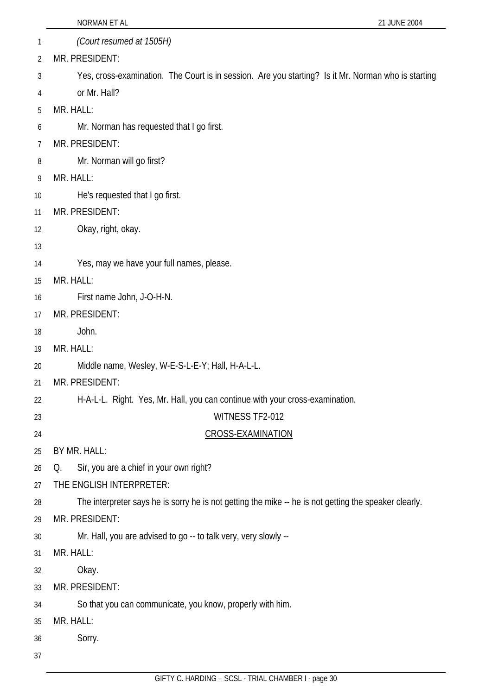|    | NORMAN ET AL<br>21 JUNE 2004                                                                          |
|----|-------------------------------------------------------------------------------------------------------|
| 1  | (Court resumed at 1505H)                                                                              |
| 2  | MR. PRESIDENT:                                                                                        |
| 3  | Yes, cross-examination. The Court is in session. Are you starting? Is it Mr. Norman who is starting   |
| 4  | or Mr. Hall?                                                                                          |
| 5  | MR. HALL:                                                                                             |
| 6  | Mr. Norman has requested that I go first.                                                             |
| 7  | MR. PRESIDENT:                                                                                        |
| 8  | Mr. Norman will go first?                                                                             |
| 9  | MR. HALL:                                                                                             |
| 10 | He's requested that I go first.                                                                       |
| 11 | MR. PRESIDENT:                                                                                        |
| 12 | Okay, right, okay.                                                                                    |
| 13 |                                                                                                       |
| 14 | Yes, may we have your full names, please.                                                             |
| 15 | MR. HALL:                                                                                             |
| 16 | First name John, J-O-H-N.                                                                             |
| 17 | MR. PRESIDENT:                                                                                        |
| 18 | John.                                                                                                 |
| 19 | MR. HALL:                                                                                             |
| 20 | Middle name, Wesley, W-E-S-L-E-Y; Hall, H-A-L-L.                                                      |
| 21 | MR. PRESIDENT:                                                                                        |
| 22 | H-A-L-L. Right. Yes, Mr. Hall, you can continue with your cross-examination.                          |
| 23 | WITNESS TF2-012                                                                                       |
| 24 | <b>CROSS-EXAMINATION</b>                                                                              |
| 25 | BY MR. HALL:                                                                                          |
| 26 | Sir, you are a chief in your own right?<br>Q.                                                         |
| 27 | THE ENGLISH INTERPRETER:                                                                              |
| 28 | The interpreter says he is sorry he is not getting the mike -- he is not getting the speaker clearly. |
| 29 | MR. PRESIDENT:                                                                                        |
| 30 | Mr. Hall, you are advised to go -- to talk very, very slowly --                                       |
| 31 | MR. HALL:                                                                                             |
| 32 | Okay.                                                                                                 |
| 33 | MR. PRESIDENT:                                                                                        |
| 34 | So that you can communicate, you know, properly with him.                                             |
| 35 | MR. HALL:                                                                                             |
| 36 | Sorry.                                                                                                |
| 37 |                                                                                                       |
|    |                                                                                                       |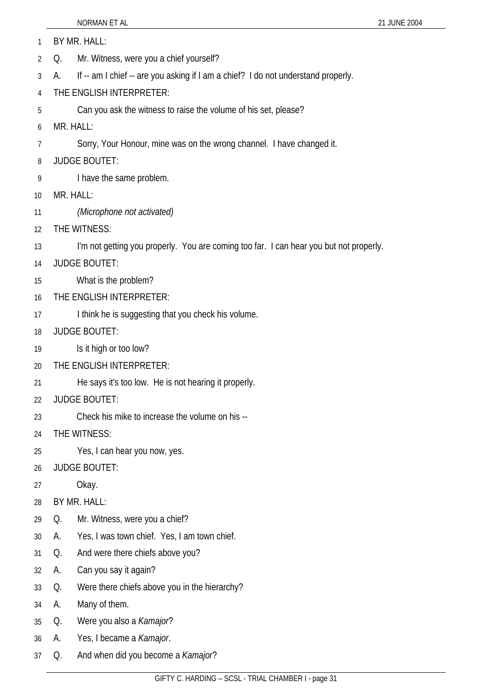NORMAN ET AL 2004 1 BY MR. HALL: Q. Mr. Witness, were you a chief yourself? A. If -- am I chief -- are you asking if I am a chief? I do not understand properly. THE ENGLISH INTERPRETER: Can you ask the witness to raise the volume of his set, please? MR. HALL: Sorry, Your Honour, mine was on the wrong channel. I have changed it. JUDGE BOUTET: I have the same problem. MR. HALL: *(Microphone not activated)* THE WITNESS: I'm not getting you properly. You are coming too far. I can hear you but not properly. JUDGE BOUTET: What is the problem? THE ENGLISH INTERPRETER: I think he is suggesting that you check his volume. JUDGE BOUTET: Is it high or too low? THE ENGLISH INTERPRETER: He says it's too low. He is not hearing it properly. JUDGE BOUTET: Check his mike to increase the volume on his -- THE WITNESS: Yes, I can hear you now, yes. JUDGE BOUTET: Okay. BY MR. HALL: Q. Mr. Witness, were you a chief? A. Yes, I was town chief. Yes, I am town chief. Q. And were there chiefs above you? A. Can you say it again? Q. Were there chiefs above you in the hierarchy? A. Many of them. Q. Were you also a *Kamajor*? A. Yes, I became a *Kamajor*. Q. And when did you become a *Kamajor*?

2

3

4

5 6

7

8

9

10

11

12

13

14 15

16

17

18

19

20

21

22

23

24

25

26

27

28

29

30

31

32

33

34 35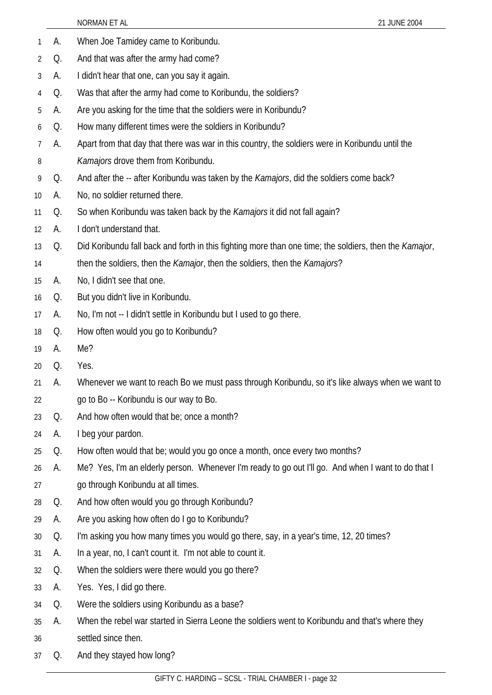| 1  | А. | When Joe Tamidey came to Koribundu.                                                                    |
|----|----|--------------------------------------------------------------------------------------------------------|
| 2  | Q. | And that was after the army had come?                                                                  |
| 3  | А. | I didn't hear that one, can you say it again.                                                          |
| 4  | Q. | Was that after the army had come to Koribundu, the soldiers?                                           |
| 5  | А. | Are you asking for the time that the soldiers were in Koribundu?                                       |
| 6  | Q. | How many different times were the soldiers in Koribundu?                                               |
| 7  | А. | Apart from that day that there was war in this country, the soldiers were in Koribundu until the       |
| 8  |    | Kamajors drove them from Koribundu.                                                                    |
| 9  | Q. | And after the -- after Koribundu was taken by the <i>Kamajors</i> , did the soldiers come back?        |
| 10 | А. | No, no soldier returned there.                                                                         |
| 11 | Q. | So when Koribundu was taken back by the Kamajors it did not fall again?                                |
| 12 | А. | I don't understand that.                                                                               |
| 13 | Q. | Did Koribundu fall back and forth in this fighting more than one time; the soldiers, then the Kamajor, |
| 14 |    | then the soldiers, then the <i>Kamajor</i> , then the soldiers, then the <i>Kamajors</i> ?             |
| 15 | А. | No, I didn't see that one.                                                                             |
| 16 | Q. | But you didn't live in Koribundu.                                                                      |
| 17 | А. | No, I'm not -- I didn't settle in Koribundu but I used to go there.                                    |
| 18 | Q. | How often would you go to Koribundu?                                                                   |
| 19 | А. | Me?                                                                                                    |
| 20 | Q. | Yes.                                                                                                   |
| 21 | А. | Whenever we want to reach Bo we must pass through Koribundu, so it's like always when we want to       |
| 22 |    | go to Bo -- Koribundu is our way to Bo.                                                                |
| 23 | Q. | And how often would that be; once a month?                                                             |
| 24 | А. | I beg your pardon.                                                                                     |
| 25 | Q. | How often would that be; would you go once a month, once every two months?                             |
| 26 | А. | Me? Yes, I'm an elderly person. Whenever I'm ready to go out I'll go. And when I want to do that I     |
| 27 |    | go through Koribundu at all times.                                                                     |
| 28 | Q. | And how often would you go through Koribundu?                                                          |
| 29 | А. | Are you asking how often do I go to Koribundu?                                                         |
| 30 | Q. | I'm asking you how many times you would go there, say, in a year's time, 12, 20 times?                 |
| 31 | А. | In a year, no, I can't count it. I'm not able to count it.                                             |
| 32 | Q. | When the soldiers were there would you go there?                                                       |
| 33 | А. | Yes. Yes, I did go there.                                                                              |
| 34 | Q. | Were the soldiers using Koribundu as a base?                                                           |
| 35 | А. | When the rebel war started in Sierra Leone the soldiers went to Koribundu and that's where they        |
| 36 |    | settled since then.                                                                                    |
| 37 | Q. | And they stayed how long?                                                                              |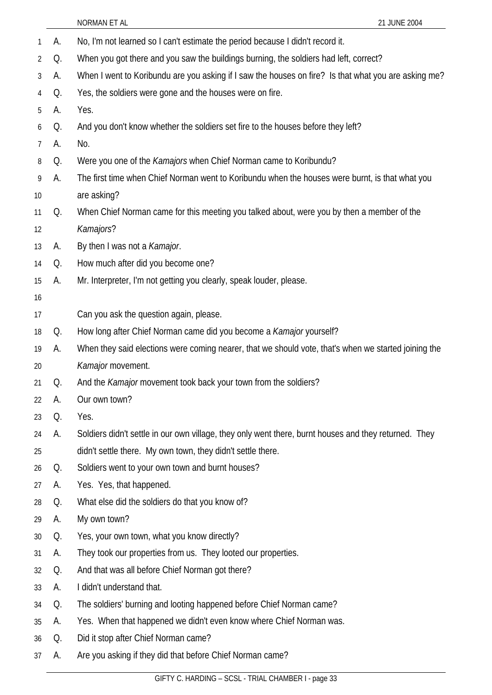| 1              | А. | No, I'm not learned so I can't estimate the period because I didn't record it.                        |
|----------------|----|-------------------------------------------------------------------------------------------------------|
| $\overline{2}$ | Q. | When you got there and you saw the buildings burning, the soldiers had left, correct?                 |
| 3              | А. | When I went to Koribundu are you asking if I saw the houses on fire? Is that what you are asking me?  |
| 4              | Q. | Yes, the soldiers were gone and the houses were on fire.                                              |
| 5              | А. | Yes.                                                                                                  |
| 6              | Q. | And you don't know whether the soldiers set fire to the houses before they left?                      |
| $\overline{7}$ | А. | No.                                                                                                   |
| 8              | Q. | Were you one of the Kamajors when Chief Norman came to Koribundu?                                     |
| 9              | А. | The first time when Chief Norman went to Koribundu when the houses were burnt, is that what you       |
| 10             |    | are asking?                                                                                           |
| 11             | Q. | When Chief Norman came for this meeting you talked about, were you by then a member of the            |
| 12             |    | Kamajors?                                                                                             |
| 13             | А. | By then I was not a <i>Kamajor</i> .                                                                  |
| 14             | Q. | How much after did you become one?                                                                    |
| 15             | А. | Mr. Interpreter, I'm not getting you clearly, speak louder, please.                                   |
| 16             |    |                                                                                                       |
| 17             |    | Can you ask the question again, please.                                                               |
| 18             | Q. | How long after Chief Norman came did you become a Kamajor yourself?                                   |
| 19             | А. | When they said elections were coming nearer, that we should vote, that's when we started joining the  |
| 20             |    | Kamajor movement.                                                                                     |
| 21             | Q. | And the Kamajor movement took back your town from the soldiers?                                       |
| 22             | А. | Our own town?                                                                                         |
| 23             | Q. | Yes.                                                                                                  |
| 24             | А. | Soldiers didn't settle in our own village, they only went there, burnt houses and they returned. They |
| 25             |    | didn't settle there. My own town, they didn't settle there.                                           |
| 26             | Q. | Soldiers went to your own town and burnt houses?                                                      |
| 27             | А. | Yes. Yes, that happened.                                                                              |
| 28             | Q. | What else did the soldiers do that you know of?                                                       |
| 29             | А. | My own town?                                                                                          |
| 30             | Q. | Yes, your own town, what you know directly?                                                           |
| 31             | А. | They took our properties from us. They looted our properties.                                         |
| 32             | Q. | And that was all before Chief Norman got there?                                                       |
| 33             | А. | I didn't understand that.                                                                             |
| 34             | Q. | The soldiers' burning and looting happened before Chief Norman came?                                  |
| 35             | А. | Yes. When that happened we didn't even know where Chief Norman was.                                   |
| 36             | Q. | Did it stop after Chief Norman came?                                                                  |
| 37             | A. | Are you asking if they did that before Chief Norman came?                                             |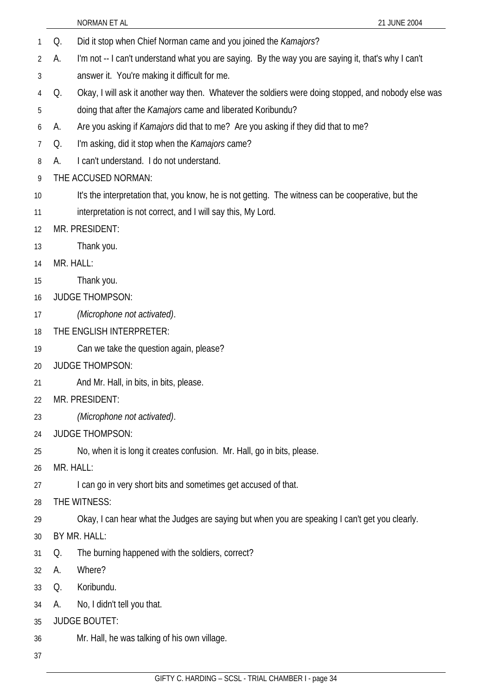- 1 Q. Did it stop when Chief Norman came and you joined the *Kamajors*?
- 2 A. I'm not -- I can't understand what you are saying. By the way you are saying it, that's why I can't
- 3 answer it. You're making it difficult for me.
- 4 5 Q. Okay, I will ask it another way then. Whatever the soldiers were doing stopped, and nobody else was doing that after the *Kamajors* came and liberated Koribundu?
- 6 A. Are you asking if *Kamajors* did that to me? Are you asking if they did that to me?
- 7 Q. I'm asking, did it stop when the *Kamajors* came?
- 8 A. I can't understand. I do not understand.
- 9 THE ACCUSED NORMAN:
- 10 It's the interpretation that, you know, he is not getting. The witness can be cooperative, but the
- 11 interpretation is not correct, and I will say this, My Lord.
- 12 MR. PRESIDENT:
- 13 Thank you.
- 14 MR. HALL:
- 15 Thank you.
- 16 JUDGE THOMPSON:
- 17 *(Microphone not activated)*.
- 18 THE ENGLISH INTERPRETER:
- 19 Can we take the question again, please?
- 20 JUDGE THOMPSON:
- 21 And Mr. Hall, in bits, in bits, please.
- 22 MR. PRESIDENT:
- 23 *(Microphone not activated)*.
- 24 JUDGE THOMPSON:
- 25 No, when it is long it creates confusion. Mr. Hall, go in bits, please.
- 26 MR. HALL:
- 27 I can go in very short bits and sometimes get accused of that.
- 28 THE WITNESS:
- 29 Okay, I can hear what the Judges are saying but when you are speaking I can't get you clearly.
- 30 BY MR. HALL:
- 31 Q. The burning happened with the soldiers, correct?
- 32 A. Where?
- 33 Q. Koribundu.
- 34 A. No, I didn't tell you that.
- 35 JUDGE BOUTET:
- 36 Mr. Hall, he was talking of his own village.
- 37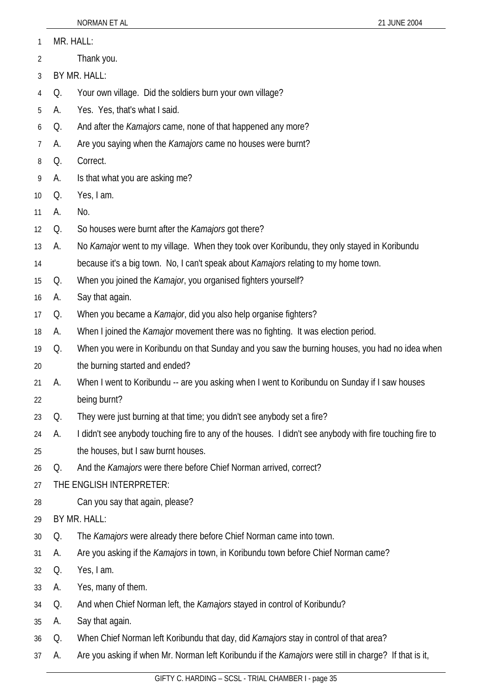MR. HALL: 1

Thank you. 2

3 BY MR. HALL:

4 Q. Your own village. Did the soldiers burn your own village?

5 A. Yes. Yes, that's what I said.

6 Q. And after the *Kamajors* came, none of that happened any more?

7 A. Are you saying when the *Kamajors* came no houses were burnt?

8 Q. Correct.

9 A. Is that what you are asking me?

10 Q. Yes, I am.

11 A. No.

12 Q. So houses were burnt after the *Kamajors* got there?

13 A. No *Kamajor* went to my village. When they took over Koribundu, they only stayed in Koribundu

14 because it's a big town. No, I can't speak about *Kamajors* relating to my home town.

15 Q. When you joined the *Kamajor*, you organised fighters yourself?

16 A. Say that again.

17 Q. When you became a *Kamajor*, did you also help organise fighters?

18 A. When I joined the *Kamajor* movement there was no fighting. It was election period.

19 20 Q. When you were in Koribundu on that Sunday and you saw the burning houses, you had no idea when the burning started and ended?

21 22 A. When I went to Koribundu -- are you asking when I went to Koribundu on Sunday if I saw houses being burnt?

23 Q. They were just burning at that time; you didn't see anybody set a fire?

24 25 A. I didn't see anybody touching fire to any of the houses. I didn't see anybody with fire touching fire to the houses, but I saw burnt houses.

26 Q. And the *Kamajors* were there before Chief Norman arrived, correct?

27 THE ENGLISH INTERPRETER:

28 Can you say that again, please?

29 BY MR. HALL:

30 Q. The *Kamajors* were already there before Chief Norman came into town.

31 A. Are you asking if the *Kamajors* in town, in Koribundu town before Chief Norman came?

32 Q. Yes, I am.

33 A. Yes, many of them.

34 Q. And when Chief Norman left, the *Kamajors* stayed in control of Koribundu?

35 A. Say that again.

36 Q. When Chief Norman left Koribundu that day, did *Kamajors* stay in control of that area?

37 A. Are you asking if when Mr. Norman left Koribundu if the *Kamajors* were still in charge? If that is it,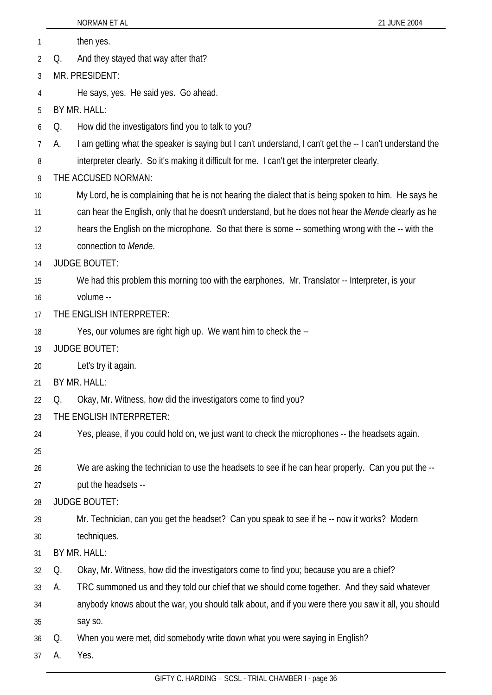1 then yes.

2 Q. And they stayed that way after that?

3 MR. PRESIDENT:

4 He says, yes. He said yes. Go ahead.

5 BY MR. HALL:

6 Q. How did the investigators find you to talk to you?

7 A. I am getting what the speaker is saying but I can't understand, I can't get the -- I can't understand the

8 interpreter clearly. So it's making it difficult for me. I can't get the interpreter clearly.

- 9 THE ACCUSED NORMAN:
- 10 My Lord, he is complaining that he is not hearing the dialect that is being spoken to him. He says he
- 11 can hear the English, only that he doesn't understand, but he does not hear the *Mende* clearly as he
- 12 hears the English on the microphone. So that there is some -- something wrong with the -- with the
- 13 connection to *Mende*.

14 JUDGE BOUTET:

- 15 We had this problem this morning too with the earphones. Mr. Translator -- Interpreter, is your
- 16 volume --
- 17 THE ENGLISH INTERPRETER:
- 18 Yes, our volumes are right high up. We want him to check the --
- 19 JUDGE BOUTET:
- 20 Let's try it again.
- 21 BY MR. HALL:
- 22 Q. Okay, Mr. Witness, how did the investigators come to find you?
- 23 THE ENGLISH INTERPRETER:
- 24 Yes, please, if you could hold on, we just want to check the microphones -- the headsets again.
- 25
- 26 We are asking the technician to use the headsets to see if he can hear properly. Can you put the --
- 27 put the headsets --
- 28 JUDGE BOUTET:
- 29 30 Mr. Technician, can you get the headset? Can you speak to see if he -- now it works? Modern techniques.
- 31 BY MR. HALL:
- 32 Q. Okay, Mr. Witness, how did the investigators come to find you; because you are a chief?
- 33 A. TRC summoned us and they told our chief that we should come together. And they said whatever
- 34 35 anybody knows about the war, you should talk about, and if you were there you saw it all, you should say so.
- 36 Q. When you were met, did somebody write down what you were saying in English?
- 37 A. Yes.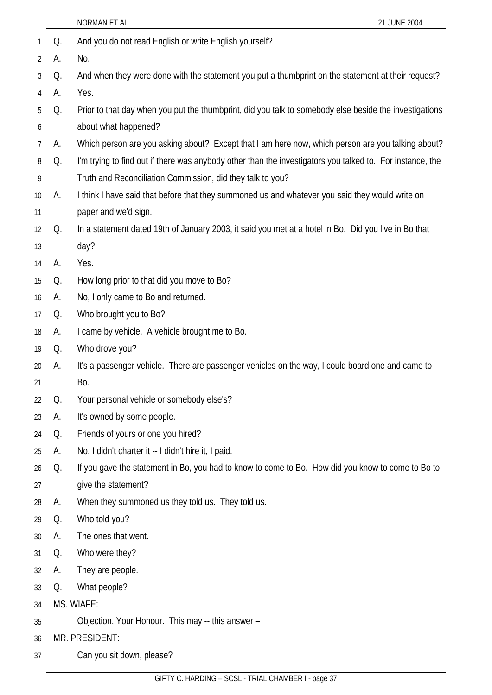|    |    | NORMAN ET AL<br>21 JUNE 2004                                                                              |
|----|----|-----------------------------------------------------------------------------------------------------------|
| 1  | Q. | And you do not read English or write English yourself?                                                    |
| 2  | А. | No.                                                                                                       |
| 3  | Q. | And when they were done with the statement you put a thumbprint on the statement at their request?        |
| 4  | А. | Yes.                                                                                                      |
| 5  | Q. | Prior to that day when you put the thumbprint, did you talk to somebody else beside the investigations    |
| 6  |    | about what happened?                                                                                      |
| 7  | А. | Which person are you asking about? Except that I am here now, which person are you talking about?         |
| 8  | Q. | I'm trying to find out if there was anybody other than the investigators you talked to. For instance, the |
| 9  |    | Truth and Reconciliation Commission, did they talk to you?                                                |
| 10 | А. | I think I have said that before that they summoned us and whatever you said they would write on           |
| 11 |    | paper and we'd sign.                                                                                      |
| 12 | Q. | In a statement dated 19th of January 2003, it said you met at a hotel in Bo. Did you live in Bo that      |
| 13 |    | day?                                                                                                      |
| 14 | А. | Yes.                                                                                                      |
| 15 | Q. | How long prior to that did you move to Bo?                                                                |
| 16 | А. | No, I only came to Bo and returned.                                                                       |
| 17 | Q. | Who brought you to Bo?                                                                                    |
| 18 | А. | I came by vehicle. A vehicle brought me to Bo.                                                            |
| 19 | Q. | Who drove you?                                                                                            |
| 20 | А. | It's a passenger vehicle. There are passenger vehicles on the way, I could board one and came to          |
| 21 |    | Bo.                                                                                                       |
| 22 | Q. | Your personal vehicle or somebody else's?                                                                 |
| 23 | А. | It's owned by some people.                                                                                |
| 24 | Q. | Friends of yours or one you hired?                                                                        |
| 25 | А. | No, I didn't charter it -- I didn't hire it, I paid.                                                      |
| 26 | Q. | If you gave the statement in Bo, you had to know to come to Bo. How did you know to come to Bo to         |
| 27 |    | give the statement?                                                                                       |
| 28 | А. | When they summoned us they told us. They told us.                                                         |
| 29 | Q. | Who told you?                                                                                             |
| 30 | А. | The ones that went.                                                                                       |
| 31 | Q. | Who were they?                                                                                            |
| 32 | A. | They are people.                                                                                          |
| 33 | Q. | What people?                                                                                              |
| 34 |    | MS. WIAFE:                                                                                                |
| 35 |    | Objection, Your Honour. This may -- this answer -                                                         |
| 36 |    | MR. PRESIDENT:                                                                                            |
| 37 |    | Can you sit down, please?                                                                                 |
|    |    |                                                                                                           |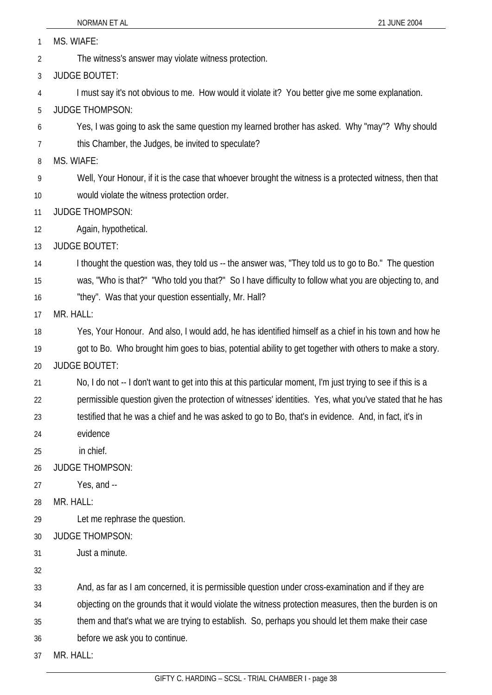MS. WIAFE: 1

The witness's answer may violate witness protection. 2

3 JUDGE BOUTET:

4 I must say it's not obvious to me. How would it violate it? You better give me some explanation.

5 JUDGE THOMPSON:

- 6 Yes, I was going to ask the same question my learned brother has asked. Why "may"? Why should
- 7 this Chamber, the Judges, be invited to speculate?

8 MS. WIAFE:

- 9 10 Well, Your Honour, if it is the case that whoever brought the witness is a protected witness, then that would violate the witness protection order.
- 11 JUDGE THOMPSON:
- 12 Again, hypothetical.

13 JUDGE BOUTET:

- 14 I thought the question was, they told us -- the answer was, "They told us to go to Bo." The question
- 15 was, "Who is that?" "Who told you that?" So I have difficulty to follow what you are objecting to, and

16 "they". Was that your question essentially, Mr. Hall?

- 17 MR. HALL:
- 18 Yes, Your Honour. And also, I would add, he has identified himself as a chief in his town and how he
- 19 got to Bo. Who brought him goes to bias, potential ability to get together with others to make a story.

20 JUDGE BOUTET:

- 21 No, I do not -- I don't want to get into this at this particular moment, I'm just trying to see if this is a
- 22 permissible question given the protection of witnesses' identities. Yes, what you've stated that he has
- 23 testified that he was a chief and he was asked to go to Bo, that's in evidence. And, in fact, it's in
- 24 evidence
- 25 in chief.

26 JUDGE THOMPSON:

- 27 Yes, and --
- 28 MR. HALL:
- 29 Let me rephrase the question.
- 30 JUDGE THOMPSON:
- 31 Just a minute.
- 32
- 33 And, as far as I am concerned, it is permissible question under cross-examination and if they are
- 34 objecting on the grounds that it would violate the witness protection measures, then the burden is on

35 them and that's what we are trying to establish. So, perhaps you should let them make their case

- 36 before we ask you to continue.
- 37 MR. HALL: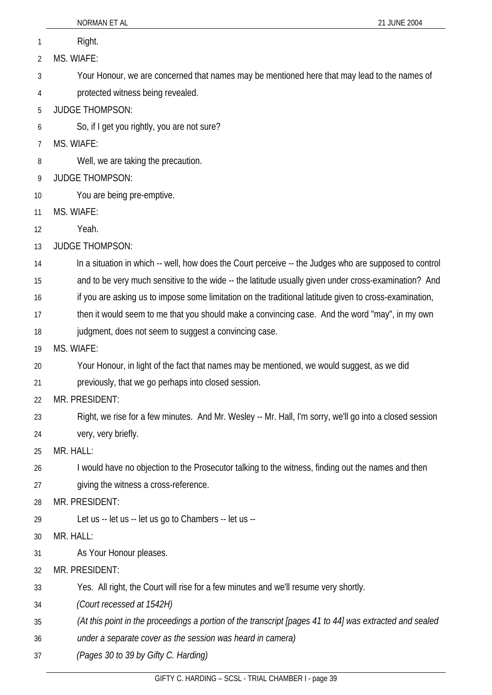|    | NORMAN ET AL<br>21 JUNE 2004                                                                            |
|----|---------------------------------------------------------------------------------------------------------|
| 1  | Right.                                                                                                  |
| 2  | MS. WIAFE:                                                                                              |
| 3  | Your Honour, we are concerned that names may be mentioned here that may lead to the names of            |
| 4  | protected witness being revealed.                                                                       |
| 5  | <b>JUDGE THOMPSON:</b>                                                                                  |
| 6  | So, if I get you rightly, you are not sure?                                                             |
| 7  | MS. WIAFE:                                                                                              |
| 8  | Well, we are taking the precaution.                                                                     |
| 9  | <b>JUDGE THOMPSON:</b>                                                                                  |
| 10 | You are being pre-emptive.                                                                              |
| 11 | MS. WIAFE:                                                                                              |
| 12 | Yeah.                                                                                                   |
| 13 | <b>JUDGE THOMPSON:</b>                                                                                  |
| 14 | In a situation in which -- well, how does the Court perceive -- the Judges who are supposed to control  |
| 15 | and to be very much sensitive to the wide -- the latitude usually given under cross-examination? And    |
| 16 | if you are asking us to impose some limitation on the traditional latitude given to cross-examination,  |
| 17 | then it would seem to me that you should make a convincing case. And the word "may", in my own          |
| 18 | judgment, does not seem to suggest a convincing case.                                                   |
| 19 | MS. WIAFE:                                                                                              |
| 20 | Your Honour, in light of the fact that names may be mentioned, we would suggest, as we did              |
| 21 | previously, that we go perhaps into closed session.                                                     |
| 22 | MR. PRESIDENT:                                                                                          |
| 23 | Right, we rise for a few minutes. And Mr. Wesley -- Mr. Hall, I'm sorry, we'll go into a closed session |
| 24 | very, very briefly.                                                                                     |
| 25 | MR. HALL:                                                                                               |
| 26 | I would have no objection to the Prosecutor talking to the witness, finding out the names and then      |
| 27 | giving the witness a cross-reference.                                                                   |
| 28 | MR. PRESIDENT:                                                                                          |
| 29 | Let us -- let us -- let us go to Chambers -- let us --                                                  |
| 30 | MR. HALL:                                                                                               |
| 31 | As Your Honour pleases.                                                                                 |
| 32 | MR. PRESIDENT:                                                                                          |
| 33 | Yes. All right, the Court will rise for a few minutes and we'll resume very shortly.                    |
| 34 | (Court recessed at 1542H)                                                                               |
| 35 | (At this point in the proceedings a portion of the transcript [pages 41 to 44] was extracted and sealed |
| 36 | under a separate cover as the session was heard in camera)                                              |
| 37 | (Pages 30 to 39 by Gifty C. Harding)                                                                    |
|    |                                                                                                         |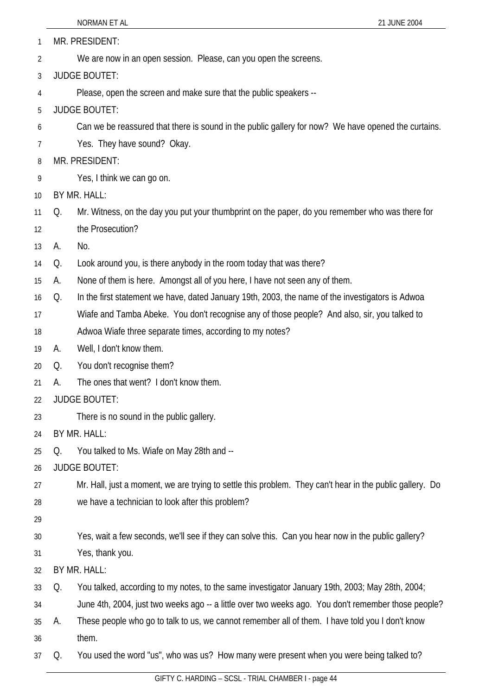| 1  |    | MR. PRESIDENT:                                                                                           |  |  |
|----|----|----------------------------------------------------------------------------------------------------------|--|--|
| 2  |    | We are now in an open session. Please, can you open the screens.                                         |  |  |
| 3  |    | <b>JUDGE BOUTET:</b>                                                                                     |  |  |
| 4  |    | Please, open the screen and make sure that the public speakers --                                        |  |  |
| 5  |    | <b>JUDGE BOUTET:</b>                                                                                     |  |  |
| 6  |    | Can we be reassured that there is sound in the public gallery for now? We have opened the curtains.      |  |  |
| 7  |    | Yes. They have sound? Okay.                                                                              |  |  |
| 8  |    | MR. PRESIDENT:                                                                                           |  |  |
| 9  |    | Yes, I think we can go on.                                                                               |  |  |
| 10 |    | BY MR. HALL:                                                                                             |  |  |
| 11 | Q. | Mr. Witness, on the day you put your thumbprint on the paper, do you remember who was there for          |  |  |
| 12 |    | the Prosecution?                                                                                         |  |  |
| 13 | А. | No.                                                                                                      |  |  |
| 14 | Q. | Look around you, is there anybody in the room today that was there?                                      |  |  |
| 15 | А. | None of them is here. Amongst all of you here, I have not seen any of them.                              |  |  |
| 16 | Q. | In the first statement we have, dated January 19th, 2003, the name of the investigators is Adwoa         |  |  |
| 17 |    | Wiafe and Tamba Abeke. You don't recognise any of those people? And also, sir, you talked to             |  |  |
| 18 |    | Adwoa Wiafe three separate times, according to my notes?                                                 |  |  |
| 19 | А. | Well, I don't know them.                                                                                 |  |  |
| 20 | Q. | You don't recognise them?                                                                                |  |  |
| 21 | А. | The ones that went? I don't know them.                                                                   |  |  |
| 22 |    | <b>JUDGE BOUTET:</b>                                                                                     |  |  |
| 23 |    | There is no sound in the public gallery.                                                                 |  |  |
| 24 |    | BY MR. HALL:                                                                                             |  |  |
| 25 | Q. | You talked to Ms. Wiafe on May 28th and --                                                               |  |  |
| 26 |    | <b>JUDGE BOUTET:</b>                                                                                     |  |  |
| 27 |    | Mr. Hall, just a moment, we are trying to settle this problem. They can't hear in the public gallery. Do |  |  |
| 28 |    | we have a technician to look after this problem?                                                         |  |  |
| 29 |    |                                                                                                          |  |  |
| 30 |    | Yes, wait a few seconds, we'll see if they can solve this. Can you hear now in the public gallery?       |  |  |
| 31 |    | Yes, thank you.                                                                                          |  |  |
| 32 |    | BY MR. HALL:                                                                                             |  |  |
| 33 | Q. | You talked, according to my notes, to the same investigator January 19th, 2003; May 28th, 2004;          |  |  |
| 34 |    | June 4th, 2004, just two weeks ago -- a little over two weeks ago. You don't remember those people?      |  |  |
| 35 | А. | These people who go to talk to us, we cannot remember all of them. I have told you I don't know          |  |  |
| 36 |    | them.                                                                                                    |  |  |
| 37 | Q. | You used the word "us", who was us? How many were present when you were being talked to?                 |  |  |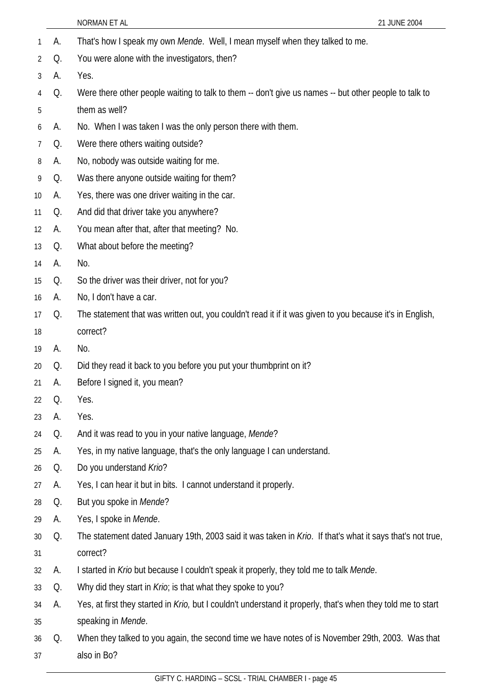|    |    | NORMAN ET AL<br>21 JUNE 2004                                                                                 |
|----|----|--------------------------------------------------------------------------------------------------------------|
| 1  | А. | That's how I speak my own Mende. Well, I mean myself when they talked to me.                                 |
| 2  | Q. | You were alone with the investigators, then?                                                                 |
| 3  | А. | Yes.                                                                                                         |
| 4  | Q. | Were there other people waiting to talk to them -- don't give us names -- but other people to talk to        |
| 5  |    | them as well?                                                                                                |
| 6  | А. | No. When I was taken I was the only person there with them.                                                  |
| 7  | Q. | Were there others waiting outside?                                                                           |
| 8  | A. | No, nobody was outside waiting for me.                                                                       |
| 9  | Q. | Was there anyone outside waiting for them?                                                                   |
| 10 | A. | Yes, there was one driver waiting in the car.                                                                |
| 11 | Q. | And did that driver take you anywhere?                                                                       |
| 12 | А. | You mean after that, after that meeting? No.                                                                 |
| 13 | Q. | What about before the meeting?                                                                               |
| 14 | А. | No.                                                                                                          |
| 15 | Q. | So the driver was their driver, not for you?                                                                 |
| 16 | А. | No, I don't have a car.                                                                                      |
| 17 | Q. | The statement that was written out, you couldn't read it if it was given to you because it's in English,     |
| 18 |    | correct?                                                                                                     |
| 19 | A. | No.                                                                                                          |
| 20 | Q. | Did they read it back to you before you put your thumbprint on it?                                           |
| 21 | A. | Before I signed it, you mean?                                                                                |
| 22 | Q. | Yes.                                                                                                         |
| 23 | А. | Yes.                                                                                                         |
| 24 | Q. | And it was read to you in your native language, Mende?                                                       |
| 25 | А. | Yes, in my native language, that's the only language I can understand.                                       |
| 26 | Q. | Do you understand Krio?                                                                                      |
| 27 | А. | Yes, I can hear it but in bits. I cannot understand it properly.                                             |
| 28 | Q. | But you spoke in Mende?                                                                                      |
| 29 | А. | Yes, I spoke in Mende.                                                                                       |
| 30 | Q. | The statement dated January 19th, 2003 said it was taken in Krio. If that's what it says that's not true,    |
| 31 |    | correct?                                                                                                     |
| 32 | А. | I started in Krio but because I couldn't speak it properly, they told me to talk Mende.                      |
| 33 | Q. | Why did they start in <i>Krio</i> ; is that what they spoke to you?                                          |
| 34 | А. | Yes, at first they started in Krio, but I couldn't understand it properly, that's when they told me to start |
| 35 |    | speaking in Mende.                                                                                           |
| 36 | Q. | When they talked to you again, the second time we have notes of is November 29th, 2003. Was that             |
| 37 |    | also in Bo?                                                                                                  |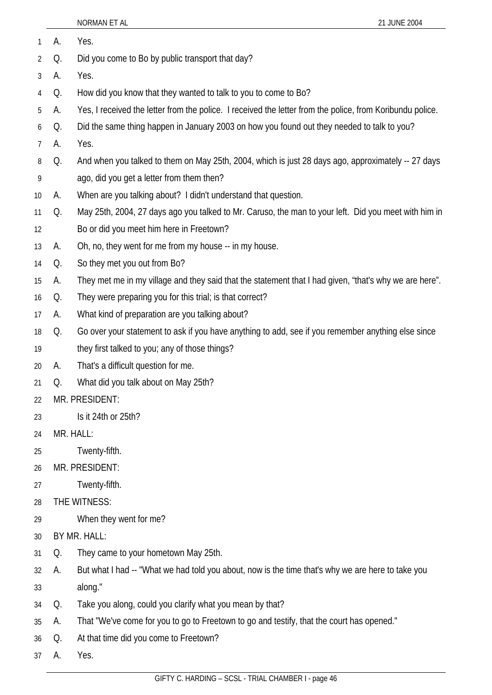| 1  | А.        | Yes.                                                                                                      |
|----|-----------|-----------------------------------------------------------------------------------------------------------|
| 2  | Q.        | Did you come to Bo by public transport that day?                                                          |
| 3  | А.        | Yes.                                                                                                      |
| 4  | Q.        | How did you know that they wanted to talk to you to come to Bo?                                           |
| 5  | А.        | Yes, I received the letter from the police. I received the letter from the police, from Koribundu police. |
| 6  | Q.        | Did the same thing happen in January 2003 on how you found out they needed to talk to you?                |
| 7  | А.        | Yes.                                                                                                      |
| 8  | Q.        | And when you talked to them on May 25th, 2004, which is just 28 days ago, approximately -- 27 days        |
| 9  |           | ago, did you get a letter from them then?                                                                 |
| 10 | А.        | When are you talking about? I didn't understand that question.                                            |
| 11 | Q.        | May 25th, 2004, 27 days ago you talked to Mr. Caruso, the man to your left. Did you meet with him in      |
| 12 |           | Bo or did you meet him here in Freetown?                                                                  |
| 13 | А.        | Oh, no, they went for me from my house -- in my house.                                                    |
| 14 | Q.        | So they met you out from Bo?                                                                              |
| 15 | А.        | They met me in my village and they said that the statement that I had given, "that's why we are here".    |
| 16 | Q.        | They were preparing you for this trial; is that correct?                                                  |
| 17 | А.        | What kind of preparation are you talking about?                                                           |
| 18 | Q.        | Go over your statement to ask if you have anything to add, see if you remember anything else since        |
| 19 |           | they first talked to you; any of those things?                                                            |
| 20 | А.        | That's a difficult question for me.                                                                       |
| 21 | Q.        | What did you talk about on May 25th?                                                                      |
| 22 |           | MR. PRESIDENT:                                                                                            |
| 23 |           | Is it 24th or 25th?                                                                                       |
| 24 | MR. HALL: |                                                                                                           |
| 25 |           | Twenty-fifth.                                                                                             |
| 26 |           | MR. PRESIDENT:                                                                                            |
| 27 |           | Twenty-fifth.                                                                                             |
| 28 |           | THE WITNESS:                                                                                              |
| 29 |           | When they went for me?                                                                                    |
| 30 |           | BY MR. HALL:                                                                                              |
| 31 | Q.        | They came to your hometown May 25th.                                                                      |
| 32 | А.        | But what I had -- "What we had told you about, now is the time that's why we are here to take you         |
| 33 |           | along."                                                                                                   |
| 34 | Q.        | Take you along, could you clarify what you mean by that?                                                  |
| 35 | А.        | That "We've come for you to go to Freetown to go and testify, that the court has opened."                 |
| 36 | Q.        | At that time did you come to Freetown?                                                                    |

37 A. Yes.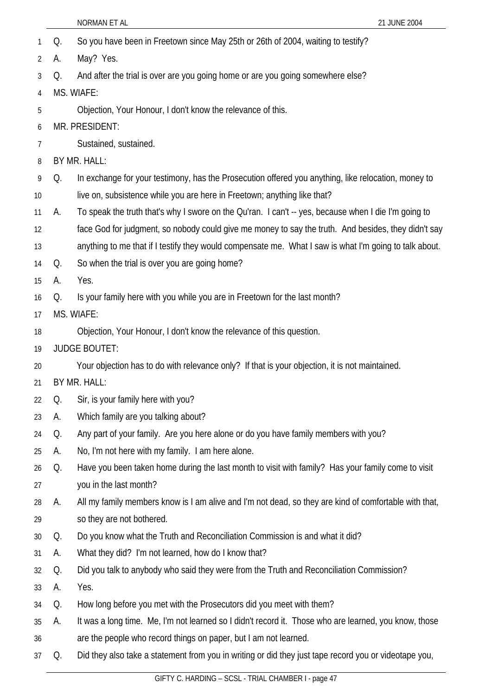- 1 Q. So you have been in Freetown since May 25th or 26th of 2004, waiting to testify?
- 2 A. May? Yes.
- 3 Q. And after the trial is over are you going home or are you going somewhere else?
- 4 MS. WIAFE:
- 5 Objection, Your Honour, I don't know the relevance of this.
- 6 MR. PRESIDENT:
- 7 Sustained, sustained.
- 8 BY MR. HALL:
- 9 10 Q. In exchange for your testimony, has the Prosecution offered you anything, like relocation, money to live on, subsistence while you are here in Freetown; anything like that?
- 11 A. To speak the truth that's why I swore on the Qu'ran. I can't -- yes, because when I die I'm going to
- 12 face God for judgment, so nobody could give me money to say the truth. And besides, they didn't say
- 13 anything to me that if I testify they would compensate me. What I saw is what I'm going to talk about.
- 14 Q. So when the trial is over you are going home?
- 15 A. Yes.
- 16 Q. Is your family here with you while you are in Freetown for the last month?
- 17 MS. WIAFE:
- 18 Objection, Your Honour, I don't know the relevance of this question.
- 19 JUDGE BOUTET:
- 20 Your objection has to do with relevance only? If that is your objection, it is not maintained.
- 21 BY MR. HALL:
- 22 Q. Sir, is your family here with you?
- 23 A. Which family are you talking about?
- 24 Q. Any part of your family. Are you here alone or do you have family members with you?
- 25 A. No, I'm not here with my family. I am here alone.
- 26 27 Q. Have you been taken home during the last month to visit with family? Has your family come to visit you in the last month?
- 28 A. All my family members know is I am alive and I'm not dead, so they are kind of comfortable with that,
- 29 so they are not bothered.
- 30 Q. Do you know what the Truth and Reconciliation Commission is and what it did?
- 31 A. What they did? I'm not learned, how do I know that?
- 32 Q. Did you talk to anybody who said they were from the Truth and Reconciliation Commission?
- 33 A. Yes.
- 34 Q. How long before you met with the Prosecutors did you meet with them?
- 35 A. It was a long time. Me, I'm not learned so I didn't record it. Those who are learned, you know, those
- 36 are the people who record things on paper, but I am not learned.
- 37 Q. Did they also take a statement from you in writing or did they just tape record you or videotape you,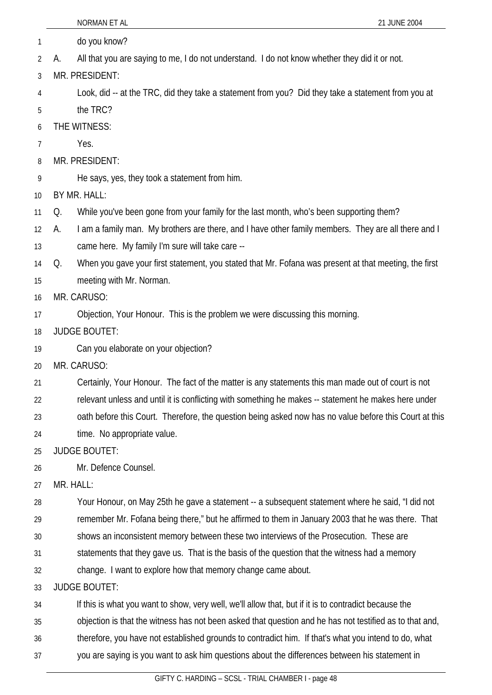|    | NORMAN ET AL<br>21 JUNE 2004                                                                                |
|----|-------------------------------------------------------------------------------------------------------------|
| 1  | do you know?                                                                                                |
| 2  | All that you are saying to me, I do not understand. I do not know whether they did it or not.<br>А.         |
| 3  | MR. PRESIDENT:                                                                                              |
| 4  | Look, did -- at the TRC, did they take a statement from you? Did they take a statement from you at          |
| 5  | the TRC?                                                                                                    |
| 6  | THE WITNESS:                                                                                                |
| 7  | Yes.                                                                                                        |
| 8  | MR. PRESIDENT:                                                                                              |
| 9  | He says, yes, they took a statement from him.                                                               |
| 10 | BY MR. HALL:                                                                                                |
| 11 | While you've been gone from your family for the last month, who's been supporting them?<br>Q.               |
| 12 | I am a family man. My brothers are there, and I have other family members. They are all there and I<br>А.   |
| 13 | came here. My family I'm sure will take care --                                                             |
| 14 | When you gave your first statement, you stated that Mr. Fofana was present at that meeting, the first<br>Q. |
| 15 | meeting with Mr. Norman.                                                                                    |
| 16 | MR. CARUSO:                                                                                                 |
| 17 | Objection, Your Honour. This is the problem we were discussing this morning.                                |
| 18 | <b>JUDGE BOUTET:</b>                                                                                        |
| 19 | Can you elaborate on your objection?                                                                        |
| 20 | MR. CARUSO:                                                                                                 |
| 21 | Certainly, Your Honour. The fact of the matter is any statements this man made out of court is not          |
| 22 | relevant unless and until it is conflicting with something he makes -- statement he makes here under        |
| 23 | oath before this Court. Therefore, the question being asked now has no value before this Court at this      |
| 24 | time. No appropriate value.                                                                                 |
| 25 | <b>JUDGE BOUTET:</b>                                                                                        |
| 26 | Mr. Defence Counsel.                                                                                        |
| 27 | MR. HALL:                                                                                                   |
| 28 | Your Honour, on May 25th he gave a statement -- a subsequent statement where he said, "I did not            |
| 29 | remember Mr. Fofana being there," but he affirmed to them in January 2003 that he was there. That           |
| 30 | shows an inconsistent memory between these two interviews of the Prosecution. These are                     |
| 31 | statements that they gave us. That is the basis of the question that the witness had a memory               |
| 32 | change. I want to explore how that memory change came about.                                                |
| 33 | <b>JUDGE BOUTET:</b>                                                                                        |
| 34 | If this is what you want to show, very well, we'll allow that, but if it is to contradict because the       |
| 35 | objection is that the witness has not been asked that question and he has not testified as to that and,     |
| 36 | therefore, you have not established grounds to contradict him. If that's what you intend to do, what        |
| 37 | you are saying is you want to ask him questions about the differences between his statement in              |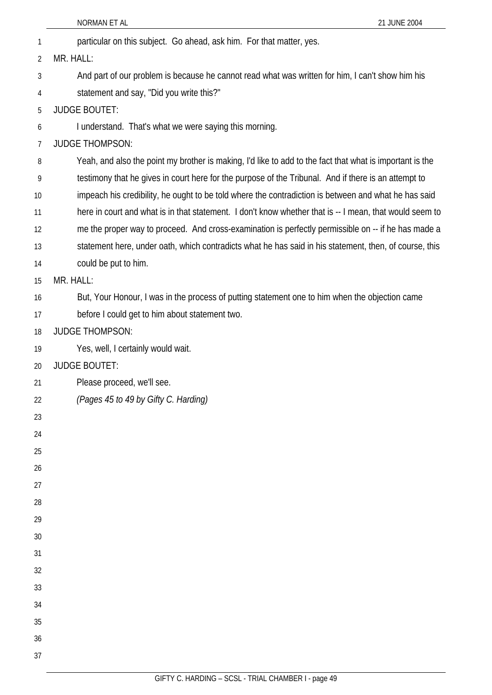|                | NORMAN ET AL<br>21 JUNE 2004                                                                             |
|----------------|----------------------------------------------------------------------------------------------------------|
| 1              | particular on this subject. Go ahead, ask him. For that matter, yes.                                     |
| $\overline{2}$ | MR. HALL:                                                                                                |
| 3              | And part of our problem is because he cannot read what was written for him, I can't show him his         |
| 4              | statement and say, "Did you write this?"                                                                 |
| 5              | <b>JUDGE BOUTET:</b>                                                                                     |
| 6              | I understand. That's what we were saying this morning.                                                   |
| 7              | <b>JUDGE THOMPSON:</b>                                                                                   |
| 8              | Yeah, and also the point my brother is making, I'd like to add to the fact that what is important is the |
| 9              | testimony that he gives in court here for the purpose of the Tribunal. And if there is an attempt to     |
| 10             | impeach his credibility, he ought to be told where the contradiction is between and what he has said     |
| 11             | here in court and what is in that statement. I don't know whether that is -- I mean, that would seem to  |
| 12             | me the proper way to proceed. And cross-examination is perfectly permissible on -- if he has made a      |
| 13             | statement here, under oath, which contradicts what he has said in his statement, then, of course, this   |
| 14             | could be put to him.                                                                                     |
| 15             | MR. HALL:                                                                                                |
| 16             | But, Your Honour, I was in the process of putting statement one to him when the objection came           |
| 17             | before I could get to him about statement two.                                                           |
| 18             | <b>JUDGE THOMPSON:</b>                                                                                   |
| 19             | Yes, well, I certainly would wait.                                                                       |
| 20             | <b>JUDGE BOUTET:</b>                                                                                     |
| 21             | Please proceed, we'll see.                                                                               |
| 22             | (Pages 45 to 49 by Gifty C. Harding)                                                                     |
| 23             |                                                                                                          |
| 24             |                                                                                                          |
| 25             |                                                                                                          |
| 26             |                                                                                                          |
| 27             |                                                                                                          |
| 28             |                                                                                                          |
| 29             |                                                                                                          |
| 30             |                                                                                                          |
| 31             |                                                                                                          |
| 32             |                                                                                                          |
| 33             |                                                                                                          |
| 34<br>35       |                                                                                                          |
| 36             |                                                                                                          |
|                |                                                                                                          |
| 37             |                                                                                                          |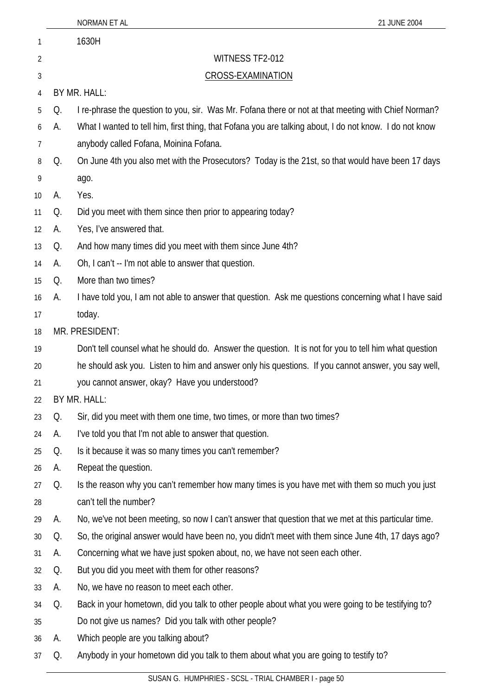|                   |    | NORMAN ET AL<br>21 JUNE 2004                                                                            |
|-------------------|----|---------------------------------------------------------------------------------------------------------|
| 1                 |    | 1630H                                                                                                   |
| 2                 |    | WITNESS TF2-012                                                                                         |
| 3                 |    | <b>CROSS-EXAMINATION</b>                                                                                |
| 4                 |    | BY MR. HALL:                                                                                            |
| 5                 | Q. | I re-phrase the question to you, sir. Was Mr. Fofana there or not at that meeting with Chief Norman?    |
| 6                 | А. | What I wanted to tell him, first thing, that Fofana you are talking about, I do not know. I do not know |
| 7                 |    | anybody called Fofana, Moinina Fofana.                                                                  |
| 8                 | Q. | On June 4th you also met with the Prosecutors? Today is the 21st, so that would have been 17 days       |
| 9                 |    | ago.                                                                                                    |
| 10                | А. | Yes.                                                                                                    |
| 11                | Q. | Did you meet with them since then prior to appearing today?                                             |
| $12 \overline{ }$ | А. | Yes, I've answered that.                                                                                |
| 13                | Q. | And how many times did you meet with them since June 4th?                                               |
| 14                | А. | Oh, I can't -- I'm not able to answer that question.                                                    |
| 15                | Q. | More than two times?                                                                                    |
| 16                | А. | I have told you, I am not able to answer that question. Ask me questions concerning what I have said    |
| 17                |    | today.                                                                                                  |
| 18                |    | MR. PRESIDENT:                                                                                          |
| 19                |    | Don't tell counsel what he should do. Answer the question. It is not for you to tell him what question  |
| 20                |    | he should ask you. Listen to him and answer only his questions. If you cannot answer, you say well,     |
| 21                |    | you cannot answer, okay? Have you understood?                                                           |
| 22                |    | BY MR. HALL:                                                                                            |
| 23                | Q. | Sir, did you meet with them one time, two times, or more than two times?                                |
| 24                | А. | I've told you that I'm not able to answer that question.                                                |
| 25                | Q. | Is it because it was so many times you can't remember?                                                  |
| 26                | А. | Repeat the question.                                                                                    |
| 27                | Q. | Is the reason why you can't remember how many times is you have met with them so much you just          |
| 28                |    | can't tell the number?                                                                                  |
| 29                | А. | No, we've not been meeting, so now I can't answer that question that we met at this particular time.    |
| 30                | Q. | So, the original answer would have been no, you didn't meet with them since June 4th, 17 days ago?      |
| 31                | А. | Concerning what we have just spoken about, no, we have not seen each other.                             |
| 32                | Q. | But you did you meet with them for other reasons?                                                       |
| 33                | А. | No, we have no reason to meet each other.                                                               |
| 34                | Q. | Back in your hometown, did you talk to other people about what you were going to be testifying to?      |
| 35                |    | Do not give us names? Did you talk with other people?                                                   |
| 36                | А. | Which people are you talking about?                                                                     |
| 37                | Q. | Anybody in your hometown did you talk to them about what you are going to testify to?                   |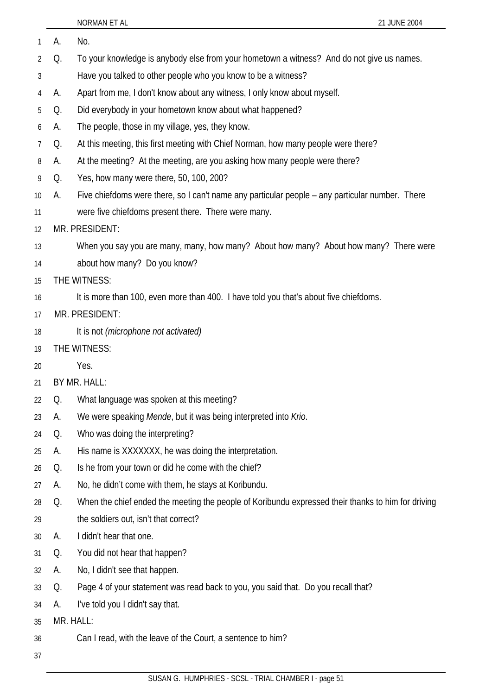| 1  | А.        | No.                                                                                                |
|----|-----------|----------------------------------------------------------------------------------------------------|
| 2  | Q.        | To your knowledge is anybody else from your hometown a witness? And do not give us names.          |
| 3  |           | Have you talked to other people who you know to be a witness?                                      |
| 4  | A.        | Apart from me, I don't know about any witness, I only know about myself.                           |
| 5  | Q.        | Did everybody in your hometown know about what happened?                                           |
| 6  | А.        | The people, those in my village, yes, they know.                                                   |
| 7  | Q.        | At this meeting, this first meeting with Chief Norman, how many people were there?                 |
| 8  | A.        | At the meeting? At the meeting, are you asking how many people were there?                         |
| 9  | Q.        | Yes, how many were there, 50, 100, 200?                                                            |
| 10 | А.        | Five chiefdoms were there, so I can't name any particular people – any particular number. There    |
| 11 |           | were five chiefdoms present there. There were many.                                                |
| 12 |           | MR. PRESIDENT:                                                                                     |
| 13 |           | When you say you are many, many, how many? About how many? About how many? There were              |
| 14 |           | about how many? Do you know?                                                                       |
| 15 |           | THE WITNESS:                                                                                       |
| 16 |           | It is more than 100, even more than 400. I have told you that's about five chiefdoms.              |
| 17 |           | MR. PRESIDENT:                                                                                     |
| 18 |           | It is not (microphone not activated)                                                               |
| 19 |           | THE WITNESS:                                                                                       |
| 20 |           | Yes.                                                                                               |
| 21 |           | BY MR. HALL:                                                                                       |
| 22 | Q.        | What language was spoken at this meeting?                                                          |
| 23 | А.        | We were speaking Mende, but it was being interpreted into Krio.                                    |
| 24 | Q.        | Who was doing the interpreting?                                                                    |
| 25 | А.        | His name is XXXXXXX, he was doing the interpretation.                                              |
| 26 | Q.        | Is he from your town or did he come with the chief?                                                |
| 27 | А.        | No, he didn't come with them, he stays at Koribundu.                                               |
| 28 | Q.        | When the chief ended the meeting the people of Koribundu expressed their thanks to him for driving |
| 29 |           | the soldiers out, isn't that correct?                                                              |
| 30 | А.        | I didn't hear that one.                                                                            |
| 31 | Q.        | You did not hear that happen?                                                                      |
| 32 | А.        | No, I didn't see that happen.                                                                      |
| 33 | Q.        | Page 4 of your statement was read back to you, you said that. Do you recall that?                  |
| 34 | А.        | I've told you I didn't say that.                                                                   |
| 35 | MR. HALL: |                                                                                                    |
| 36 |           | Can I read, with the leave of the Court, a sentence to him?                                        |
| 37 |           |                                                                                                    |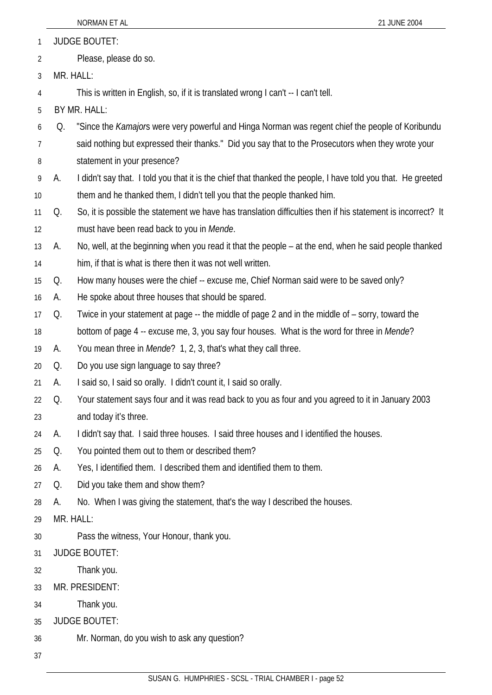|    |                       | NORMAN ET AL<br>21 JUNE 2004                                                                                 |  |
|----|-----------------------|--------------------------------------------------------------------------------------------------------------|--|
| 1  | <b>JUDGE BOUTET:</b>  |                                                                                                              |  |
| 2  | Please, please do so. |                                                                                                              |  |
| 3  | MR. HALL:             |                                                                                                              |  |
| 4  |                       | This is written in English, so, if it is translated wrong I can't -- I can't tell.                           |  |
| 5  |                       | BY MR. HALL:                                                                                                 |  |
| 6  | Q.                    | "Since the Kamajors were very powerful and Hinga Norman was regent chief the people of Koribundu             |  |
| 7  |                       | said nothing but expressed their thanks." Did you say that to the Prosecutors when they wrote your           |  |
| 8  |                       | statement in your presence?                                                                                  |  |
| 9  | А.                    | I didn't say that. I told you that it is the chief that thanked the people, I have told you that. He greeted |  |
| 10 |                       | them and he thanked them, I didn't tell you that the people thanked him.                                     |  |
| 11 | Q.                    | So, it is possible the statement we have has translation difficulties then if his statement is incorrect? It |  |
| 12 |                       | must have been read back to you in Mende.                                                                    |  |
| 13 | А.                    | No, well, at the beginning when you read it that the people – at the end, when he said people thanked        |  |
| 14 |                       | him, if that is what is there then it was not well written.                                                  |  |
| 15 | Q.                    | How many houses were the chief -- excuse me, Chief Norman said were to be saved only?                        |  |
| 16 | А.                    | He spoke about three houses that should be spared.                                                           |  |
| 17 | Q.                    | Twice in your statement at page -- the middle of page 2 and in the middle of - sorry, toward the             |  |
| 18 |                       | bottom of page 4 -- excuse me, 3, you say four houses. What is the word for three in Mende?                  |  |
| 19 | А.                    | You mean three in <i>Mende</i> ? 1, 2, 3, that's what they call three.                                       |  |
| 20 | Q.                    | Do you use sign language to say three?                                                                       |  |
| 21 | А.                    | I said so, I said so orally. I didn't count it, I said so orally.                                            |  |
| 22 | Q.                    | Your statement says four and it was read back to you as four and you agreed to it in January 2003            |  |
| 23 |                       | and today it's three.                                                                                        |  |
| 24 | А.                    | I didn't say that. I said three houses. I said three houses and I identified the houses.                     |  |
| 25 | Q.                    | You pointed them out to them or described them?                                                              |  |
| 26 | А.                    | Yes, I identified them. I described them and identified them to them.                                        |  |
| 27 | Q.                    | Did you take them and show them?                                                                             |  |
| 28 | А.                    | No. When I was giving the statement, that's the way I described the houses.                                  |  |
| 29 |                       | MR. HALL:                                                                                                    |  |
| 30 |                       | Pass the witness, Your Honour, thank you.                                                                    |  |
| 31 |                       | <b>JUDGE BOUTET:</b>                                                                                         |  |
| 32 |                       | Thank you.                                                                                                   |  |
| 33 |                       | MR. PRESIDENT:                                                                                               |  |
| 34 |                       | Thank you.                                                                                                   |  |
| 35 |                       | <b>JUDGE BOUTET:</b>                                                                                         |  |
| 36 |                       | Mr. Norman, do you wish to ask any question?                                                                 |  |
| 37 |                       |                                                                                                              |  |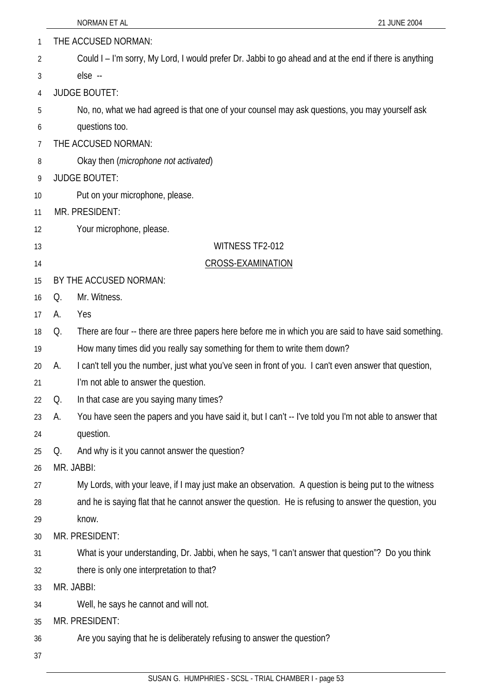| 1  |    | THE ACCUSED NORMAN:                                                                                     |
|----|----|---------------------------------------------------------------------------------------------------------|
| 2  |    | Could I – I'm sorry, My Lord, I would prefer Dr. Jabbi to go ahead and at the end if there is anything  |
| 3  |    | else --                                                                                                 |
| 4  |    | <b>JUDGE BOUTET:</b>                                                                                    |
| 5  |    | No, no, what we had agreed is that one of your counsel may ask questions, you may yourself ask          |
| 6  |    | questions too.                                                                                          |
| 7  |    | THE ACCUSED NORMAN:                                                                                     |
| 8  |    | Okay then ( <i>microphone not activated</i> )                                                           |
| 9  |    | <b>JUDGE BOUTET:</b>                                                                                    |
| 10 |    | Put on your microphone, please.                                                                         |
| 11 |    | MR. PRESIDENT:                                                                                          |
| 12 |    | Your microphone, please.                                                                                |
| 13 |    | WITNESS TF2-012                                                                                         |
| 14 |    | <b>CROSS-EXAMINATION</b>                                                                                |
| 15 |    | BY THE ACCUSED NORMAN:                                                                                  |
| 16 | Q. | Mr. Witness.                                                                                            |
| 17 | А. | Yes                                                                                                     |
| 18 | Q. | There are four -- there are three papers here before me in which you are said to have said something.   |
| 19 |    | How many times did you really say something for them to write them down?                                |
| 20 | А. | I can't tell you the number, just what you've seen in front of you. I can't even answer that question,  |
| 21 |    | I'm not able to answer the question.                                                                    |
| 22 | Q. | In that case are you saying many times?                                                                 |
| 23 | А. | You have seen the papers and you have said it, but I can't -- I've told you I'm not able to answer that |
| 24 |    | question.                                                                                               |
| 25 | Q. | And why is it you cannot answer the question?                                                           |
| 26 |    | MR. JABBI:                                                                                              |
| 27 |    | My Lords, with your leave, if I may just make an observation. A question is being put to the witness    |
| 28 |    | and he is saying flat that he cannot answer the question. He is refusing to answer the question, you    |
| 29 |    | know.                                                                                                   |
| 30 |    | MR. PRESIDENT:                                                                                          |
| 31 |    | What is your understanding, Dr. Jabbi, when he says, "I can't answer that question"? Do you think       |
| 32 |    | there is only one interpretation to that?                                                               |
| 33 |    | MR. JABBI:                                                                                              |
| 34 |    | Well, he says he cannot and will not.                                                                   |
| 35 |    | MR. PRESIDENT:                                                                                          |
| 36 |    | Are you saying that he is deliberately refusing to answer the question?                                 |
| 37 |    |                                                                                                         |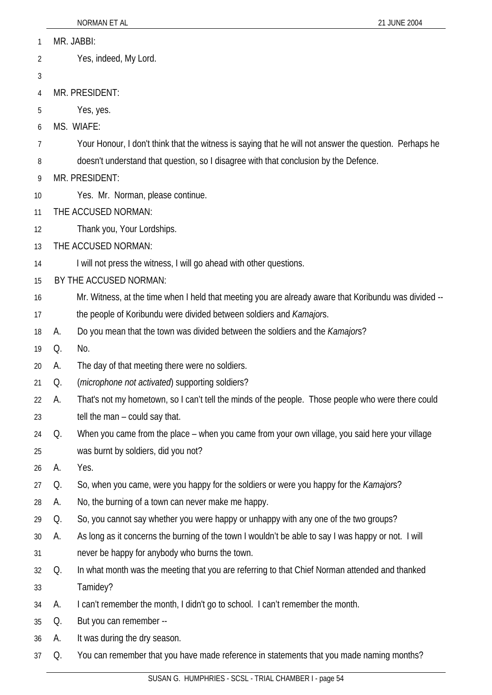| 1  |    | MR. JABBI:                                                                                             |
|----|----|--------------------------------------------------------------------------------------------------------|
| 2  |    | Yes, indeed, My Lord.                                                                                  |
| 3  |    |                                                                                                        |
| 4  |    | MR. PRESIDENT:                                                                                         |
| 5  |    | Yes, yes.                                                                                              |
| 6  |    | MS. WIAFE:                                                                                             |
| 7  |    | Your Honour, I don't think that the witness is saying that he will not answer the question. Perhaps he |
| 8  |    | doesn't understand that question, so I disagree with that conclusion by the Defence.                   |
| 9  |    | MR. PRESIDENT:                                                                                         |
| 10 |    | Yes. Mr. Norman, please continue.                                                                      |
| 11 |    | THE ACCUSED NORMAN:                                                                                    |
| 12 |    | Thank you, Your Lordships.                                                                             |
| 13 |    | THE ACCUSED NORMAN:                                                                                    |
| 14 |    | I will not press the witness, I will go ahead with other questions.                                    |
| 15 |    | BY THE ACCUSED NORMAN:                                                                                 |
| 16 |    | Mr. Witness, at the time when I held that meeting you are already aware that Koribundu was divided --  |
| 17 |    | the people of Koribundu were divided between soldiers and Kamajors.                                    |
| 18 | A. | Do you mean that the town was divided between the soldiers and the <i>Kamajors</i> ?                   |
| 19 | Q. | No.                                                                                                    |
| 20 | А. | The day of that meeting there were no soldiers.                                                        |
| 21 | Q. | ( <i>microphone not activated</i> ) supporting soldiers?                                               |
| 22 | А. | That's not my hometown, so I can't tell the minds of the people. Those people who were there could     |
| 23 |    | tell the man – could say that.                                                                         |
| 24 | Q. | When you came from the place - when you came from your own village, you said here your village         |
| 25 |    | was burnt by soldiers, did you not?                                                                    |
| 26 | А. | Yes.                                                                                                   |
| 27 | Q. | So, when you came, were you happy for the soldiers or were you happy for the Kamajors?                 |
| 28 | A. | No, the burning of a town can never make me happy.                                                     |
| 29 | Q. | So, you cannot say whether you were happy or unhappy with any one of the two groups?                   |
| 30 | А. | As long as it concerns the burning of the town I wouldn't be able to say I was happy or not. I will    |
| 31 |    | never be happy for anybody who burns the town.                                                         |
| 32 | Q. | In what month was the meeting that you are referring to that Chief Norman attended and thanked         |
| 33 |    | Tamidey?                                                                                               |
| 34 | А. | I can't remember the month, I didn't go to school. I can't remember the month.                         |
| 35 | Q. | But you can remember --                                                                                |
| 36 | A. | It was during the dry season.                                                                          |
| 37 | Q. | You can remember that you have made reference in statements that you made naming months?               |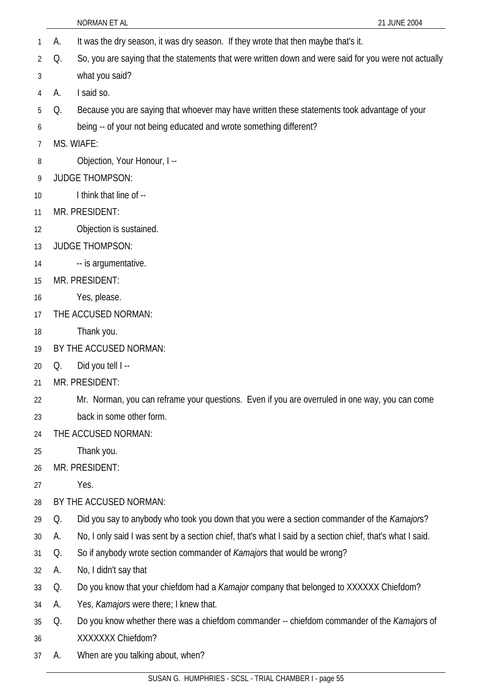|    |    | NORMAN ET AL<br>21 JUNE 2004                                                                              |
|----|----|-----------------------------------------------------------------------------------------------------------|
| 1  | A. | It was the dry season, it was dry season. If they wrote that then maybe that's it.                        |
| 2  | Q. | So, you are saying that the statements that were written down and were said for you were not actually     |
| 3  |    | what you said?                                                                                            |
| 4  | A. | I said so.                                                                                                |
| 5  | Q. | Because you are saying that whoever may have written these statements took advantage of your              |
| 6  |    | being -- of your not being educated and wrote something different?                                        |
| 7  |    | MS. WIAFE:                                                                                                |
| 8  |    | Objection, Your Honour, I --                                                                              |
| 9  |    | <b>JUDGE THOMPSON:</b>                                                                                    |
| 10 |    | I think that line of --                                                                                   |
| 11 |    | MR. PRESIDENT:                                                                                            |
| 12 |    | Objection is sustained.                                                                                   |
| 13 |    | <b>JUDGE THOMPSON:</b>                                                                                    |
| 14 |    | -- is argumentative.                                                                                      |
| 15 |    | MR. PRESIDENT:                                                                                            |
| 16 |    | Yes, please.                                                                                              |
| 17 |    | THE ACCUSED NORMAN:                                                                                       |
| 18 |    | Thank you.                                                                                                |
| 19 |    | BY THE ACCUSED NORMAN:                                                                                    |
| 20 | Q. | Did you tell I --                                                                                         |
| 21 |    | MR. PRESIDENT:                                                                                            |
| 22 |    | Mr. Norman, you can reframe your questions. Even if you are overruled in one way, you can come            |
| 23 |    | back in some other form.                                                                                  |
| 24 |    | THE ACCUSED NORMAN:                                                                                       |
| 25 |    | Thank you.                                                                                                |
| 26 |    | MR. PRESIDENT:                                                                                            |
| 27 |    | Yes.                                                                                                      |
| 28 |    | BY THE ACCUSED NORMAN:                                                                                    |
| 29 | Q. | Did you say to anybody who took you down that you were a section commander of the <i>Kamajors</i> ?       |
| 30 | А. | No, I only said I was sent by a section chief, that's what I said by a section chief, that's what I said. |
| 31 | Q. | So if anybody wrote section commander of Kamajors that would be wrong?                                    |
| 32 | А. | No, I didn't say that                                                                                     |
| 33 | Q. | Do you know that your chiefdom had a Kamajor company that belonged to XXXXXX Chiefdom?                    |
| 34 | А. | Yes, Kamajors were there; I knew that.                                                                    |
| 35 | Q. | Do you know whether there was a chiefdom commander -- chiefdom commander of the Kamajors of               |
| 36 |    | XXXXXXX Chiefdom?                                                                                         |
| 37 | А. | When are you talking about, when?                                                                         |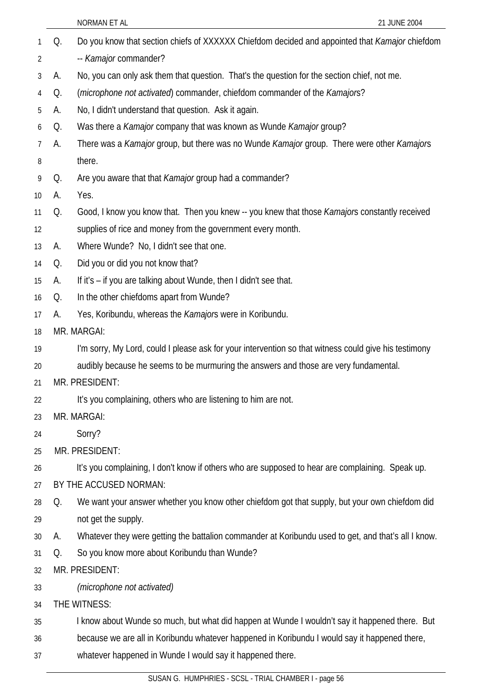|                 |    | NORMAN ET AL<br>21 JUNE 2004                                                                          |
|-----------------|----|-------------------------------------------------------------------------------------------------------|
| 1               | Q. | Do you know that section chiefs of XXXXXX Chiefdom decided and appointed that Kamajor chiefdom        |
| 2               |    | -- Kamajor commander?                                                                                 |
| 3               | А. | No, you can only ask them that question. That's the question for the section chief, not me.           |
| 4               | Q. | ( <i>microphone not activated</i> ) commander, chiefdom commander of the <i>Kamajors</i> ?            |
| 5               | А. | No, I didn't understand that question. Ask it again.                                                  |
| 6               | Q. | Was there a <i>Kamajor</i> company that was known as Wunde <i>Kamajor</i> group?                      |
| 7               | А. | There was a Kamajor group, but there was no Wunde Kamajor group. There were other Kamajors            |
| 8               |    | there.                                                                                                |
| 9               | Q. | Are you aware that that Kamajor group had a commander?                                                |
| 10 <sup>°</sup> | А. | Yes.                                                                                                  |
| 11              | Q. | Good, I know you know that. Then you knew -- you knew that those <i>Kamajor</i> s constantly received |
| 12              |    | supplies of rice and money from the government every month.                                           |
| 13              | А. | Where Wunde? No, I didn't see that one.                                                               |
| 14              | Q. | Did you or did you not know that?                                                                     |
| 15              | А. | If it's – if you are talking about Wunde, then I didn't see that.                                     |
| 16              | Q. | In the other chiefdoms apart from Wunde?                                                              |
| 17              | А. | Yes, Koribundu, whereas the Kamajors were in Koribundu.                                               |
| 18              |    | MR. MARGAI:                                                                                           |
| 19              |    | I'm sorry, My Lord, could I please ask for your intervention so that witness could give his testimony |
| 20              |    | audibly because he seems to be murmuring the answers and those are very fundamental.                  |
| 21              |    | MR. PRESIDENT:                                                                                        |
| 22              |    | It's you complaining, others who are listening to him are not.                                        |
| 23              |    | MR. MARGAI:                                                                                           |
| 24              |    | Sorry?                                                                                                |
| 25              |    | MR. PRESIDENT:                                                                                        |
| 26              |    | It's you complaining, I don't know if others who are supposed to hear are complaining. Speak up.      |
| 27              |    | BY THE ACCUSED NORMAN:                                                                                |
| 28              | Q. | We want your answer whether you know other chiefdom got that supply, but your own chiefdom did        |
| 29              |    | not get the supply.                                                                                   |
| 30              | А. | Whatever they were getting the battalion commander at Koribundu used to get, and that's all I know.   |
| 31              | Q. | So you know more about Koribundu than Wunde?                                                          |
| 32              |    | MR. PRESIDENT:                                                                                        |
| 33              |    | (microphone not activated)                                                                            |
| 34              |    | THE WITNESS:                                                                                          |
| 35              |    | I know about Wunde so much, but what did happen at Wunde I wouldn't say it happened there. But        |
| 36              |    | because we are all in Koribundu whatever happened in Koribundu I would say it happened there,         |
| 37              |    | whatever happened in Wunde I would say it happened there.                                             |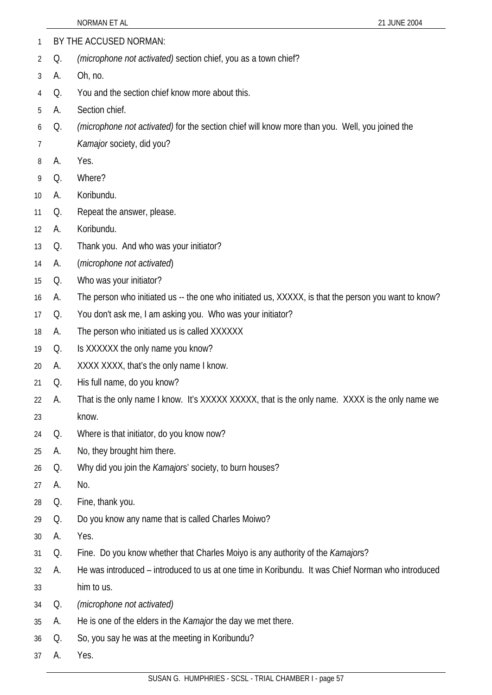1 BY THE ACCUSED NORMAN: 2 3 4 5 6 7 8 9 10 11 12 13 14 15 16 17 18 19 20 21 22 23 24 25 26 27 28 29 30 31 32 33 34 35 36 Q. *(microphone not activated)* section chief, you as a town chief? A. Oh, no. Q. You and the section chief know more about this. A. Section chief. Q. *(microphone not activated)* for the section chief will know more than you. Well, you joined the *Kamajor* society, did you? A. Yes. Q. Where? A. Koribundu. Q. Repeat the answer, please. A. Koribundu. Q. Thank you. And who was your initiator? A. (*microphone not activated*) Q. Who was your initiator? A. The person who initiated us -- the one who initiated us, XXXXX, is that the person you want to know? Q. You don't ask me, I am asking you. Who was your initiator? A. The person who initiated us is called XXXXXX Q. Is XXXXXX the only name you know? A. XXXX XXXX, that's the only name I know. Q. His full name, do you know? A. That is the only name I know. It's XXXXX XXXXX, that is the only name. XXXX is the only name we know. Q. Where is that initiator, do you know now? A. No, they brought him there. Q. Why did you join the *Kamajor*s' society, to burn houses? A. No. Q. Fine, thank you. Q. Do you know any name that is called Charles Moiwo? A. Yes. Q. Fine. Do you know whether that Charles Moiyo is any authority of the *Kamajor*s? A. He was introduced – introduced to us at one time in Koribundu. It was Chief Norman who introduced him to us. Q. *(microphone not activated)* A. He is one of the elders in the *Kamajor* the day we met there. Q. So, you say he was at the meeting in Koribundu?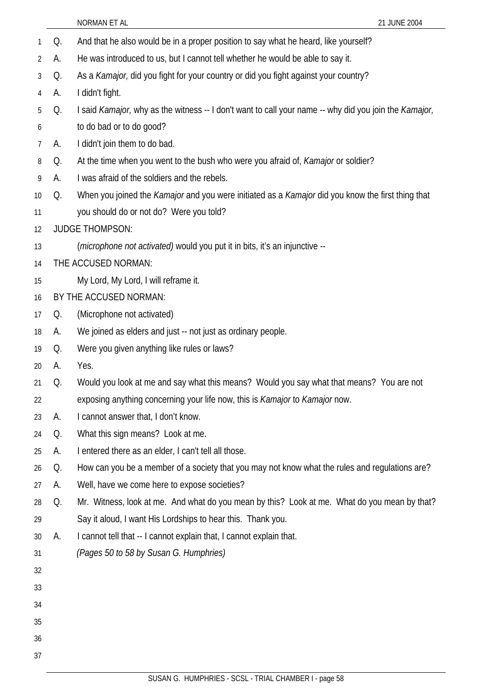NORMAN ET AL 21 JUNE 2004 1 Q. And that he also would be in a proper position to say what he heard, like yourself? 2 3 4 5 6 7 8 9 10 11 12 13 14 15 16 17 18 19 20 21 22 23 24 25 26 27 28 29 30 31 32 33 34 35 36 A. He was introduced to us, but I cannot tell whether he would be able to say it. Q. As a *Kamajor,* did you fight for your country or did you fight against your country? A. I didn't fight. Q. I said *Kamajor,* why as the witness -- I don't want to call your name -- why did you join the *Kamajor,*  to do bad or to do good? A. I didn't join them to do bad. Q. At the time when you went to the bush who were you afraid of, *Kamajor* or soldier? A. I was afraid of the soldiers and the rebels. Q. When you joined the *Kamajor* and you were initiated as a *Kamajor* did you know the first thing that you should do or not do? Were you told? JUDGE THOMPSON: (*microphone not activated)* would you put it in bits, it's an injunctive -- THE ACCUSED NORMAN: My Lord, My Lord, I will reframe it. BY THE ACCUSED NORMAN: Q. (Microphone not activated) A. We joined as elders and just -- not just as ordinary people. Q. Were you given anything like rules or laws? A. Yes. Q. Would you look at me and say what this means? Would you say what that means? You are not exposing anything concerning your life now, this is *Kamajor* to *Kamajor* now. A. I cannot answer that, I don't know. Q. What this sign means? Look at me. A. I entered there as an elder, I can't tell all those. Q. How can you be a member of a society that you may not know what the rules and regulations are? A. Well, have we come here to expose societies? Q. Mr. Witness, look at me. And what do you mean by this? Look at me. What do you mean by that? Say it aloud, I want His Lordships to hear this. Thank you. A. I cannot tell that -- I cannot explain that, I cannot explain that. *(Pages 50 to 58 by Susan G. Humphries)*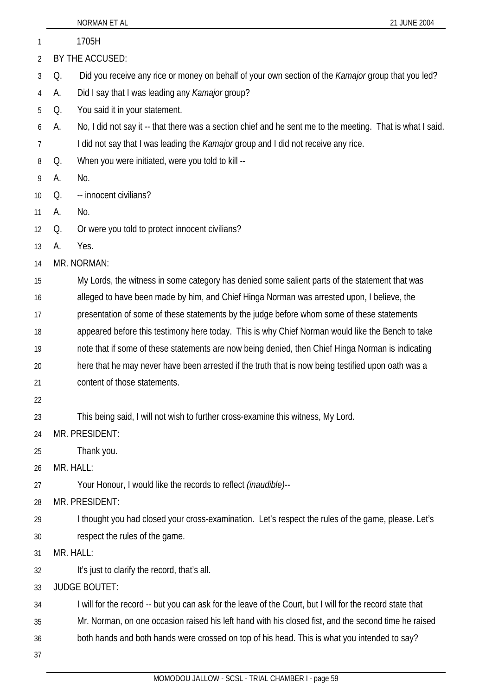|          |    | NORMAN ET AL<br>21 JUNE 2004                                                                               |
|----------|----|------------------------------------------------------------------------------------------------------------|
| 1        |    | 1705H                                                                                                      |
| 2        |    | BY THE ACCUSED:                                                                                            |
| 3        | Q. | Did you receive any rice or money on behalf of your own section of the <i>Kamajor</i> group that you led?  |
| 4        | А. | Did I say that I was leading any Kamajor group?                                                            |
| 5        | Q. | You said it in your statement.                                                                             |
| 6        | А. | No, I did not say it -- that there was a section chief and he sent me to the meeting. That is what I said. |
| 7        |    | I did not say that I was leading the <i>Kamajor</i> group and I did not receive any rice.                  |
| 8        | Q. | When you were initiated, were you told to kill --                                                          |
| 9        | А. | No.                                                                                                        |
| 10       | Q. | -- innocent civilians?                                                                                     |
| 11       | А. | No.                                                                                                        |
| 12       | Q. | Or were you told to protect innocent civilians?                                                            |
| 13       | А. | Yes.                                                                                                       |
| 14       |    | MR. NORMAN:                                                                                                |
| 15       |    | My Lords, the witness in some category has denied some salient parts of the statement that was             |
| 16       |    | alleged to have been made by him, and Chief Hinga Norman was arrested upon, I believe, the                 |
| 17       |    | presentation of some of these statements by the judge before whom some of these statements                 |
| 18       |    | appeared before this testimony here today. This is why Chief Norman would like the Bench to take           |
| 19       |    | note that if some of these statements are now being denied, then Chief Hinga Norman is indicating          |
| 20       |    | here that he may never have been arrested if the truth that is now being testified upon oath was a         |
| 21       |    | content of those statements.                                                                               |
| 22       |    |                                                                                                            |
| 23       |    | This being said, I will not wish to further cross-examine this witness, My Lord.<br>MR. PRESIDENT:         |
| 24       |    | Thank you.                                                                                                 |
| 25<br>26 |    | MR. HALL:                                                                                                  |
| 27       |    | Your Honour, I would like the records to reflect <i>(inaudible)</i> --                                     |
| 28       |    | MR. PRESIDENT:                                                                                             |
| 29       |    | I thought you had closed your cross-examination. Let's respect the rules of the game, please. Let's        |
| 30       |    | respect the rules of the game.                                                                             |
| 31       |    | MR. HALL:                                                                                                  |
| 32       |    | It's just to clarify the record, that's all.                                                               |
| 33       |    | <b>JUDGE BOUTET:</b>                                                                                       |
| 34       |    | I will for the record -- but you can ask for the leave of the Court, but I will for the record state that  |
| 35       |    | Mr. Norman, on one occasion raised his left hand with his closed fist, and the second time he raised       |
| 36       |    | both hands and both hands were crossed on top of his head. This is what you intended to say?               |
| 37       |    |                                                                                                            |
|          |    | MOMODOU JALLOW - SCSL - TRIAL CHAMBER I - page 59                                                          |
|          |    |                                                                                                            |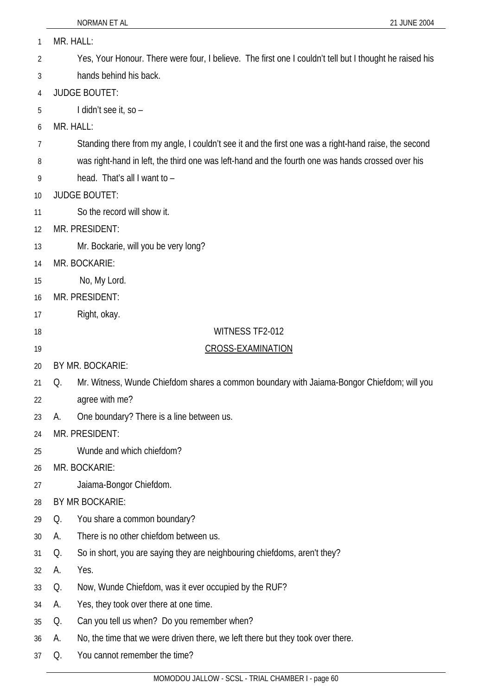| 1  | MR. HALL: |                                                                                                                                |
|----|-----------|--------------------------------------------------------------------------------------------------------------------------------|
| 2  |           | Yes, Your Honour. There were four, I believe. The first one I couldn't tell but I thought he raised his                        |
| 3  |           | hands behind his back.                                                                                                         |
| 4  |           | <b>JUDGE BOUTET:</b>                                                                                                           |
| 5  |           | I didn't see it, so -                                                                                                          |
| 6  | MR. HALL: |                                                                                                                                |
| 7  |           | Standing there from my angle, I couldn't see it and the first one was a right-hand raise, the second                           |
| 8  |           | was right-hand in left, the third one was left-hand and the fourth one was hands crossed over his                              |
| 9  |           | head. That's all I want to -                                                                                                   |
| 10 |           | <b>JUDGE BOUTET:</b>                                                                                                           |
| 11 |           | So the record will show it.                                                                                                    |
| 12 |           | MR. PRESIDENT:                                                                                                                 |
| 13 |           | Mr. Bockarie, will you be very long?                                                                                           |
| 14 |           | MR. BOCKARIE:                                                                                                                  |
| 15 |           | No, My Lord.                                                                                                                   |
| 16 |           | MR. PRESIDENT:                                                                                                                 |
| 17 |           | Right, okay.                                                                                                                   |
| 18 |           | WITNESS TF2-012                                                                                                                |
| 19 |           | <b>CROSS-EXAMINATION</b>                                                                                                       |
| 20 |           | BY MR. BOCKARIE:                                                                                                               |
| 21 | Q.        | Mr. Witness, Wunde Chiefdom shares a common boundary with Jaiama-Bongor Chiefdom; will you                                     |
| 22 |           | agree with me?                                                                                                                 |
| 23 | А.        | One boundary? There is a line between us.                                                                                      |
| 24 |           | MR. PRESIDENT:                                                                                                                 |
| 25 |           | Wunde and which chiefdom?                                                                                                      |
| 26 |           | MR. BOCKARIE:                                                                                                                  |
| 27 |           | Jaiama-Bongor Chiefdom.                                                                                                        |
| 28 |           | BY MR BOCKARIE:                                                                                                                |
| 29 | Q.        | You share a common boundary?                                                                                                   |
| 30 | А.        | There is no other chiefdom between us.                                                                                         |
| 31 | Q.        | So in short, you are saying they are neighbouring chiefdoms, aren't they?                                                      |
| 32 | А.        | Yes.                                                                                                                           |
| 33 | Q.        | Now, Wunde Chiefdom, was it ever occupied by the RUF?                                                                          |
| 34 |           |                                                                                                                                |
|    | А.        | Yes, they took over there at one time.                                                                                         |
| 35 | Q.        | Can you tell us when? Do you remember when?<br>No, the time that we were driven there, we left there but they took over there. |

37 Q. You cannot remember the time?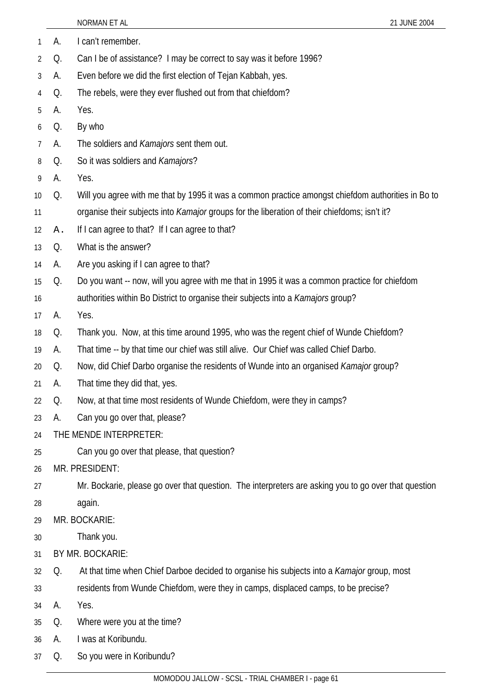|                |    | 21 JUNE 2004<br>NORMAN ET AL                                                                         |
|----------------|----|------------------------------------------------------------------------------------------------------|
| 1              | А. | I can't remember.                                                                                    |
| $\overline{2}$ | Q. | Can I be of assistance? I may be correct to say was it before 1996?                                  |
| 3              | А. | Even before we did the first election of Tejan Kabbah, yes.                                          |
| 4              | Q. | The rebels, were they ever flushed out from that chiefdom?                                           |
| 5              | А. | Yes.                                                                                                 |
| 6              | Q. | By who                                                                                               |
| 7              | А. | The soldiers and Kamajors sent them out.                                                             |
| 8              | Q. | So it was soldiers and Kamajors?                                                                     |
| 9              | А. | Yes.                                                                                                 |
| 10             | Q. | Will you agree with me that by 1995 it was a common practice amongst chiefdom authorities in Bo to   |
| 11             |    | organise their subjects into Kamajor groups for the liberation of their chiefdoms; isn't it?         |
| 12             | Α. | If I can agree to that? If I can agree to that?                                                      |
| 13             | Q. | What is the answer?                                                                                  |
| 14             | А. | Are you asking if I can agree to that?                                                               |
| 15             | Q. | Do you want -- now, will you agree with me that in 1995 it was a common practice for chiefdom        |
| 16             |    | authorities within Bo District to organise their subjects into a Kamajors group?                     |
| 17             | А. | Yes.                                                                                                 |
| 18             | Q. | Thank you. Now, at this time around 1995, who was the regent chief of Wunde Chiefdom?                |
| 19             | А. | That time -- by that time our chief was still alive. Our Chief was called Chief Darbo.               |
| 20             | Q. | Now, did Chief Darbo organise the residents of Wunde into an organised Kamajor group?                |
| 21             | А. | That time they did that, yes.                                                                        |
| 22             | Q. | Now, at that time most residents of Wunde Chiefdom, were they in camps?                              |
| 23             | А. | Can you go over that, please?                                                                        |
| 24             |    | THE MENDE INTERPRETER:                                                                               |
| 25             |    | Can you go over that please, that question?                                                          |
| 26             |    | MR. PRESIDENT:                                                                                       |
| 27             |    | Mr. Bockarie, please go over that question. The interpreters are asking you to go over that question |
| 28             |    | again.                                                                                               |
| 29             |    | MR. BOCKARIE:                                                                                        |
| 30             |    | Thank you.                                                                                           |
| 31             |    | BY MR. BOCKARIE:                                                                                     |
| 32             | Q. | At that time when Chief Darboe decided to organise his subjects into a Kamajor group, most           |
| 33             |    | residents from Wunde Chiefdom, were they in camps, displaced camps, to be precise?                   |
| 34             | А. | Yes.                                                                                                 |
| 35             | Q. | Where were you at the time?                                                                          |
| 36             | А. | I was at Koribundu.                                                                                  |
| 37             | Q. | So you were in Koribundu?                                                                            |
|                |    | MOMODOU INTIONI COST TDIAL CHAMPED L 2000                                                            |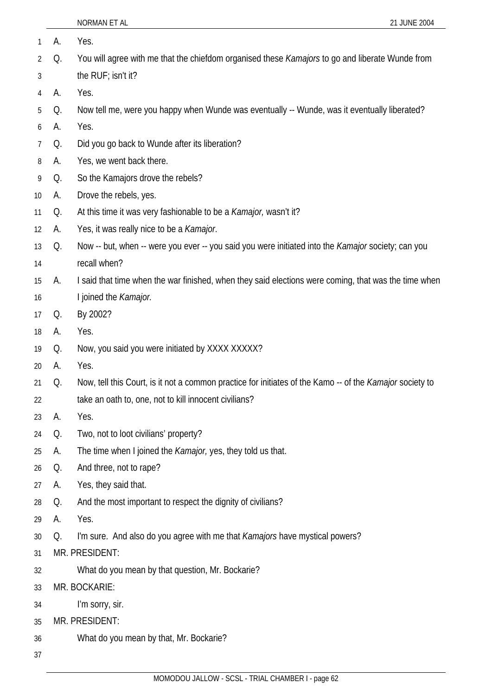| 1              | А. | Yes.                                                                                                     |
|----------------|----|----------------------------------------------------------------------------------------------------------|
| $\overline{2}$ | Q. | You will agree with me that the chiefdom organised these Kamajors to go and liberate Wunde from          |
| 3              |    | the RUF; isn't it?                                                                                       |
| 4              | А. | Yes.                                                                                                     |
| 5              | Q. | Now tell me, were you happy when Wunde was eventually -- Wunde, was it eventually liberated?             |
| 6              | А. | Yes.                                                                                                     |
| 7              | Q. | Did you go back to Wunde after its liberation?                                                           |
| 8              | А. | Yes, we went back there.                                                                                 |
| 9              | Q. | So the Kamajors drove the rebels?                                                                        |
| 10             | А. | Drove the rebels, yes.                                                                                   |
| 11             | Q. | At this time it was very fashionable to be a <i>Kamajor</i> , wasn't it?                                 |
| 12             | А. | Yes, it was really nice to be a Kamajor.                                                                 |
| 13             | Q. | Now -- but, when -- were you ever -- you said you were initiated into the Kamajor society; can you       |
| 14             |    | recall when?                                                                                             |
| 15             | А. | I said that time when the war finished, when they said elections were coming, that was the time when     |
| 16             |    | I joined the Kamajor.                                                                                    |
| 17             | Q. | By 2002?                                                                                                 |
| 18             | А. | Yes.                                                                                                     |
| 19             | Q. | Now, you said you were initiated by XXXX XXXXX?                                                          |
| 20             | А. | Yes.                                                                                                     |
| 21             | Q. | Now, tell this Court, is it not a common practice for initiates of the Kamo -- of the Kamajor society to |
| 22             |    | take an oath to, one, not to kill innocent civilians?                                                    |
| 23             | А. | Yes.                                                                                                     |
| 24             | Q. | Two, not to loot civilians' property?                                                                    |
| 25             | А. | The time when I joined the Kamajor, yes, they told us that.                                              |
| 26             | Q. | And three, not to rape?                                                                                  |
| 27             | А. | Yes, they said that.                                                                                     |
| 28             | Q. | And the most important to respect the dignity of civilians?                                              |
| 29             | А. | Yes.                                                                                                     |
| 30             | Q. | I'm sure. And also do you agree with me that Kamajors have mystical powers?                              |
| 31             |    | MR. PRESIDENT:                                                                                           |
| 32             |    | What do you mean by that question, Mr. Bockarie?                                                         |
| 33             |    | MR. BOCKARIE:                                                                                            |
| 34             |    | I'm sorry, sir.                                                                                          |
| 35             |    | MR. PRESIDENT:                                                                                           |
| 36             |    | What do you mean by that, Mr. Bockarie?                                                                  |
| 37             |    |                                                                                                          |
|                |    |                                                                                                          |

NORMAN ET AL 21 JUNE 2004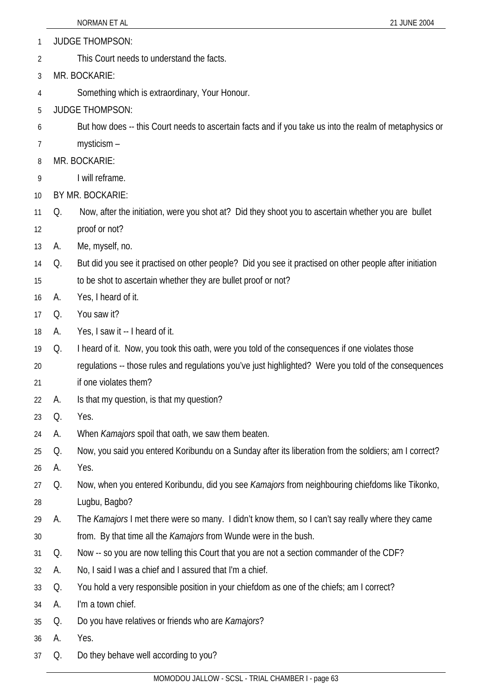- 1 JUDGE THOMPSON:
- 2 This Court needs to understand the facts.
- 3 MR. BOCKARIE:
- 4 Something which is extraordinary, Your Honour.
- 5 JUDGE THOMPSON:
- 6 But how does -- this Court needs to ascertain facts and if you take us into the realm of metaphysics or
- 7 mysticism –
- 8 MR. BOCKARIE:
- 9 I will reframe.
- 10 BY MR. BOCKARIE:
- 11 Q. Now, after the initiation, were you shot at? Did they shoot you to ascertain whether you are bullet
- 12 proof or not?
- 13 A. Me, myself, no.
- 14 Q. But did you see it practised on other people? Did you see it practised on other people after initiation
- 15 to be shot to ascertain whether they are bullet proof or not?
- 16 A. Yes, I heard of it.
- 17 Q. You saw it?
- 18 A. Yes, I saw it -- I heard of it.
- 19 Q. I heard of it. Now, you took this oath, were you told of the consequences if one violates those
- 20 regulations -- those rules and regulations you've just highlighted? Were you told of the consequences
- 21 if one violates them?
- 22 A. Is that my question, is that my question?
- 23 Q. Yes.
- 24 A. When *Kamajors* spoil that oath, we saw them beaten.
- 25 Q. Now, you said you entered Koribundu on a Sunday after its liberation from the soldiers; am I correct?
- 26 A. Yes.
- 27 28 Q. Now, when you entered Koribundu, did you see *Kamajors* from neighbouring chiefdoms like Tikonko, Lugbu, Bagbo?
- 29 A. The *Kamajors* I met there were so many. I didn't know them, so I can't say really where they came
- 30 from. By that time all the *Kamajors* from Wunde were in the bush.
- 31 Q. Now -- so you are now telling this Court that you are not a section commander of the CDF?
- 32 A. No, I said I was a chief and I assured that I'm a chief.
- 33 Q. You hold a very responsible position in your chiefdom as one of the chiefs; am I correct?
- 34 A. I'm a town chief.
- 35 Q. Do you have relatives or friends who are *Kamajors*?
- 36 A. Yes.
- 37 Q. Do they behave well according to you?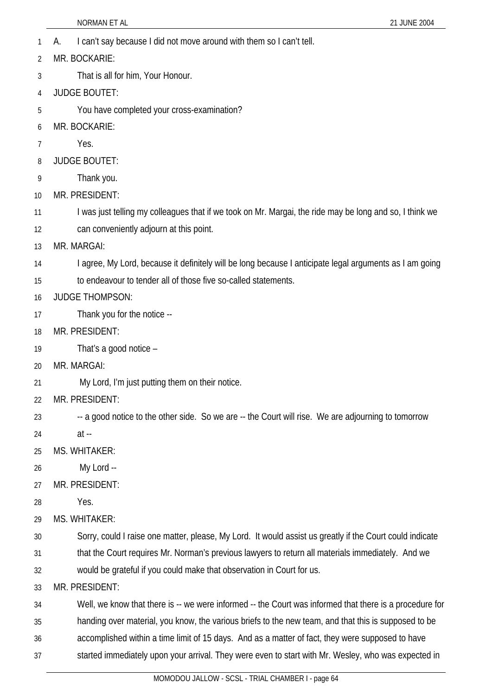- 1 A. I can't say because I did not move around with them so I can't tell.
- 2 MR. BOCKARIE:
- 3 That is all for him, Your Honour.
- 4 JUDGE BOUTET:
- 5 You have completed your cross-examination?
- 6 MR. BOCKARIE:
- 7 Yes.
- 8 JUDGE BOUTET:
- 9 Thank you.
- 10 MR. PRESIDENT:
- 11 I was just telling my colleagues that if we took on Mr. Margai, the ride may be long and so, I think we
- 12 can conveniently adjourn at this point.
- 13 MR. MARGAI:
- 14 I agree, My Lord, because it definitely will be long because I anticipate legal arguments as I am going
- 15 to endeavour to tender all of those five so-called statements.
- 16 JUDGE THOMPSON:
- 17 Thank you for the notice --
- 18 MR. PRESIDENT:
- 19 That's a good notice –
- 20 MR. MARGAI:
- 21 My Lord, I'm just putting them on their notice.
- 22 MR. PRESIDENT:
- 23 -- a good notice to the other side. So we are -- the Court will rise. We are adjourning to tomorrow
- 24 at --
- 25 MS. WHITAKER:
- 26 My Lord --
- 27 MR. PRESIDENT:
- 28 Yes.
- 29 MS. WHITAKER:
- 30 Sorry, could I raise one matter, please, My Lord. It would assist us greatly if the Court could indicate
- 31 that the Court requires Mr. Norman's previous lawyers to return all materials immediately. And we
- 32 would be grateful if you could make that observation in Court for us.
- 33 MR. PRESIDENT:
- 34 Well, we know that there is -- we were informed -- the Court was informed that there is a procedure for
- 35 handing over material, you know, the various briefs to the new team, and that this is supposed to be
- 36 accomplished within a time limit of 15 days. And as a matter of fact, they were supposed to have
- 37 started immediately upon your arrival. They were even to start with Mr. Wesley, who was expected in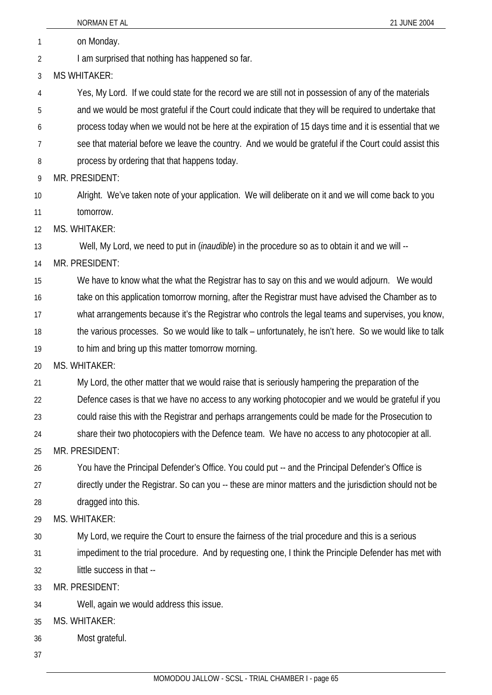|    | NORMAN ET AL<br>21 JUNE 2004                                                                             |
|----|----------------------------------------------------------------------------------------------------------|
| 1  | on Monday.                                                                                               |
| 2  | I am surprised that nothing has happened so far.                                                         |
| 3  | <b>MS WHITAKER:</b>                                                                                      |
| 4  | Yes, My Lord. If we could state for the record we are still not in possession of any of the materials    |
| 5  | and we would be most grateful if the Court could indicate that they will be required to undertake that   |
| 6  | process today when we would not be here at the expiration of 15 days time and it is essential that we    |
| 7  | see that material before we leave the country. And we would be grateful if the Court could assist this   |
| 8  | process by ordering that that happens today.                                                             |
| 9  | MR. PRESIDENT:                                                                                           |
| 10 | Alright. We've taken note of your application. We will deliberate on it and we will come back to you     |
| 11 | tomorrow.                                                                                                |
| 12 | MS. WHITAKER:                                                                                            |
| 13 | Well, My Lord, we need to put in <i>(inaudible)</i> in the procedure so as to obtain it and we will --   |
| 14 | MR. PRESIDENT:                                                                                           |
| 15 | We have to know what the what the Registrar has to say on this and we would adjourn. We would            |
| 16 | take on this application tomorrow morning, after the Registrar must have advised the Chamber as to       |
| 17 | what arrangements because it's the Registrar who controls the legal teams and supervises, you know,      |
| 18 | the various processes. So we would like to talk – unfortunately, he isn't here. So we would like to talk |
| 19 | to him and bring up this matter tomorrow morning.                                                        |
| 20 | MS. WHITAKER:                                                                                            |
| 21 | My Lord, the other matter that we would raise that is seriously hampering the preparation of the         |
| 22 | Defence cases is that we have no access to any working photocopier and we would be grateful if you       |
| 23 | could raise this with the Registrar and perhaps arrangements could be made for the Prosecution to        |
| 24 | share their two photocopiers with the Defence team. We have no access to any photocopier at all.         |
| 25 | MR. PRESIDENT:                                                                                           |
| 26 | You have the Principal Defender's Office. You could put -- and the Principal Defender's Office is        |
| 27 | directly under the Registrar. So can you -- these are minor matters and the jurisdiction should not be   |
| 28 | dragged into this.                                                                                       |
| 29 | MS. WHITAKER:                                                                                            |
| 30 | My Lord, we require the Court to ensure the fairness of the trial procedure and this is a serious        |
| 31 | impediment to the trial procedure. And by requesting one, I think the Principle Defender has met with    |
| 32 | little success in that --                                                                                |
| 33 | MR. PRESIDENT:                                                                                           |
| 34 | Well, again we would address this issue.                                                                 |
| 35 | MS. WHITAKER:                                                                                            |
| 36 | Most grateful.                                                                                           |
| 37 |                                                                                                          |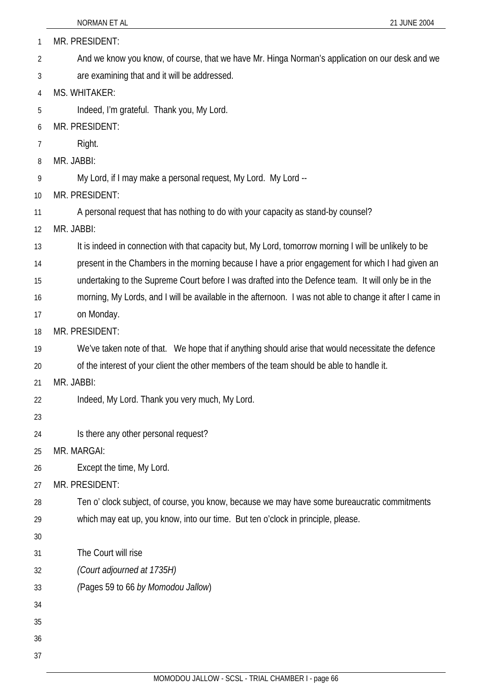|                | NORMAN ET AL<br>21 JUNE 2004                                                                             |
|----------------|----------------------------------------------------------------------------------------------------------|
| $\mathbf{1}$   | MR. PRESIDENT:                                                                                           |
| 2              | And we know you know, of course, that we have Mr. Hinga Norman's application on our desk and we          |
| 3              | are examining that and it will be addressed.                                                             |
| $\overline{4}$ | MS. WHITAKER:                                                                                            |
| 5              | Indeed, I'm grateful. Thank you, My Lord.                                                                |
| 6              | MR. PRESIDENT:                                                                                           |
| 7              | Right.                                                                                                   |
| 8              | MR. JABBI:                                                                                               |
| 9              | My Lord, if I may make a personal request, My Lord. My Lord --                                           |
| 10             | MR. PRESIDENT:                                                                                           |
| 11             | A personal request that has nothing to do with your capacity as stand-by counsel?                        |
| 12             | MR. JABBI:                                                                                               |
| 13             | It is indeed in connection with that capacity but, My Lord, tomorrow morning I will be unlikely to be    |
| 14             | present in the Chambers in the morning because I have a prior engagement for which I had given an        |
| 15             | undertaking to the Supreme Court before I was drafted into the Defence team. It will only be in the      |
| 16             | morning, My Lords, and I will be available in the afternoon. I was not able to change it after I came in |
| 17             | on Monday.                                                                                               |
| 18             | MR. PRESIDENT:                                                                                           |
| 19             | We've taken note of that. We hope that if anything should arise that would necessitate the defence       |
| 20             | of the interest of your client the other members of the team should be able to handle it.                |
| 21             | MR. JABBI:                                                                                               |
| 22             | Indeed, My Lord. Thank you very much, My Lord.                                                           |
| 23             |                                                                                                          |
| 24             | Is there any other personal request?                                                                     |
| 25             | MR. MARGAI:                                                                                              |
| 26             | Except the time, My Lord.                                                                                |
| 27             | MR. PRESIDENT:                                                                                           |
| 28             | Ten o' clock subject, of course, you know, because we may have some bureaucratic commitments             |
| 29             | which may eat up, you know, into our time. But ten o'clock in principle, please.                         |
| 30             |                                                                                                          |
| 31             | The Court will rise                                                                                      |
| 32             | (Court adjourned at 1735H)                                                                               |
| 33             | (Pages 59 to 66 by Momodou Jallow)                                                                       |
| 34             |                                                                                                          |
| 35             |                                                                                                          |
| 36             |                                                                                                          |
| 37             |                                                                                                          |